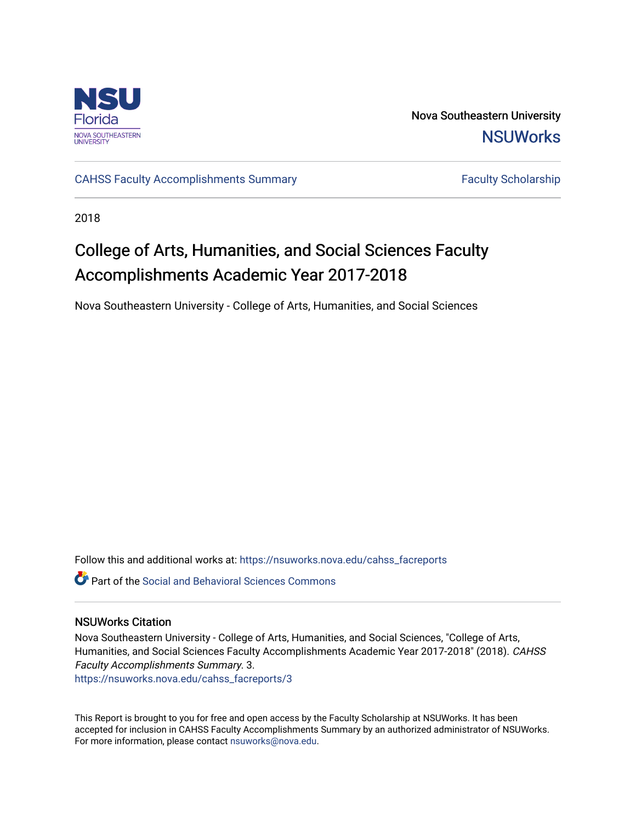

Nova Southeastern University **NSUWorks** 

[CAHSS Faculty Accomplishments Summary](https://nsuworks.nova.edu/cahss_facreports) Faculty Scholarship

2018

# College of Arts, Humanities, and Social Sciences Faculty Accomplishments Academic Year 2017-2018

Nova Southeastern University - College of Arts, Humanities, and Social Sciences

Follow this and additional works at: [https://nsuworks.nova.edu/cahss\\_facreports](https://nsuworks.nova.edu/cahss_facreports?utm_source=nsuworks.nova.edu%2Fcahss_facreports%2F3&utm_medium=PDF&utm_campaign=PDFCoverPages) 

**P** Part of the Social and Behavioral Sciences Commons

#### NSUWorks Citation

Nova Southeastern University - College of Arts, Humanities, and Social Sciences, "College of Arts, Humanities, and Social Sciences Faculty Accomplishments Academic Year 2017-2018" (2018). CAHSS Faculty Accomplishments Summary. 3.

[https://nsuworks.nova.edu/cahss\\_facreports/3](https://nsuworks.nova.edu/cahss_facreports/3?utm_source=nsuworks.nova.edu%2Fcahss_facreports%2F3&utm_medium=PDF&utm_campaign=PDFCoverPages)

This Report is brought to you for free and open access by the Faculty Scholarship at NSUWorks. It has been accepted for inclusion in CAHSS Faculty Accomplishments Summary by an authorized administrator of NSUWorks. For more information, please contact [nsuworks@nova.edu.](mailto:nsuworks@nova.edu)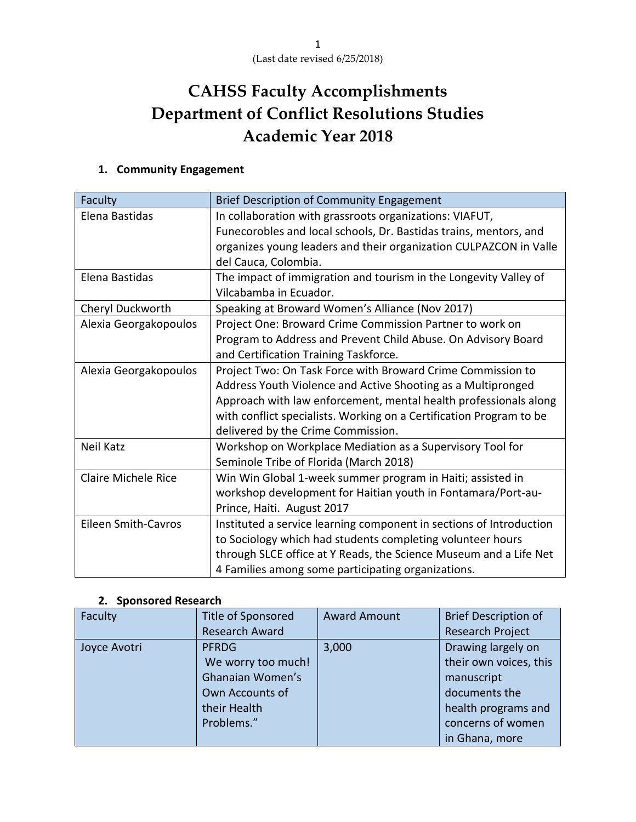# **CAHSS Faculty Accomplishments Department of Conflict Resolutions Studies Academic Year 2018**

## **1. Community Engagement**

| Faculty                    | <b>Brief Description of Community Engagement</b>                    |
|----------------------------|---------------------------------------------------------------------|
| Elena Bastidas             | In collaboration with grassroots organizations: VIAFUT,             |
|                            | Funecorobles and local schools, Dr. Bastidas trains, mentors, and   |
|                            | organizes young leaders and their organization CULPAZCON in Valle   |
|                            | del Cauca, Colombia.                                                |
| Elena Bastidas             | The impact of immigration and tourism in the Longevity Valley of    |
|                            | Vilcabamba in Ecuador.                                              |
| Cheryl Duckworth           | Speaking at Broward Women's Alliance (Nov 2017)                     |
| Alexia Georgakopoulos      | Project One: Broward Crime Commission Partner to work on            |
|                            | Program to Address and Prevent Child Abuse. On Advisory Board       |
|                            | and Certification Training Taskforce.                               |
| Alexia Georgakopoulos      | Project Two: On Task Force with Broward Crime Commission to         |
|                            | Address Youth Violence and Active Shooting as a Multipronged        |
|                            | Approach with law enforcement, mental health professionals along    |
|                            | with conflict specialists. Working on a Certification Program to be |
|                            | delivered by the Crime Commission.                                  |
| <b>Neil Katz</b>           | Workshop on Workplace Mediation as a Supervisory Tool for           |
|                            | Seminole Tribe of Florida (March 2018)                              |
| Claire Michele Rice        | Win Win Global 1-week summer program in Haiti; assisted in          |
|                            | workshop development for Haitian youth in Fontamara/Port-au-        |
|                            | Prince, Haiti. August 2017                                          |
| <b>Eileen Smith-Cavros</b> | Instituted a service learning component in sections of Introduction |
|                            | to Sociology which had students completing volunteer hours          |
|                            | through SLCE office at Y Reads, the Science Museum and a Life Net   |
|                            | 4 Families among some participating organizations.                  |

### **2. Sponsored Research**

| Faculty      | <b>Title of Sponsored</b> | <b>Award Amount</b> | <b>Brief Description of</b> |
|--------------|---------------------------|---------------------|-----------------------------|
|              | <b>Research Award</b>     |                     | <b>Research Project</b>     |
| Joyce Avotri | <b>PFRDG</b>              | 3,000               | Drawing largely on          |
|              | We worry too much!        |                     | their own voices, this      |
|              | Ghanaian Women's          |                     | manuscript                  |
|              | Own Accounts of           |                     | documents the               |
|              | their Health              |                     | health programs and         |
|              | Problems."                |                     | concerns of women           |
|              |                           |                     | in Ghana, more              |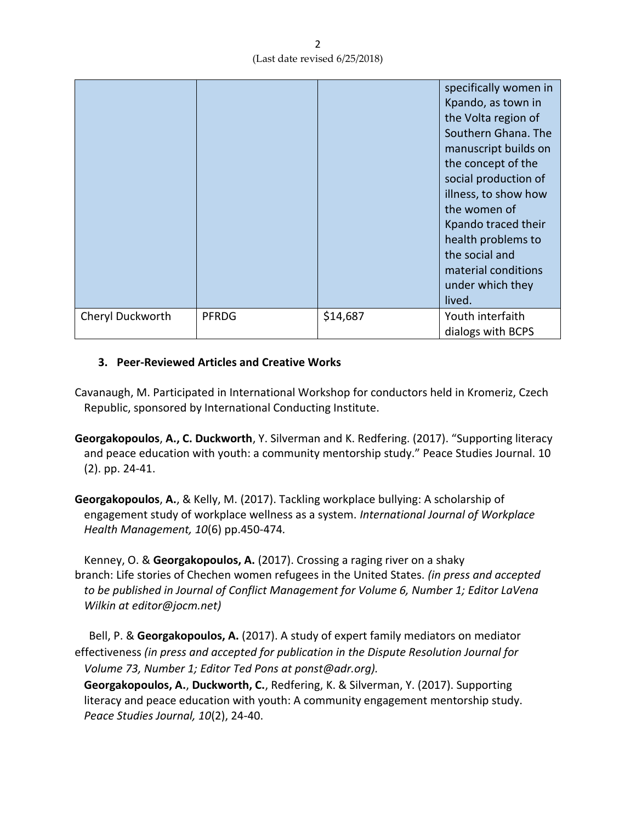|                  |              |          | specifically women in<br>Kpando, as town in<br>the Volta region of<br>Southern Ghana. The<br>manuscript builds on<br>the concept of the<br>social production of<br>illness, to show how<br>the women of<br>Kpando traced their<br>health problems to<br>the social and<br>material conditions<br>under which they<br>lived. |
|------------------|--------------|----------|-----------------------------------------------------------------------------------------------------------------------------------------------------------------------------------------------------------------------------------------------------------------------------------------------------------------------------|
| Cheryl Duckworth | <b>PFRDG</b> | \$14,687 | Youth interfaith<br>dialogs with BCPS                                                                                                                                                                                                                                                                                       |

## **3. Peer-Reviewed Articles and Creative Works**

- Cavanaugh, M. Participated in International Workshop for conductors held in Kromeriz, Czech Republic, sponsored by International Conducting Institute.
- **Georgakopoulos**, **A., C. Duckworth**, Y. Silverman and K. Redfering. (2017). "Supporting literacy and peace education with youth: a community mentorship study." Peace Studies Journal. 10 (2). pp. 24-41.
- **Georgakopoulos**, **A.**, & Kelly, M. (2017). Tackling workplace bullying: A scholarship of engagement study of workplace wellness as a system. *International Journal of Workplace Health Management, 10*(6) pp.450-474*.*

Kenney, O. & **Georgakopoulos, A.** (2017). Crossing a raging river on a shaky branch: Life stories of Chechen women refugees in the United States. *(in press and accepted to be published in Journal of Conflict Management for Volume 6, Number 1; Editor LaVena Wilkin at editor@jocm.net)* 

 Bell, P. & **Georgakopoulos, A.** (2017). A study of expert family mediators on mediator effectiveness *(in press and accepted for publication in the Dispute Resolution Journal for Volume 73, Number 1; Editor Ted Pons at ponst@adr.org).* 

**Georgakopoulos, A.**, **Duckworth, C.**, Redfering, K. & Silverman, Y. (2017). Supporting literacy and peace education with youth: A community engagement mentorship study. *Peace Studies Journal, 10*(2), 24-40.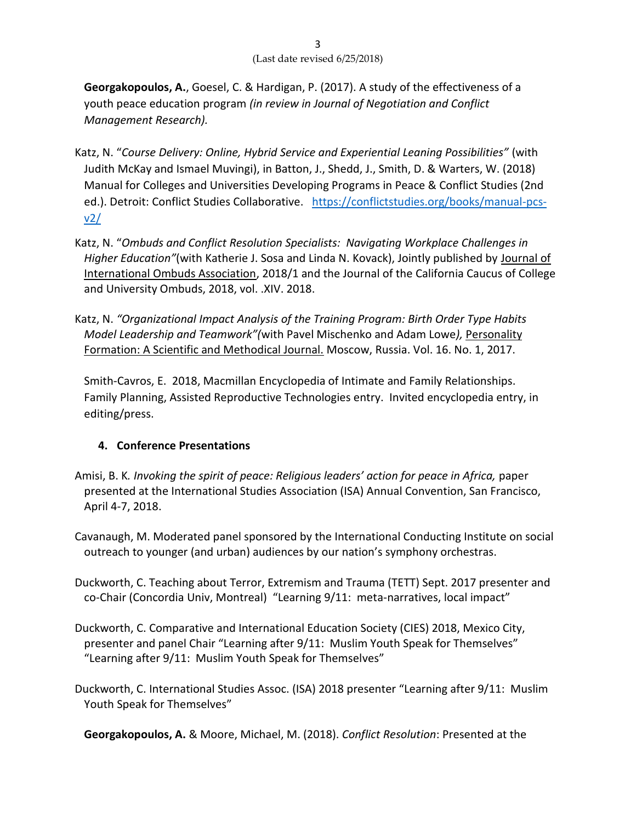**Georgakopoulos, A.**, Goesel, C. & Hardigan, P. (2017). A study of the effectiveness of a youth peace education program *(in review in Journal of Negotiation and Conflict Management Research).*

- Katz, N. "*Course Delivery: Online, Hybrid Service and Experiential Leaning Possibilities"* (with Judith McKay and Ismael Muvingi), in Batton, J., Shedd, J., Smith, D. & Warters, W. (2018) Manual for Colleges and Universities Developing Programs in Peace & Conflict Studies (2nd ed.). Detroit: Conflict Studies Collaborative. [https://conflictstudies.org/books/manual-pcs](https://na01.safelinks.protection.outlook.com/?url=https%3A%2F%2Fsecure-web.cisco.com%2F1RQjPyLmKpE0qKWNPotQaqSP8w_oy-xK0FofxPqjvMMV9Y8rsnZl7zWKJ-DEOJGxUNS2PA_UjTQNkkMiqUYcpCHSs618M2IdJVjq7_qufcykXdKQHd7wPesoMlE9Hu8wKZWeI8HzDy2sOgvCsOyG2IFHJHMxcIxWST6VUo7N1qNgaqmbRMjKsKNsPk2s1rtYn5ufQ0AxrNkHMtAhV2rMtk63fQo2eAp_NVT7TPwWpMu5fCW5kZUCzx-6j4jmmXvrcJHO0CQ-bHx3mha3DgPABzyVZRMuJ_xvPsev-WGZh_9BQgnUs6ZvA9_ppFV1LdruwJGbPL1qgi2e1AowgvcVM97iImlhKBFDhHs6mls84NrlF97AZXuxTVStp2ilme4U5xq3vQrzblPwoFxj9yUlTozp-so_FsShfbt5b-8XzJMzdh9IYEgk7bmCpleYSjfLH%2Fhttps%253A%252F%252Fconflictstudies.org%252Fbooks%252Fmanual-pcs-v2%252F&data=02%7C01%7Ckneil%40nova.edu%7C1646335ae731448a306708d595b9545e%7C2c2b2d312e3e4df1b571fb37c042ff1b%7C0%7C1%7C636579545584470088&sdata=%2FN0jcp3L2%2BuE%2Fx6NK8SpnCSPUiQMK6s7zNQdn17fYHQ%3D&reserved=0)[v2/](https://na01.safelinks.protection.outlook.com/?url=https%3A%2F%2Fsecure-web.cisco.com%2F1RQjPyLmKpE0qKWNPotQaqSP8w_oy-xK0FofxPqjvMMV9Y8rsnZl7zWKJ-DEOJGxUNS2PA_UjTQNkkMiqUYcpCHSs618M2IdJVjq7_qufcykXdKQHd7wPesoMlE9Hu8wKZWeI8HzDy2sOgvCsOyG2IFHJHMxcIxWST6VUo7N1qNgaqmbRMjKsKNsPk2s1rtYn5ufQ0AxrNkHMtAhV2rMtk63fQo2eAp_NVT7TPwWpMu5fCW5kZUCzx-6j4jmmXvrcJHO0CQ-bHx3mha3DgPABzyVZRMuJ_xvPsev-WGZh_9BQgnUs6ZvA9_ppFV1LdruwJGbPL1qgi2e1AowgvcVM97iImlhKBFDhHs6mls84NrlF97AZXuxTVStp2ilme4U5xq3vQrzblPwoFxj9yUlTozp-so_FsShfbt5b-8XzJMzdh9IYEgk7bmCpleYSjfLH%2Fhttps%253A%252F%252Fconflictstudies.org%252Fbooks%252Fmanual-pcs-v2%252F&data=02%7C01%7Ckneil%40nova.edu%7C1646335ae731448a306708d595b9545e%7C2c2b2d312e3e4df1b571fb37c042ff1b%7C0%7C1%7C636579545584470088&sdata=%2FN0jcp3L2%2BuE%2Fx6NK8SpnCSPUiQMK6s7zNQdn17fYHQ%3D&reserved=0)
- Katz, N. "*Ombuds and Conflict Resolution Specialists: Navigating Workplace Challenges in Higher Education"*(with Katherie J. Sosa and Linda N. Kovack), Jointly published by Journal of International Ombuds Association, 2018/1 and the Journal of the California Caucus of College and University Ombuds, 2018, vol. .XIV. 2018.
- Katz, N. *"Organizational Impact Analysis of the Training Program: Birth Order Type Habits Model Leadership and Teamwork"(*with Pavel Mischenko and Adam Lowe*),* Personality Formation: A Scientific and Methodical Journal. Moscow, Russia. Vol. 16. No. 1, 2017.

Smith-Cavros, E. 2018, Macmillan Encyclopedia of Intimate and Family Relationships. Family Planning, Assisted Reproductive Technologies entry. Invited encyclopedia entry, in editing/press.

## **4. Conference Presentations**

- Amisi, B. K*. Invoking the spirit of peace: Religious leaders' action for peace in Africa,* paper presented at the International Studies Association (ISA) Annual Convention, San Francisco, April 4-7, 2018.
- Cavanaugh, M. Moderated panel sponsored by the International Conducting Institute on social outreach to younger (and urban) audiences by our nation's symphony orchestras.
- Duckworth, C. Teaching about Terror, Extremism and Trauma (TETT) Sept. 2017 presenter and co-Chair (Concordia Univ, Montreal) "Learning 9/11: meta-narratives, local impact"
- Duckworth, C. Comparative and International Education Society (CIES) 2018, Mexico City, presenter and panel Chair "Learning after 9/11: Muslim Youth Speak for Themselves" "Learning after 9/11: Muslim Youth Speak for Themselves"
- Duckworth, C. International Studies Assoc. (ISA) 2018 presenter "Learning after 9/11: Muslim Youth Speak for Themselves"

**Georgakopoulos, A.** & Moore, Michael, M. (2018). *Conflict Resolution*: Presented at the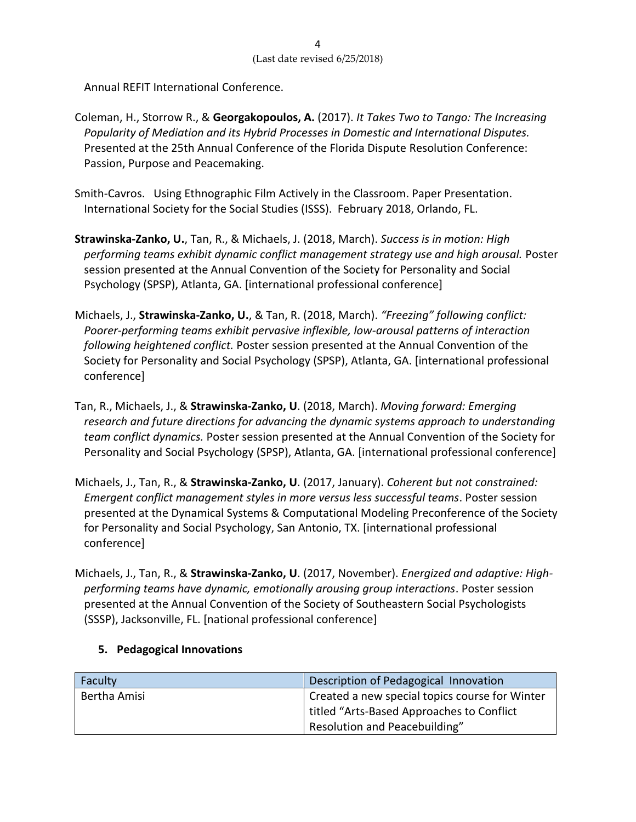Annual REFIT International Conference.

- Coleman, H., Storrow R., & **Georgakopoulos, A.** (2017). *It Takes Two to Tango: The Increasing Popularity of Mediation and its Hybrid Processes in Domestic and International Disputes.* Presented at the 25th Annual Conference of the Florida Dispute Resolution Conference: Passion, Purpose and Peacemaking.
- Smith-Cavros. Using Ethnographic Film Actively in the Classroom. Paper Presentation. International Society for the Social Studies (ISSS). February 2018, Orlando, FL.
- **Strawinska-Zanko, U.**, Tan, R., & Michaels, J. (2018, March). *Success is in motion: High performing teams exhibit dynamic conflict management strategy use and high arousal.* Poster session presented at the Annual Convention of the Society for Personality and Social Psychology (SPSP), Atlanta, GA. [international professional conference]
- Michaels, J., **Strawinska-Zanko, U.**, & Tan, R. (2018, March). *"Freezing" following conflict: Poorer-performing teams exhibit pervasive inflexible, low-arousal patterns of interaction following heightened conflict.* Poster session presented at the Annual Convention of the Society for Personality and Social Psychology (SPSP), Atlanta, GA. [international professional conference]
- Tan, R., Michaels, J., & **Strawinska-Zanko, U**. (2018, March). *Moving forward: Emerging research and future directions for advancing the dynamic systems approach to understanding team conflict dynamics.* Poster session presented at the Annual Convention of the Society for Personality and Social Psychology (SPSP), Atlanta, GA. [international professional conference]
- Michaels, J., Tan, R., & **Strawinska-Zanko, U**. (2017, January). *Coherent but not constrained: Emergent conflict management styles in more versus less successful teams*. Poster session presented at the Dynamical Systems & Computational Modeling Preconference of the Society for Personality and Social Psychology, San Antonio, TX. [international professional conference]
- Michaels, J., Tan, R., & **Strawinska-Zanko, U**. (2017, November). *Energized and adaptive: Highperforming teams have dynamic, emotionally arousing group interactions*. Poster session presented at the Annual Convention of the Society of Southeastern Social Psychologists (SSSP), Jacksonville, FL. [national professional conference]

## **5. Pedagogical Innovations**

| Faculty      | Description of Pedagogical Innovation          |
|--------------|------------------------------------------------|
| Bertha Amisi | Created a new special topics course for Winter |
|              | titled "Arts-Based Approaches to Conflict      |
|              | Resolution and Peacebuilding"                  |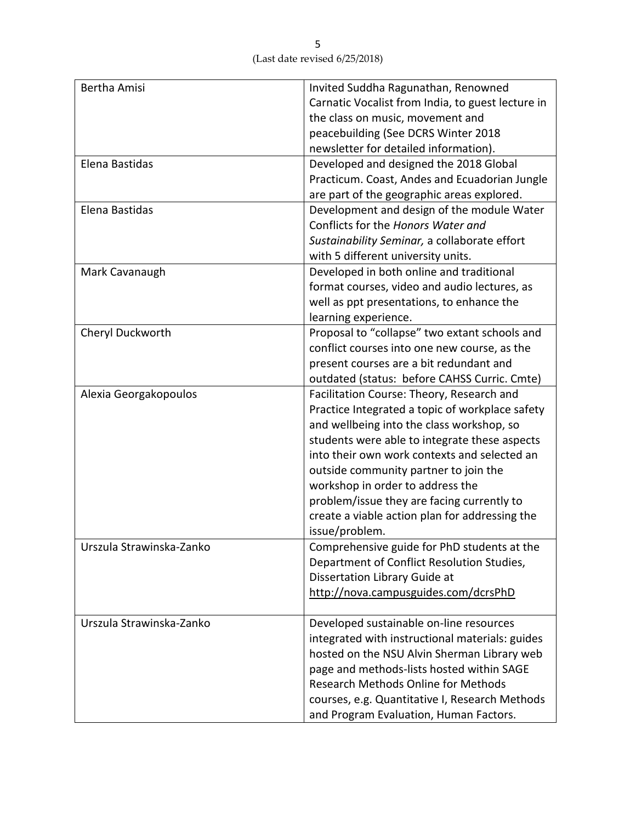| <b>Bertha Amisi</b>      | Invited Suddha Ragunathan, Renowned               |
|--------------------------|---------------------------------------------------|
|                          | Carnatic Vocalist from India, to guest lecture in |
|                          | the class on music, movement and                  |
|                          | peacebuilding (See DCRS Winter 2018               |
|                          | newsletter for detailed information).             |
| Elena Bastidas           | Developed and designed the 2018 Global            |
|                          | Practicum. Coast, Andes and Ecuadorian Jungle     |
|                          | are part of the geographic areas explored.        |
| Elena Bastidas           | Development and design of the module Water        |
|                          | Conflicts for the Honors Water and                |
|                          | Sustainability Seminar, a collaborate effort      |
|                          | with 5 different university units.                |
| Mark Cavanaugh           | Developed in both online and traditional          |
|                          | format courses, video and audio lectures, as      |
|                          | well as ppt presentations, to enhance the         |
|                          | learning experience.                              |
| Cheryl Duckworth         | Proposal to "collapse" two extant schools and     |
|                          | conflict courses into one new course, as the      |
|                          | present courses are a bit redundant and           |
|                          | outdated (status: before CAHSS Curric. Cmte)      |
| Alexia Georgakopoulos    | Facilitation Course: Theory, Research and         |
|                          | Practice Integrated a topic of workplace safety   |
|                          | and wellbeing into the class workshop, so         |
|                          | students were able to integrate these aspects     |
|                          | into their own work contexts and selected an      |
|                          | outside community partner to join the             |
|                          | workshop in order to address the                  |
|                          | problem/issue they are facing currently to        |
|                          | create a viable action plan for addressing the    |
|                          | issue/problem.                                    |
| Urszula Strawinska-Zanko | Comprehensive guide for PhD students at the       |
|                          | Department of Conflict Resolution Studies,        |
|                          | Dissertation Library Guide at                     |
|                          | http://nova.campusguides.com/dcrsPhD              |
|                          |                                                   |
| Urszula Strawinska-Zanko | Developed sustainable on-line resources           |
|                          | integrated with instructional materials: guides   |
|                          | hosted on the NSU Alvin Sherman Library web       |
|                          | page and methods-lists hosted within SAGE         |
|                          | <b>Research Methods Online for Methods</b>        |
|                          | courses, e.g. Quantitative I, Research Methods    |
|                          | and Program Evaluation, Human Factors.            |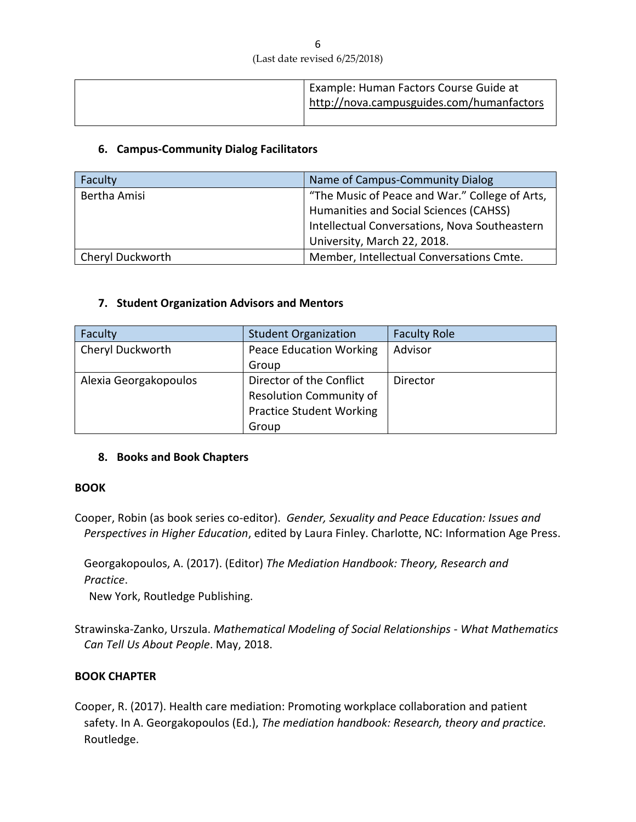|  | Example: Human Factors Course Guide at<br>http://nova.campusguides.com/humanfactors |
|--|-------------------------------------------------------------------------------------|
|  |                                                                                     |

#### **6. Campus-Community Dialog Facilitators**

| Faculty          | Name of Campus-Community Dialog                |
|------------------|------------------------------------------------|
| Bertha Amisi     | "The Music of Peace and War." College of Arts, |
|                  | Humanities and Social Sciences (CAHSS)         |
|                  | Intellectual Conversations, Nova Southeastern  |
|                  | University, March 22, 2018.                    |
| Cheryl Duckworth | Member, Intellectual Conversations Cmte.       |

#### **7. Student Organization Advisors and Mentors**

| Faculty               | <b>Student Organization</b>     | <b>Faculty Role</b> |
|-----------------------|---------------------------------|---------------------|
| Cheryl Duckworth      | <b>Peace Education Working</b>  | Advisor             |
|                       | Group                           |                     |
| Alexia Georgakopoulos | Director of the Conflict        | Director            |
|                       | <b>Resolution Community of</b>  |                     |
|                       | <b>Practice Student Working</b> |                     |
|                       | Group                           |                     |

#### **8. Books and Book Chapters**

#### **BOOK**

Cooper, Robin (as book series co-editor). *Gender, Sexuality and Peace Education: Issues and Perspectives in Higher Education*, edited by Laura Finley. Charlotte, NC: Information Age Press.

Georgakopoulos, A. (2017). (Editor) *The Mediation Handbook: Theory, Research and Practice*.

New York, Routledge Publishing.

Strawinska-Zanko, Urszula. *Mathematical Modeling of Social Relationships - What Mathematics Can Tell Us About People*. May, 2018.

#### **BOOK CHAPTER**

Cooper, R. (2017). Health care mediation: Promoting workplace collaboration and patient safety. In A. Georgakopoulos (Ed.), *The mediation handbook: Research, theory and practice.* Routledge.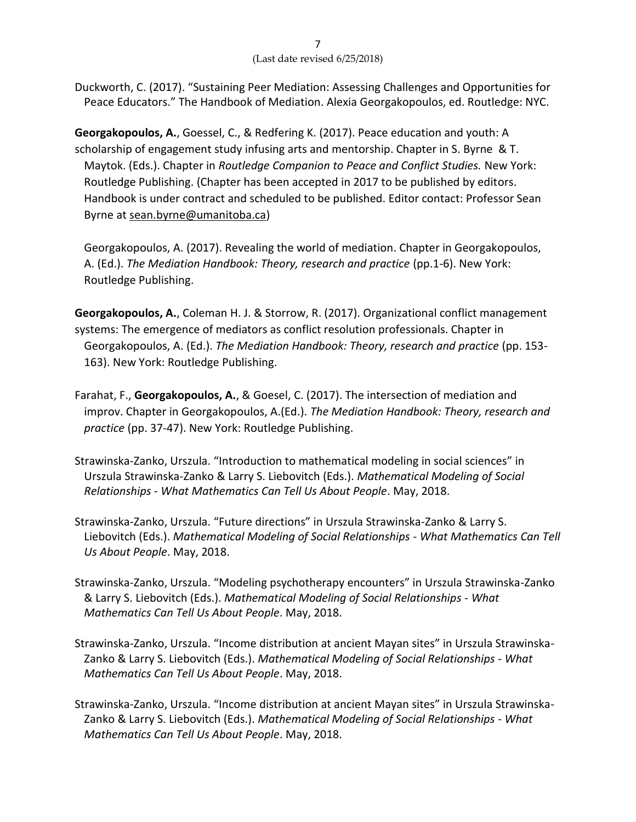Duckworth, C. (2017). "Sustaining Peer Mediation: Assessing Challenges and Opportunities for Peace Educators." The Handbook of Mediation. Alexia Georgakopoulos, ed. Routledge: NYC.

**Georgakopoulos, A.**, Goessel, C., & Redfering K. (2017). Peace education and youth: A scholarship of engagement study infusing arts and mentorship. Chapter in S. Byrne & T. Maytok. (Eds.). Chapter in *Routledge Companion to Peace and Conflict Studies.* New York: Routledge Publishing. (Chapter has been accepted in 2017 to be published by editors. Handbook is under contract and scheduled to be published. Editor contact: Professor Sean Byrne at [sean.byrne@umanitoba.ca\)](mailto:sean.byrne@umanitoba.ca)

Georgakopoulos, A. (2017). Revealing the world of mediation. Chapter in Georgakopoulos, A. (Ed.). *The Mediation Handbook: Theory, research and practice* (pp.1-6). New York: Routledge Publishing.

**Georgakopoulos, A.**, Coleman H. J. & Storrow, R. (2017). Organizational conflict management systems: The emergence of mediators as conflict resolution professionals. Chapter in Georgakopoulos, A. (Ed.). *The Mediation Handbook: Theory, research and practice* (pp. 153- 163). New York: Routledge Publishing.

- Farahat, F., **Georgakopoulos, A.**, & Goesel, C. (2017). The intersection of mediation and improv. Chapter in Georgakopoulos, A.(Ed.). *The Mediation Handbook: Theory, research and practice* (pp. 37-47). New York: Routledge Publishing.
- Strawinska-Zanko, Urszula. "Introduction to mathematical modeling in social sciences" in Urszula Strawinska-Zanko & Larry S. Liebovitch (Eds.). *Mathematical Modeling of Social Relationships - What Mathematics Can Tell Us About People*. May, 2018.
- Strawinska-Zanko, Urszula. "Future directions" in Urszula Strawinska-Zanko & Larry S. Liebovitch (Eds.). *Mathematical Modeling of Social Relationships - What Mathematics Can Tell Us About People*. May, 2018.
- Strawinska-Zanko, Urszula. "Modeling psychotherapy encounters" in Urszula Strawinska-Zanko & Larry S. Liebovitch (Eds.). *Mathematical Modeling of Social Relationships - What Mathematics Can Tell Us About People*. May, 2018.
- Strawinska-Zanko, Urszula. "Income distribution at ancient Mayan sites" in Urszula Strawinska-Zanko & Larry S. Liebovitch (Eds.). *Mathematical Modeling of Social Relationships - What Mathematics Can Tell Us About People*. May, 2018.
- Strawinska-Zanko, Urszula. "Income distribution at ancient Mayan sites" in Urszula Strawinska-Zanko & Larry S. Liebovitch (Eds.). *Mathematical Modeling of Social Relationships - What Mathematics Can Tell Us About People*. May, 2018.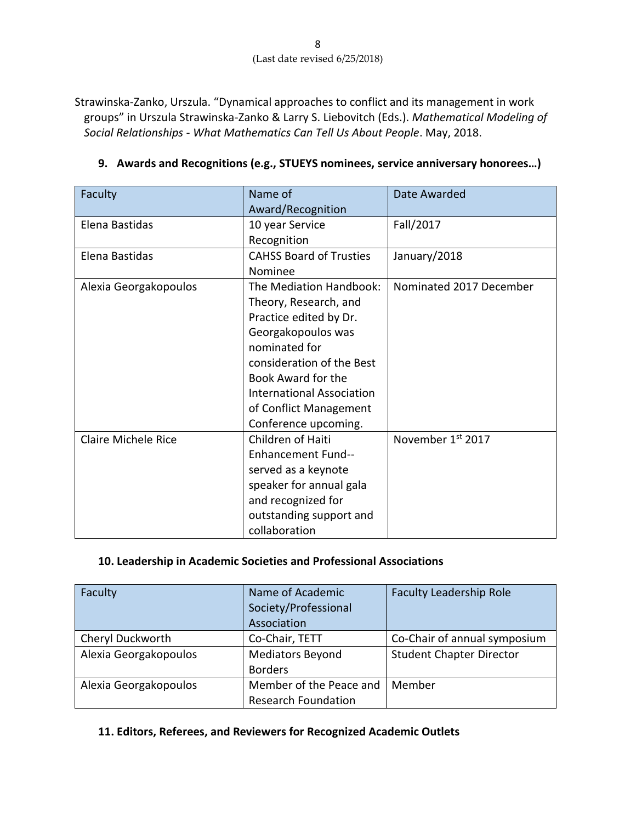Strawinska-Zanko, Urszula. "Dynamical approaches to conflict and its management in work groups" in Urszula Strawinska-Zanko & Larry S. Liebovitch (Eds.). *Mathematical Modeling of Social Relationships - What Mathematics Can Tell Us About People*. May, 2018.

| Faculty               | Name of                          | Date Awarded            |
|-----------------------|----------------------------------|-------------------------|
|                       | Award/Recognition                |                         |
| Elena Bastidas        | 10 year Service                  | Fall/2017               |
|                       | Recognition                      |                         |
| Elena Bastidas        | <b>CAHSS Board of Trusties</b>   | January/2018            |
|                       | Nominee                          |                         |
| Alexia Georgakopoulos | The Mediation Handbook:          | Nominated 2017 December |
|                       | Theory, Research, and            |                         |
|                       | Practice edited by Dr.           |                         |
|                       | Georgakopoulos was               |                         |
|                       | nominated for                    |                         |
|                       | consideration of the Best        |                         |
|                       | Book Award for the               |                         |
|                       | <b>International Association</b> |                         |
|                       | of Conflict Management           |                         |
|                       | Conference upcoming.             |                         |
| Claire Michele Rice   | Children of Haiti                | November 1st 2017       |
|                       | <b>Enhancement Fund--</b>        |                         |
|                       | served as a keynote              |                         |
|                       | speaker for annual gala          |                         |
|                       | and recognized for               |                         |
|                       | outstanding support and          |                         |
|                       | collaboration                    |                         |

## **9. Awards and Recognitions (e.g., STUEYS nominees, service anniversary honorees…)**

#### **10. Leadership in Academic Societies and Professional Associations**

| Faculty               | Name of Academic<br>Society/Professional | <b>Faculty Leadership Role</b>  |
|-----------------------|------------------------------------------|---------------------------------|
|                       | Association                              |                                 |
| Cheryl Duckworth      | Co-Chair, TETT                           | Co-Chair of annual symposium    |
| Alexia Georgakopoulos | <b>Mediators Beyond</b>                  | <b>Student Chapter Director</b> |
|                       | <b>Borders</b>                           |                                 |
| Alexia Georgakopoulos | Member of the Peace and                  | Member                          |
|                       | <b>Research Foundation</b>               |                                 |

#### **11. Editors, Referees, and Reviewers for Recognized Academic Outlets**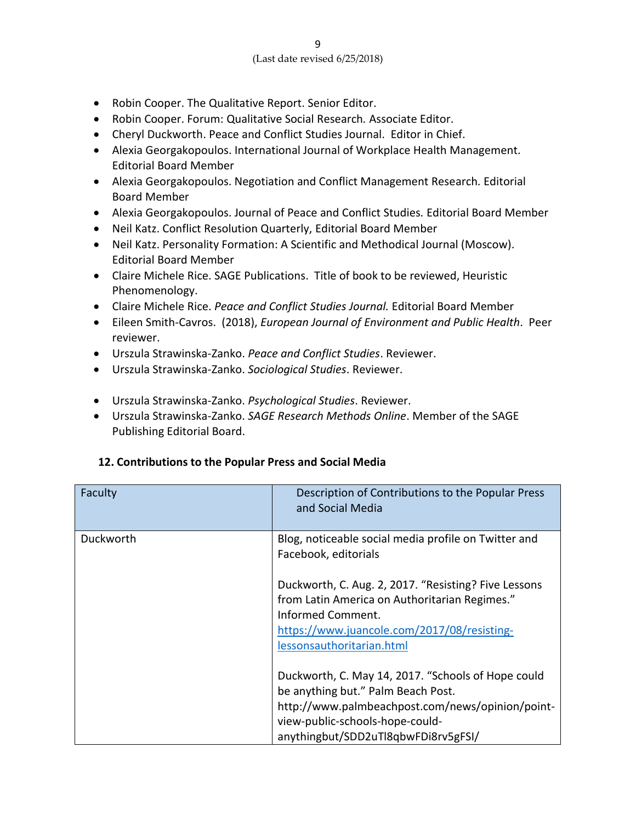- Robin Cooper. The Qualitative Report. Senior Editor.
- Robin Cooper. Forum: Qualitative Social Research*.* Associate Editor.
- Cheryl Duckworth. Peace and Conflict Studies Journal. Editor in Chief.
- Alexia Georgakopoulos. International Journal of Workplace Health Management*.* Editorial Board Member
- Alexia Georgakopoulos. Negotiation and Conflict Management Research*.* Editorial Board Member
- Alexia Georgakopoulos. Journal of Peace and Conflict Studies*.* Editorial Board Member
- Neil Katz. Conflict Resolution Quarterly, Editorial Board Member
- Neil Katz. Personality Formation: A Scientific and Methodical Journal (Moscow). Editorial Board Member
- Claire Michele Rice. SAGE Publications. Title of book to be reviewed, Heuristic Phenomenology.
- Claire Michele Rice. *Peace and Conflict Studies Journal.* Editorial Board Member
- Eileen Smith-Cavros. (2018), *European Journal of Environment and Public Health*. Peer reviewer.
- Urszula Strawinska-Zanko. *Peace and Conflict Studies*. Reviewer.
- Urszula Strawinska-Zanko. *Sociological Studies*. Reviewer.
- Urszula Strawinska-Zanko. *Psychological Studies*. Reviewer.
- Urszula Strawinska-Zanko. *SAGE Research Methods Online*. Member of the SAGE Publishing Editorial Board.

## **12. Contributions to the Popular Press and Social Media**

| Faculty   | Description of Contributions to the Popular Press<br>and Social Media                                                                                                                                                  |
|-----------|------------------------------------------------------------------------------------------------------------------------------------------------------------------------------------------------------------------------|
| Duckworth | Blog, noticeable social media profile on Twitter and<br>Facebook, editorials                                                                                                                                           |
|           | Duckworth, C. Aug. 2, 2017. "Resisting? Five Lessons<br>from Latin America on Authoritarian Regimes."<br>Informed Comment.<br>https://www.juancole.com/2017/08/resisting-<br>lessonsauthoritarian.html                 |
|           | Duckworth, C. May 14, 2017. "Schools of Hope could<br>be anything but." Palm Beach Post.<br>http://www.palmbeachpost.com/news/opinion/point-<br>view-public-schools-hope-could-<br>anythingbut/SDD2uTl8qbwFDi8rv5gFSI/ |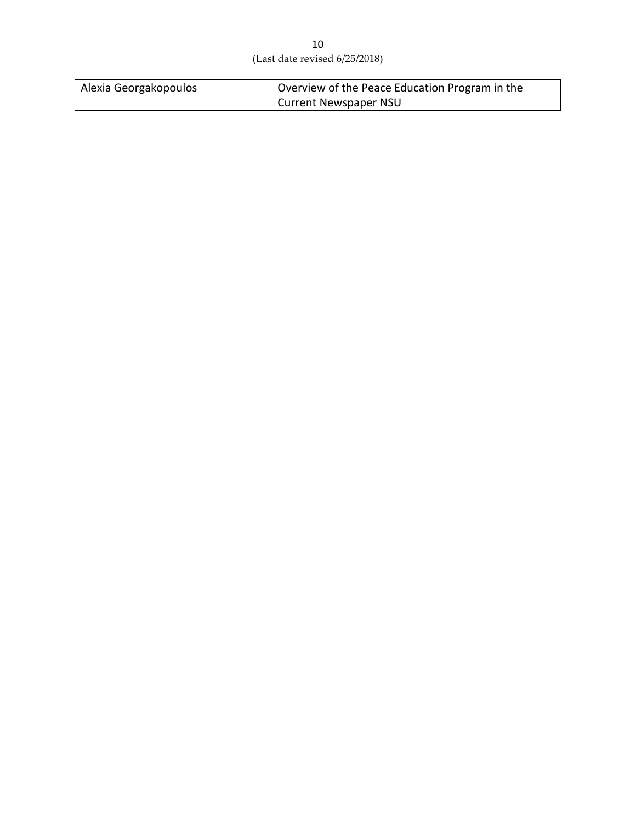| Alexia Georgakopoulos | Overview of the Peace Education Program in the |
|-----------------------|------------------------------------------------|
|                       | <b>Current Newspaper NSU</b>                   |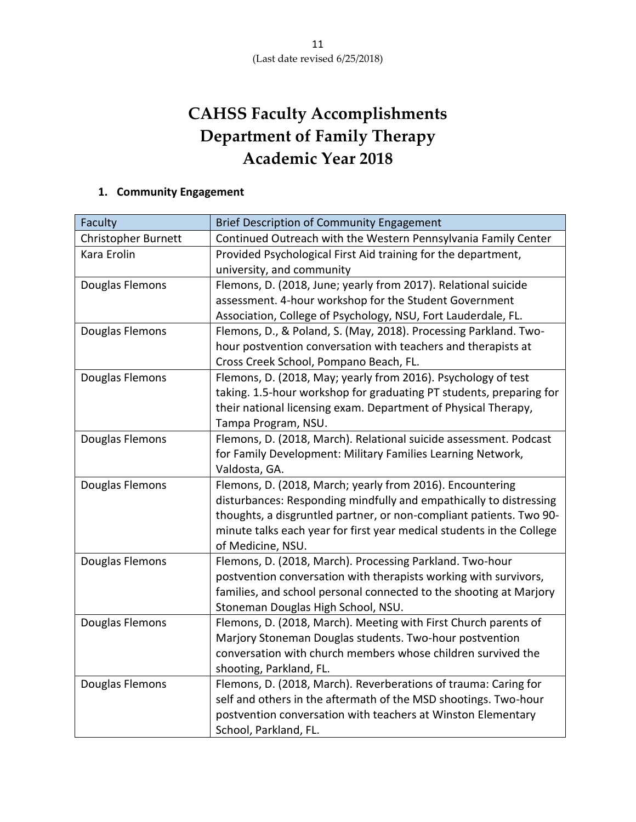# **CAHSS Faculty Accomplishments Department of Family Therapy Academic Year 2018**

# **1. Community Engagement**

| Faculty                    | <b>Brief Description of Community Engagement</b>                      |
|----------------------------|-----------------------------------------------------------------------|
| <b>Christopher Burnett</b> | Continued Outreach with the Western Pennsylvania Family Center        |
| Kara Erolin                | Provided Psychological First Aid training for the department,         |
|                            | university, and community                                             |
| Douglas Flemons            | Flemons, D. (2018, June; yearly from 2017). Relational suicide        |
|                            | assessment. 4-hour workshop for the Student Government                |
|                            | Association, College of Psychology, NSU, Fort Lauderdale, FL.         |
| Douglas Flemons            | Flemons, D., & Poland, S. (May, 2018). Processing Parkland. Two-      |
|                            | hour postvention conversation with teachers and therapists at         |
|                            | Cross Creek School, Pompano Beach, FL.                                |
| Douglas Flemons            | Flemons, D. (2018, May; yearly from 2016). Psychology of test         |
|                            | taking. 1.5-hour workshop for graduating PT students, preparing for   |
|                            | their national licensing exam. Department of Physical Therapy,        |
|                            | Tampa Program, NSU.                                                   |
| Douglas Flemons            | Flemons, D. (2018, March). Relational suicide assessment. Podcast     |
|                            | for Family Development: Military Families Learning Network,           |
|                            | Valdosta, GA.                                                         |
| Douglas Flemons            | Flemons, D. (2018, March; yearly from 2016). Encountering             |
|                            | disturbances: Responding mindfully and empathically to distressing    |
|                            | thoughts, a disgruntled partner, or non-compliant patients. Two 90-   |
|                            | minute talks each year for first year medical students in the College |
|                            | of Medicine, NSU.                                                     |
| Douglas Flemons            | Flemons, D. (2018, March). Processing Parkland. Two-hour              |
|                            | postvention conversation with therapists working with survivors,      |
|                            | families, and school personal connected to the shooting at Marjory    |
|                            | Stoneman Douglas High School, NSU.                                    |
| Douglas Flemons            | Flemons, D. (2018, March). Meeting with First Church parents of       |
|                            | Marjory Stoneman Douglas students. Two-hour postvention               |
|                            | conversation with church members whose children survived the          |
|                            | shooting, Parkland, FL.                                               |
| Douglas Flemons            | Flemons, D. (2018, March). Reverberations of trauma: Caring for       |
|                            | self and others in the aftermath of the MSD shootings. Two-hour       |
|                            | postvention conversation with teachers at Winston Elementary          |
|                            | School, Parkland, FL.                                                 |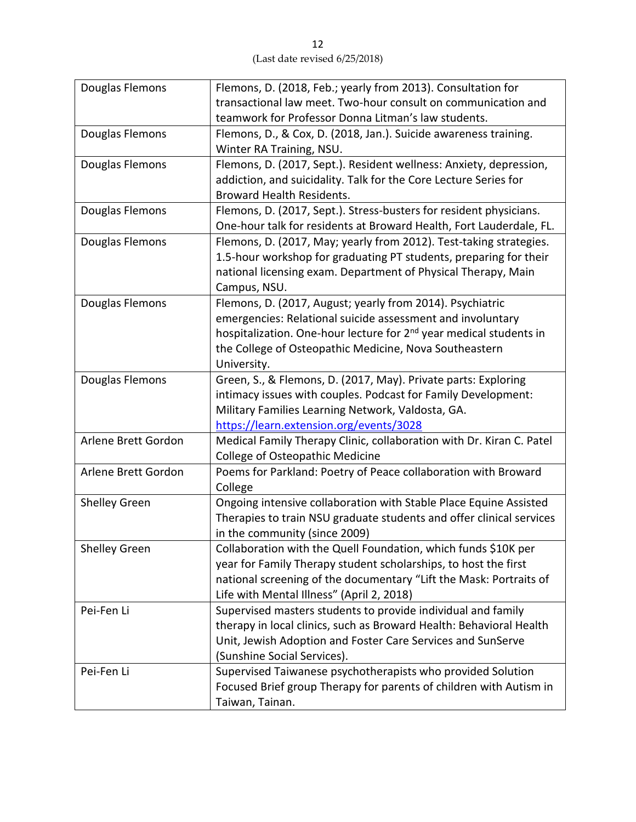| Douglas Flemons      | Flemons, D. (2018, Feb.; yearly from 2013). Consultation for                   |
|----------------------|--------------------------------------------------------------------------------|
|                      | transactional law meet. Two-hour consult on communication and                  |
|                      | teamwork for Professor Donna Litman's law students.                            |
| Douglas Flemons      | Flemons, D., & Cox, D. (2018, Jan.). Suicide awareness training.               |
|                      | Winter RA Training, NSU.                                                       |
| Douglas Flemons      | Flemons, D. (2017, Sept.). Resident wellness: Anxiety, depression,             |
|                      | addiction, and suicidality. Talk for the Core Lecture Series for               |
|                      | <b>Broward Health Residents.</b>                                               |
| Douglas Flemons      | Flemons, D. (2017, Sept.). Stress-busters for resident physicians.             |
|                      | One-hour talk for residents at Broward Health, Fort Lauderdale, FL.            |
| Douglas Flemons      | Flemons, D. (2017, May; yearly from 2012). Test-taking strategies.             |
|                      | 1.5-hour workshop for graduating PT students, preparing for their              |
|                      | national licensing exam. Department of Physical Therapy, Main                  |
|                      | Campus, NSU.                                                                   |
| Douglas Flemons      | Flemons, D. (2017, August; yearly from 2014). Psychiatric                      |
|                      | emergencies: Relational suicide assessment and involuntary                     |
|                      | hospitalization. One-hour lecture for 2 <sup>nd</sup> year medical students in |
|                      | the College of Osteopathic Medicine, Nova Southeastern                         |
|                      | University.                                                                    |
| Douglas Flemons      | Green, S., & Flemons, D. (2017, May). Private parts: Exploring                 |
|                      | intimacy issues with couples. Podcast for Family Development:                  |
|                      | Military Families Learning Network, Valdosta, GA.                              |
|                      | https://learn.extension.org/events/3028                                        |
| Arlene Brett Gordon  | Medical Family Therapy Clinic, collaboration with Dr. Kiran C. Patel           |
|                      | College of Osteopathic Medicine                                                |
| Arlene Brett Gordon  | Poems for Parkland: Poetry of Peace collaboration with Broward                 |
|                      | College                                                                        |
| Shelley Green        | Ongoing intensive collaboration with Stable Place Equine Assisted              |
|                      | Therapies to train NSU graduate students and offer clinical services           |
|                      | in the community (since 2009)                                                  |
| <b>Shelley Green</b> | Collaboration with the Quell Foundation, which funds \$10K per                 |
|                      | year for Family Therapy student scholarships, to host the first                |
|                      | national screening of the documentary "Lift the Mask: Portraits of             |
|                      | Life with Mental Illness" (April 2, 2018)                                      |
| Pei-Fen Li           | Supervised masters students to provide individual and family                   |
|                      | therapy in local clinics, such as Broward Health: Behavioral Health            |
|                      | Unit, Jewish Adoption and Foster Care Services and SunServe                    |
|                      | (Sunshine Social Services).                                                    |
| Pei-Fen Li           | Supervised Taiwanese psychotherapists who provided Solution                    |
|                      | Focused Brief group Therapy for parents of children with Autism in             |
|                      | Taiwan, Tainan.                                                                |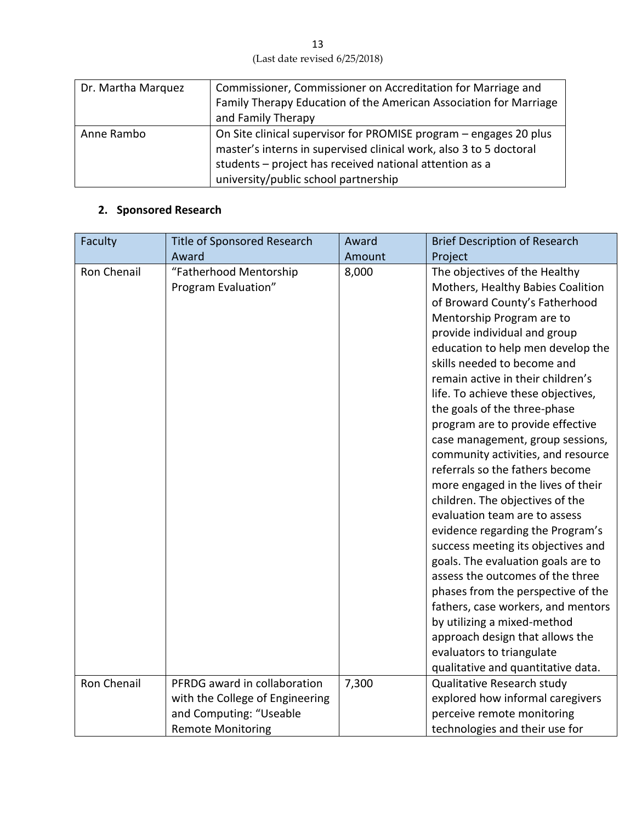13 (Last date revised 6/25/2018)

| Dr. Martha Marquez | Commissioner, Commissioner on Accreditation for Marriage and       |
|--------------------|--------------------------------------------------------------------|
|                    | Family Therapy Education of the American Association for Marriage  |
|                    | and Family Therapy                                                 |
| Anne Rambo         | On Site clinical supervisor for PROMISE program - engages 20 plus  |
|                    | master's interns in supervised clinical work, also 3 to 5 doctoral |
|                    | students - project has received national attention as a            |
|                    | university/public school partnership                               |

## **2. Sponsored Research**

| Faculty            | Title of Sponsored Research                   | Award  | <b>Brief Description of Research</b>                                                                                                                                                                                                                                                                                                                                                                                                                                                                                                                                                                                                                                                                                                                                                                                                                                                                                                                                             |
|--------------------|-----------------------------------------------|--------|----------------------------------------------------------------------------------------------------------------------------------------------------------------------------------------------------------------------------------------------------------------------------------------------------------------------------------------------------------------------------------------------------------------------------------------------------------------------------------------------------------------------------------------------------------------------------------------------------------------------------------------------------------------------------------------------------------------------------------------------------------------------------------------------------------------------------------------------------------------------------------------------------------------------------------------------------------------------------------|
|                    | Award                                         | Amount | Project                                                                                                                                                                                                                                                                                                                                                                                                                                                                                                                                                                                                                                                                                                                                                                                                                                                                                                                                                                          |
| Ron Chenail        | "Fatherhood Mentorship<br>Program Evaluation" | 8,000  | The objectives of the Healthy<br>Mothers, Healthy Babies Coalition<br>of Broward County's Fatherhood<br>Mentorship Program are to<br>provide individual and group<br>education to help men develop the<br>skills needed to become and<br>remain active in their children's<br>life. To achieve these objectives,<br>the goals of the three-phase<br>program are to provide effective<br>case management, group sessions,<br>community activities, and resource<br>referrals so the fathers become<br>more engaged in the lives of their<br>children. The objectives of the<br>evaluation team are to assess<br>evidence regarding the Program's<br>success meeting its objectives and<br>goals. The evaluation goals are to<br>assess the outcomes of the three<br>phases from the perspective of the<br>fathers, case workers, and mentors<br>by utilizing a mixed-method<br>approach design that allows the<br>evaluators to triangulate<br>qualitative and quantitative data. |
| <b>Ron Chenail</b> | PFRDG award in collaboration                  | 7,300  | Qualitative Research study                                                                                                                                                                                                                                                                                                                                                                                                                                                                                                                                                                                                                                                                                                                                                                                                                                                                                                                                                       |
|                    | with the College of Engineering               |        | explored how informal caregivers                                                                                                                                                                                                                                                                                                                                                                                                                                                                                                                                                                                                                                                                                                                                                                                                                                                                                                                                                 |
|                    | and Computing: "Useable                       |        | perceive remote monitoring                                                                                                                                                                                                                                                                                                                                                                                                                                                                                                                                                                                                                                                                                                                                                                                                                                                                                                                                                       |
|                    |                                               |        |                                                                                                                                                                                                                                                                                                                                                                                                                                                                                                                                                                                                                                                                                                                                                                                                                                                                                                                                                                                  |
|                    | <b>Remote Monitoring</b>                      |        | technologies and their use for                                                                                                                                                                                                                                                                                                                                                                                                                                                                                                                                                                                                                                                                                                                                                                                                                                                                                                                                                   |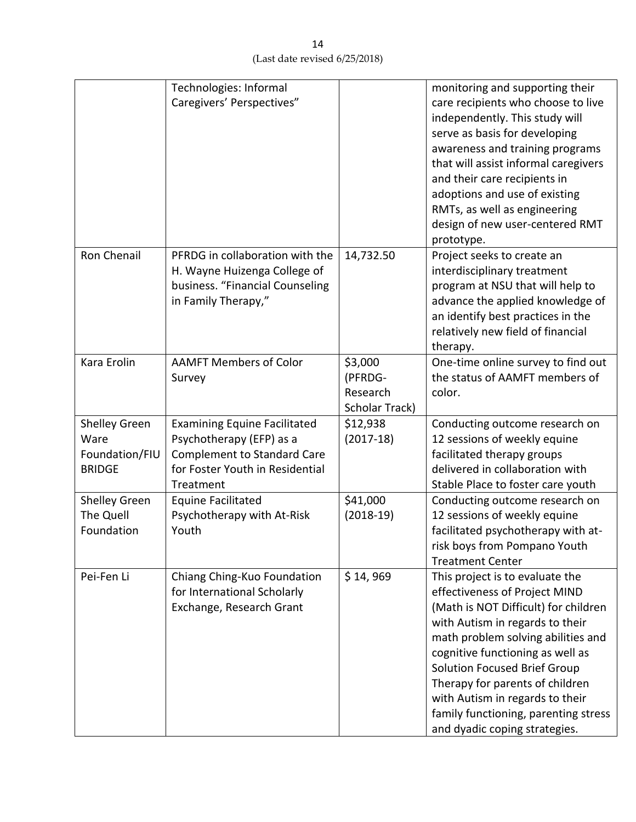|                                                          | Technologies: Informal<br>Caregivers' Perspectives"                                                                                                   |                                                  | monitoring and supporting their<br>care recipients who choose to live<br>independently. This study will<br>serve as basis for developing<br>awareness and training programs<br>that will assist informal caregivers<br>and their care recipients in<br>adoptions and use of existing<br>RMTs, as well as engineering<br>design of new user-centered RMT<br>prototype.                                       |
|----------------------------------------------------------|-------------------------------------------------------------------------------------------------------------------------------------------------------|--------------------------------------------------|-------------------------------------------------------------------------------------------------------------------------------------------------------------------------------------------------------------------------------------------------------------------------------------------------------------------------------------------------------------------------------------------------------------|
| Ron Chenail                                              | PFRDG in collaboration with the<br>H. Wayne Huizenga College of<br>business. "Financial Counseling<br>in Family Therapy,"                             | 14,732.50                                        | Project seeks to create an<br>interdisciplinary treatment<br>program at NSU that will help to<br>advance the applied knowledge of<br>an identify best practices in the<br>relatively new field of financial<br>therapy.                                                                                                                                                                                     |
| Kara Erolin                                              | <b>AAMFT Members of Color</b><br>Survey                                                                                                               | \$3,000<br>(PFRDG-<br>Research<br>Scholar Track) | One-time online survey to find out<br>the status of AAMFT members of<br>color.                                                                                                                                                                                                                                                                                                                              |
| Shelley Green<br>Ware<br>Foundation/FIU<br><b>BRIDGE</b> | <b>Examining Equine Facilitated</b><br>Psychotherapy (EFP) as a<br><b>Complement to Standard Care</b><br>for Foster Youth in Residential<br>Treatment | \$12,938<br>$(2017-18)$                          | Conducting outcome research on<br>12 sessions of weekly equine<br>facilitated therapy groups<br>delivered in collaboration with<br>Stable Place to foster care youth                                                                                                                                                                                                                                        |
| Shelley Green<br>The Quell<br>Foundation                 | <b>Equine Facilitated</b><br>Psychotherapy with At-Risk<br>Youth                                                                                      | \$41,000<br>$(2018-19)$                          | Conducting outcome research on<br>12 sessions of weekly equine<br>facilitated psychotherapy with at-<br>risk boys from Pompano Youth<br><b>Treatment Center</b>                                                                                                                                                                                                                                             |
| Pei-Fen Li                                               | Chiang Ching-Kuo Foundation<br>for International Scholarly<br>Exchange, Research Grant                                                                | \$14,969                                         | This project is to evaluate the<br>effectiveness of Project MIND<br>(Math is NOT Difficult) for children<br>with Autism in regards to their<br>math problem solving abilities and<br>cognitive functioning as well as<br><b>Solution Focused Brief Group</b><br>Therapy for parents of children<br>with Autism in regards to their<br>family functioning, parenting stress<br>and dyadic coping strategies. |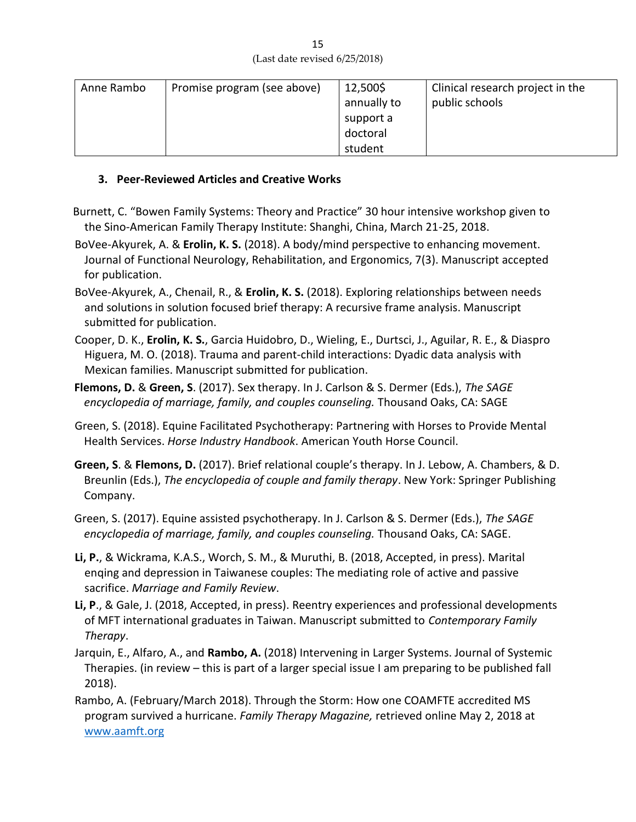| Anne Rambo | Promise program (see above) | 12,500\$    | Clinical research project in the |
|------------|-----------------------------|-------------|----------------------------------|
|            |                             | annually to | public schools                   |
|            |                             | support a   |                                  |
|            |                             | doctoral    |                                  |
|            |                             | student     |                                  |

## **3. Peer-Reviewed Articles and Creative Works**

- Burnett, C. "Bowen Family Systems: Theory and Practice" 30 hour intensive workshop given to the Sino-American Family Therapy Institute: Shanghi, China, March 21-25, 2018.
- BoVee-Akyurek, A. & **Erolin, K. S.** (2018). A body/mind perspective to enhancing movement. Journal of Functional Neurology, Rehabilitation, and Ergonomics, 7(3). Manuscript accepted for publication.
- BoVee-Akyurek, A., Chenail, R., & **Erolin, K. S.** (2018). Exploring relationships between needs and solutions in solution focused brief therapy: A recursive frame analysis. Manuscript submitted for publication.
- Cooper, D. K., **Erolin, K. S.**, Garcia Huidobro, D., Wieling, E., Durtsci, J., Aguilar, R. E., & Diaspro Higuera, M. O. (2018). Trauma and parent-child interactions: Dyadic data analysis with Mexican families. Manuscript submitted for publication.
- **Flemons, D.** & **Green, S**. (2017). Sex therapy. In J. Carlson & S. Dermer (Eds.), *The SAGE encyclopedia of marriage, family, and couples counseling.* Thousand Oaks, CA: SAGE
- Green, S. (2018). Equine Facilitated Psychotherapy: Partnering with Horses to Provide Mental Health Services. *Horse Industry Handbook*. American Youth Horse Council.
- **Green, S**. & **Flemons, D.** (2017). Brief relational couple's therapy. In J. Lebow, A. Chambers, & D. Breunlin (Eds.), *The encyclopedia of couple and family therapy*. New York: Springer Publishing Company.
- Green, S. (2017). Equine assisted psychotherapy. In J. Carlson & S. Dermer (Eds.), *The SAGE encyclopedia of marriage, family, and couples counseling.* Thousand Oaks, CA: SAGE.
- **Li, P.**, & Wickrama, K.A.S., Worch, S. M., & Muruthi, B. (2018, Accepted, in press). Marital enqing and depression in Taiwanese couples: The mediating role of active and passive sacrifice. *Marriage and Family Review*.
- **Li, P**., & Gale, J. (2018, Accepted, in press). Reentry experiences and professional developments of MFT international graduates in Taiwan. Manuscript submitted to *Contemporary Family Therapy*.
- Jarquin, E., Alfaro, A., and **Rambo, A.** (2018) Intervening in Larger Systems. Journal of Systemic Therapies. (in review – this is part of a larger special issue I am preparing to be published fall 2018).
- Rambo, A. (February/March 2018). Through the Storm: How one COAMFTE accredited MS program survived a hurricane. *Family Therapy Magazine,* retrieved online May 2, 2018 at [www.aamft.org](http://www.aamft.org/)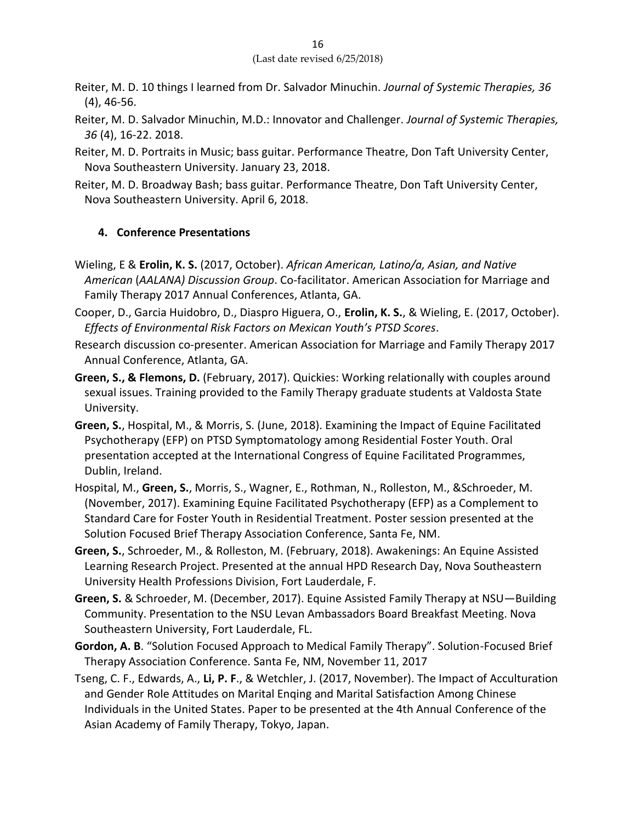- Reiter, M. D. 10 things I learned from Dr. Salvador Minuchin. *Journal of Systemic Therapies, 36* (4), 46-56.
- Reiter, M. D. Salvador Minuchin, M.D.: Innovator and Challenger. *Journal of Systemic Therapies, 36* (4), 16-22. 2018.
- Reiter, M. D. Portraits in Music; bass guitar. Performance Theatre, Don Taft University Center, Nova Southeastern University. January 23, 2018.
- Reiter, M. D. Broadway Bash; bass guitar. Performance Theatre, Don Taft University Center, Nova Southeastern University. April 6, 2018.

#### **4. Conference Presentations**

- Wieling, E & **Erolin, K. S.** (2017, October). *African American, Latino/a, Asian, and Native American* (*AALANA) Discussion Group*. Co-facilitator. American Association for Marriage and Family Therapy 2017 Annual Conferences, Atlanta, GA.
- Cooper, D., Garcia Huidobro, D., Diaspro Higuera, O., **Erolin, K. S.**, & Wieling, E. (2017, October). *Effects of Environmental Risk Factors on Mexican Youth's PTSD Scores*.
- Research discussion co-presenter. American Association for Marriage and Family Therapy 2017 Annual Conference, Atlanta, GA.
- **Green, S., & Flemons, D.** (February, 2017). Quickies: Working relationally with couples around sexual issues. Training provided to the Family Therapy graduate students at Valdosta State University.
- **Green, S.**, Hospital, M., & Morris, S. (June, 2018). Examining the Impact of Equine Facilitated Psychotherapy (EFP) on PTSD Symptomatology among Residential Foster Youth. Oral presentation accepted at the International Congress of Equine Facilitated Programmes, Dublin, Ireland.
- Hospital, M., **Green, S.**, Morris, S., Wagner, E., Rothman, N., Rolleston, M., &Schroeder, M. (November, 2017). Examining Equine Facilitated Psychotherapy (EFP) as a Complement to Standard Care for Foster Youth in Residential Treatment. Poster session presented at the Solution Focused Brief Therapy Association Conference, Santa Fe, NM.
- **Green, S.**, Schroeder, M., & Rolleston, M. (February, 2018). Awakenings: An Equine Assisted Learning Research Project. Presented at the annual HPD Research Day, Nova Southeastern University Health Professions Division, Fort Lauderdale, F.
- **Green, S.** & Schroeder, M. (December, 2017). Equine Assisted Family Therapy at NSU—Building Community. Presentation to the NSU Levan Ambassadors Board Breakfast Meeting. Nova Southeastern University, Fort Lauderdale, FL.
- **Gordon, A. B**. "Solution Focused Approach to Medical Family Therapy". Solution-Focused Brief Therapy Association Conference. Santa Fe, NM, November 11, 2017
- Tseng, C. F., Edwards, A., **Li, P. F**., & Wetchler, J. (2017, November). The Impact of Acculturation and Gender Role Attitudes on Marital Enqing and Marital Satisfaction Among Chinese Individuals in the United States. Paper to be presented at the 4th Annual Conference of the Asian Academy of Family Therapy, Tokyo, Japan.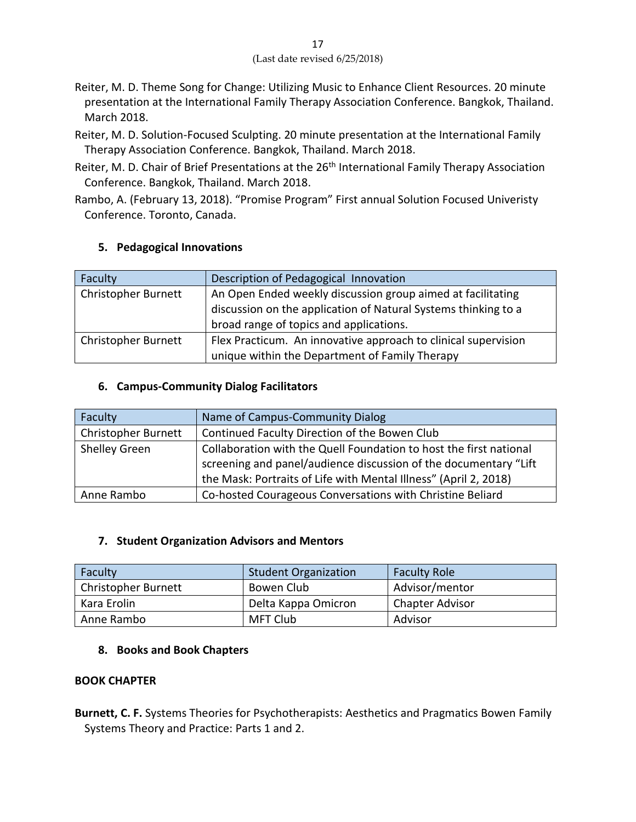- Reiter, M. D. Theme Song for Change: Utilizing Music to Enhance Client Resources. 20 minute presentation at the International Family Therapy Association Conference. Bangkok, Thailand. March 2018.
- Reiter, M. D. Solution-Focused Sculpting. 20 minute presentation at the International Family Therapy Association Conference. Bangkok, Thailand. March 2018.
- Reiter, M. D. Chair of Brief Presentations at the 26<sup>th</sup> International Family Therapy Association Conference. Bangkok, Thailand. March 2018.
- Rambo, A. (February 13, 2018). "Promise Program" First annual Solution Focused Univeristy Conference. Toronto, Canada.

## **5. Pedagogical Innovations**

| Faculty                    | Description of Pedagogical Innovation                                                                                                                                    |
|----------------------------|--------------------------------------------------------------------------------------------------------------------------------------------------------------------------|
| Christopher Burnett        | An Open Ended weekly discussion group aimed at facilitating<br>discussion on the application of Natural Systems thinking to a<br>broad range of topics and applications. |
| <b>Christopher Burnett</b> | Flex Practicum. An innovative approach to clinical supervision<br>unique within the Department of Family Therapy                                                         |

#### **6. Campus-Community Dialog Facilitators**

| Faculty             | Name of Campus-Community Dialog                                    |
|---------------------|--------------------------------------------------------------------|
| Christopher Burnett | Continued Faculty Direction of the Bowen Club                      |
| Shelley Green       | Collaboration with the Quell Foundation to host the first national |
|                     | screening and panel/audience discussion of the documentary "Lift"  |
|                     | the Mask: Portraits of Life with Mental Illness" (April 2, 2018)   |
| Anne Rambo          | Co-hosted Courageous Conversations with Christine Beliard          |

#### **7. Student Organization Advisors and Mentors**

| Faculty             | <b>Student Organization</b> | <b>Faculty Role</b>    |
|---------------------|-----------------------------|------------------------|
| Christopher Burnett | Bowen Club                  | Advisor/mentor         |
| Kara Erolin         | Delta Kappa Omicron         | <b>Chapter Advisor</b> |
| Anne Rambo          | <b>MFT Club</b>             | Advisor                |

## **8. Books and Book Chapters**

#### **BOOK CHAPTER**

**Burnett, C. F.** Systems Theories for Psychotherapists: Aesthetics and Pragmatics Bowen Family Systems Theory and Practice: Parts 1 and 2.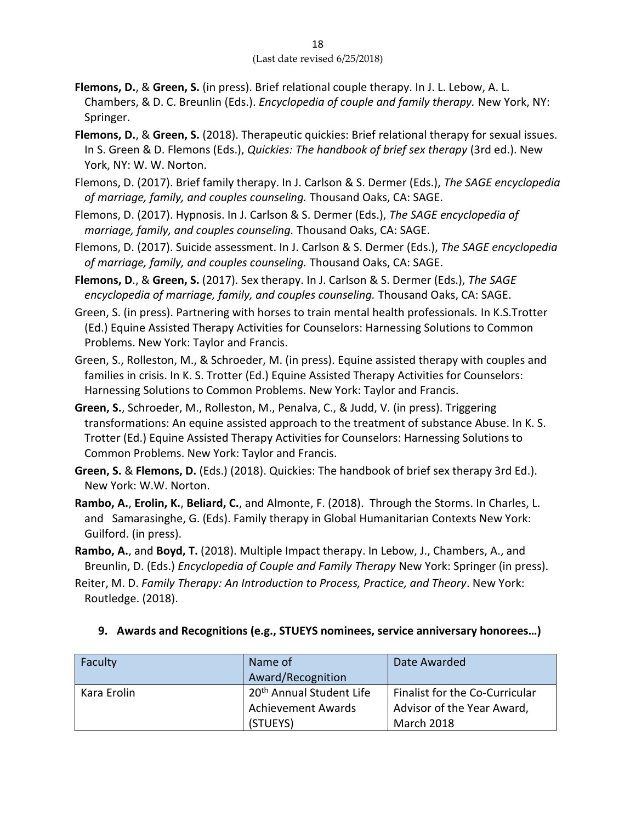- **Flemons, D.**, & **Green, S.** (in press). Brief relational couple therapy. In J. L. Lebow, A. L. Chambers, & D. C. Breunlin (Eds.). *Encyclopedia of couple and family therapy.* New York, NY: Springer.
- **Flemons, D.**, & **Green, S.** (2018). Therapeutic quickies: Brief relational therapy for sexual issues. In S. Green & D. Flemons (Eds.), *Quickies: The handbook of brief sex therapy* (3rd ed.). New York, NY: W. W. Norton.
- Flemons, D. (2017). Brief family therapy. In J. Carlson & S. Dermer (Eds.), *The SAGE encyclopedia of marriage, family, and couples counseling.* Thousand Oaks, CA: SAGE.
- Flemons, D. (2017). Hypnosis. In J. Carlson & S. Dermer (Eds.), *The SAGE encyclopedia of marriage, family, and couples counseling.* Thousand Oaks, CA: SAGE.
- Flemons, D. (2017). Suicide assessment. In J. Carlson & S. Dermer (Eds.), *The SAGE encyclopedia of marriage, family, and couples counseling.* Thousand Oaks, CA: SAGE.
- **Flemons, D**., & **Green, S.** (2017). Sex therapy. In J. Carlson & S. Dermer (Eds.), *The SAGE encyclopedia of marriage, family, and couples counseling.* Thousand Oaks, CA: SAGE.
- Green, S. (in press). Partnering with horses to train mental health professionals. In K.S.Trotter (Ed.) Equine Assisted Therapy Activities for Counselors: Harnessing Solutions to Common Problems. New York: Taylor and Francis.
- Green, S., Rolleston, M., & Schroeder, M. (in press). Equine assisted therapy with couples and families in crisis. In K. S. Trotter (Ed.) Equine Assisted Therapy Activities for Counselors: Harnessing Solutions to Common Problems. New York: Taylor and Francis.
- **Green, S.**, Schroeder, M., Rolleston, M., Penalva, C., & Judd, V. (in press). Triggering transformations: An equine assisted approach to the treatment of substance Abuse. In K. S. Trotter (Ed.) Equine Assisted Therapy Activities for Counselors: Harnessing Solutions to Common Problems. New York: Taylor and Francis.
- **Green, S.** & **Flemons, D.** (Eds.) (2018). Quickies: The handbook of brief sex therapy 3rd Ed.). New York: W.W. Norton.
- **Rambo, A.**, **Erolin, K.**, **Beliard, C.**, and Almonte, F. (2018). Through the Storms. In Charles, L. and Samarasinghe, G. (Eds). Family therapy in Global Humanitarian Contexts New York: Guilford. (in press).
- **Rambo, A.**, and **Boyd, T.** (2018). Multiple Impact therapy. In Lebow, J., Chambers, A., and Breunlin, D. (Eds.) *Encyclopedia of Couple and Family Therapy* New York: Springer (in press).
- Reiter, M. D. *Family Therapy: An Introduction to Process, Practice, and Theory*. New York: Routledge. (2018).

| Faculty     | Name of<br>Award/Recognition         | Date Awarded                   |
|-------------|--------------------------------------|--------------------------------|
| Kara Erolin | 20 <sup>th</sup> Annual Student Life | Finalist for the Co-Curricular |
|             | <b>Achievement Awards</b>            | Advisor of the Year Award,     |
|             | (STUEYS)                             | March 2018                     |

## **9. Awards and Recognitions (e.g., STUEYS nominees, service anniversary honorees…)**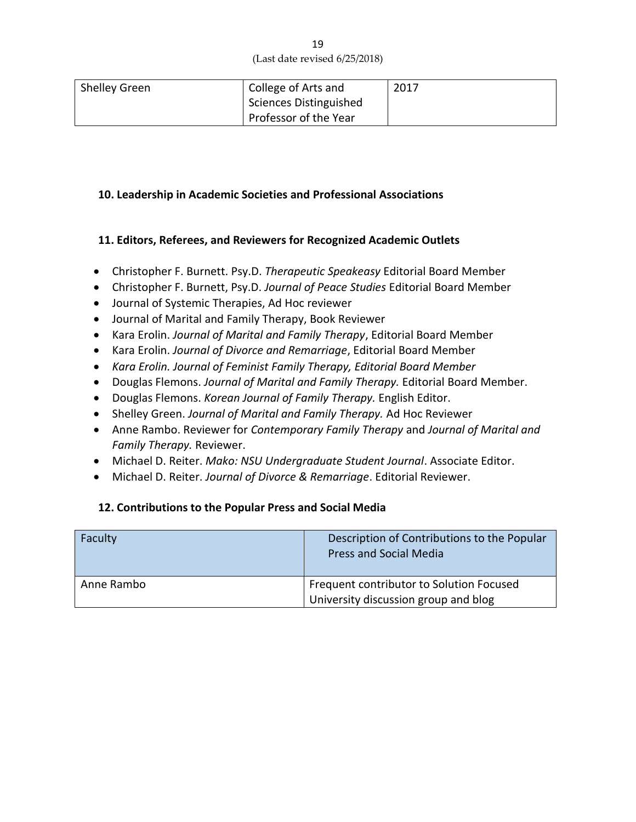| <b>Shelley Green</b> | College of Arts and           | 2017 |
|----------------------|-------------------------------|------|
|                      | <b>Sciences Distinguished</b> |      |
|                      | Professor of the Year         |      |

#### **10. Leadership in Academic Societies and Professional Associations**

#### **11. Editors, Referees, and Reviewers for Recognized Academic Outlets**

- Christopher F. Burnett. Psy.D. *Therapeutic Speakeasy* Editorial Board Member
- Christopher F. Burnett, Psy.D. *Journal of Peace Studies* Editorial Board Member
- Journal of Systemic Therapies, Ad Hoc reviewer
- Journal of Marital and Family Therapy, Book Reviewer
- Kara Erolin. *Journal of Marital and Family Therapy*, Editorial Board Member
- Kara Erolin. *Journal of Divorce and Remarriage*, Editorial Board Member
- *Kara Erolin. Journal of Feminist Family Therapy, Editorial Board Member*
- Douglas Flemons. *Journal of Marital and Family Therapy.* Editorial Board Member.
- Douglas Flemons. *Korean Journal of Family Therapy.* English Editor.
- Shelley Green. *Journal of Marital and Family Therapy.* Ad Hoc Reviewer
- Anne Rambo. Reviewer for *Contemporary Family Therapy* and *Journal of Marital and Family Therapy.* Reviewer.
- Michael D. Reiter. *Mako: NSU Undergraduate Student Journal*. Associate Editor.
- Michael D. Reiter. *Journal of Divorce & Remarriage*. Editorial Reviewer.

#### **12. Contributions to the Popular Press and Social Media**

| Faculty    | Description of Contributions to the Popular<br><b>Press and Social Media</b>     |
|------------|----------------------------------------------------------------------------------|
| Anne Rambo | Frequent contributor to Solution Focused<br>University discussion group and blog |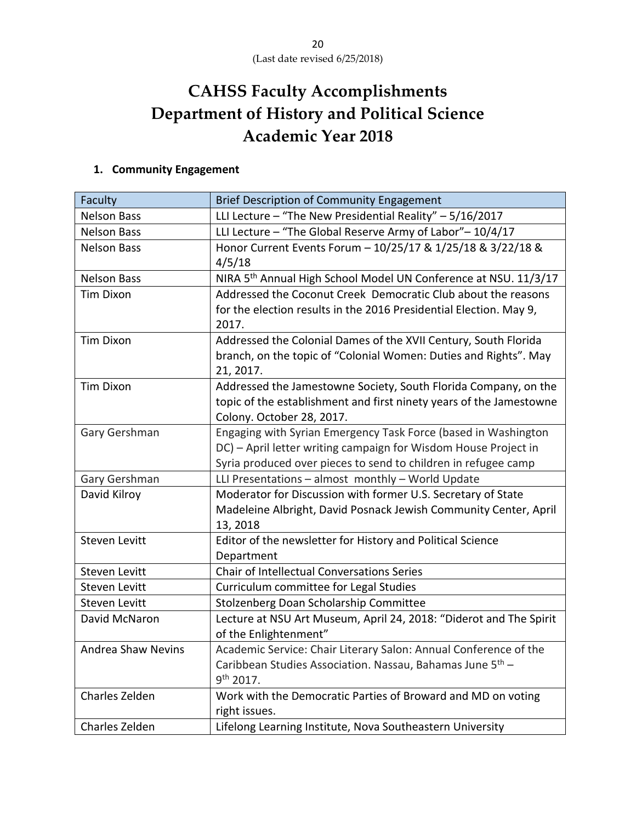# **CAHSS Faculty Accomplishments Department of History and Political Science Academic Year 2018**

# **1. Community Engagement**

| Faculty                   | Brief Description of Community Engagement                                   |  |  |
|---------------------------|-----------------------------------------------------------------------------|--|--|
| <b>Nelson Bass</b>        | LLI Lecture - "The New Presidential Reality" - 5/16/2017                    |  |  |
| <b>Nelson Bass</b>        | LLI Lecture - "The Global Reserve Army of Labor"-10/4/17                    |  |  |
| <b>Nelson Bass</b>        | Honor Current Events Forum - 10/25/17 & 1/25/18 & 3/22/18 &                 |  |  |
|                           | 4/5/18                                                                      |  |  |
| <b>Nelson Bass</b>        | NIRA 5 <sup>th</sup> Annual High School Model UN Conference at NSU. 11/3/17 |  |  |
| <b>Tim Dixon</b>          | Addressed the Coconut Creek Democratic Club about the reasons               |  |  |
|                           | for the election results in the 2016 Presidential Election. May 9,          |  |  |
|                           | 2017.                                                                       |  |  |
| <b>Tim Dixon</b>          | Addressed the Colonial Dames of the XVII Century, South Florida             |  |  |
|                           | branch, on the topic of "Colonial Women: Duties and Rights". May            |  |  |
|                           | 21, 2017.                                                                   |  |  |
| <b>Tim Dixon</b>          | Addressed the Jamestowne Society, South Florida Company, on the             |  |  |
|                           | topic of the establishment and first ninety years of the Jamestowne         |  |  |
|                           | Colony. October 28, 2017.                                                   |  |  |
| Gary Gershman             | Engaging with Syrian Emergency Task Force (based in Washington              |  |  |
|                           | DC) - April letter writing campaign for Wisdom House Project in             |  |  |
|                           | Syria produced over pieces to send to children in refugee camp              |  |  |
| Gary Gershman             | LLI Presentations - almost monthly - World Update                           |  |  |
| David Kilroy              | Moderator for Discussion with former U.S. Secretary of State                |  |  |
|                           | Madeleine Albright, David Posnack Jewish Community Center, April            |  |  |
|                           | 13, 2018                                                                    |  |  |
| <b>Steven Levitt</b>      | Editor of the newsletter for History and Political Science                  |  |  |
|                           | Department                                                                  |  |  |
| Steven Levitt             | Chair of Intellectual Conversations Series                                  |  |  |
| <b>Steven Levitt</b>      | Curriculum committee for Legal Studies                                      |  |  |
| <b>Steven Levitt</b>      | Stolzenberg Doan Scholarship Committee                                      |  |  |
| David McNaron             | Lecture at NSU Art Museum, April 24, 2018: "Diderot and The Spirit          |  |  |
|                           | of the Enlightenment"                                                       |  |  |
| <b>Andrea Shaw Nevins</b> | Academic Service: Chair Literary Salon: Annual Conference of the            |  |  |
|                           | Caribbean Studies Association. Nassau, Bahamas June 5 <sup>th</sup> -       |  |  |
|                           | 9 <sup>th</sup> 2017.                                                       |  |  |
| Charles Zelden            | Work with the Democratic Parties of Broward and MD on voting                |  |  |
|                           | right issues.                                                               |  |  |
| Charles Zelden            | Lifelong Learning Institute, Nova Southeastern University                   |  |  |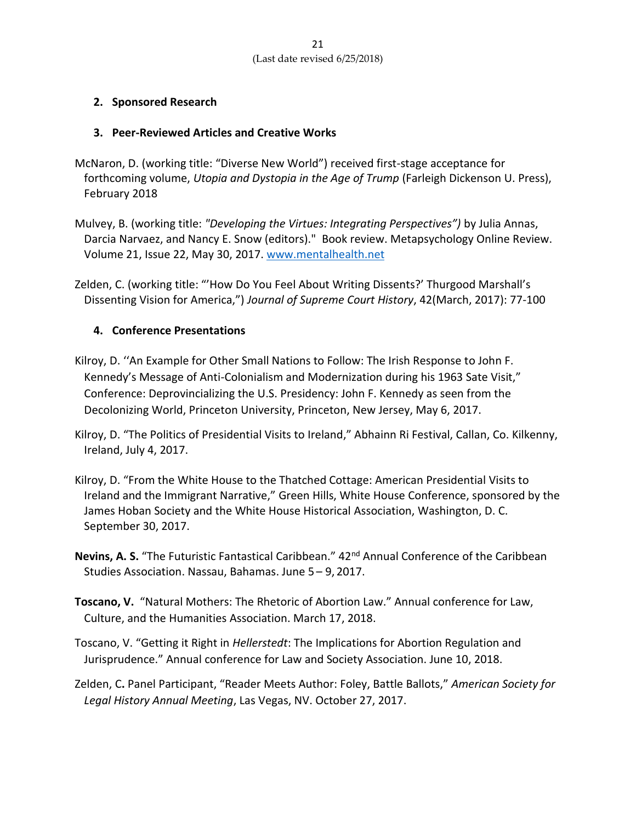## **2. Sponsored Research**

### **3. Peer-Reviewed Articles and Creative Works**

- McNaron, D. (working title: "Diverse New World") received first-stage acceptance for forthcoming volume, *Utopia and Dystopia in the Age of Trump* (Farleigh Dickenson U. Press), February 2018
- Mulvey, B. (working title: *"Developing the Virtues: Integrating Perspectives")* by Julia Annas, Darcia Narvaez, and Nancy E. Snow (editors)." Book review. [Metapsychology Online Review.](http://metapsychology.mentalhelp.net/poc/view_doc.php?type=book&id=7685&cn=135) Volume 21, Issue 22, May 30, 2017[. www.mentalhealth.net](http://www.mentalhealth.net/)
- Zelden, C. (working title: "'How Do You Feel About Writing Dissents?' Thurgood Marshall's Dissenting Vision for America,") *Journal of Supreme Court History*, 42(March, 2017): 77-100

## **4. Conference Presentations**

- Kilroy, D. ''An Example for Other Small Nations to Follow: The Irish Response to John F. Kennedy's Message of Anti-Colonialism and Modernization during his 1963 Sate Visit," Conference: Deprovincializing the U.S. Presidency: John F. Kennedy as seen from the Decolonizing World, Princeton University, Princeton, New Jersey, May 6, 2017.
- Kilroy, D. "The Politics of Presidential Visits to Ireland," Abhainn Ri Festival, Callan, Co. Kilkenny, Ireland, July 4, 2017.
- Kilroy, D. "From the White House to the Thatched Cottage: American Presidential Visits to Ireland and the Immigrant Narrative," Green Hills, White House Conference, sponsored by the James Hoban Society and the White House Historical Association, Washington, D. C. September 30, 2017.
- **Nevins, A. S.** "The Futuristic Fantastical Caribbean." 42<sup>nd</sup> Annual Conference of the Caribbean Studies Association. Nassau, Bahamas. June 5 – 9, 2017.
- **Toscano, V.** "Natural Mothers: The Rhetoric of Abortion Law." Annual conference for Law, Culture, and the Humanities Association. March 17, 2018.
- Toscano, V. "Getting it Right in *Hellerstedt*: The Implications for Abortion Regulation and Jurisprudence." Annual conference for Law and Society Association. June 10, 2018.
- Zelden, C**.** Panel Participant, "Reader Meets Author: Foley, Battle Ballots," *American Society for Legal History Annual Meeting*, Las Vegas, NV. October 27, 2017.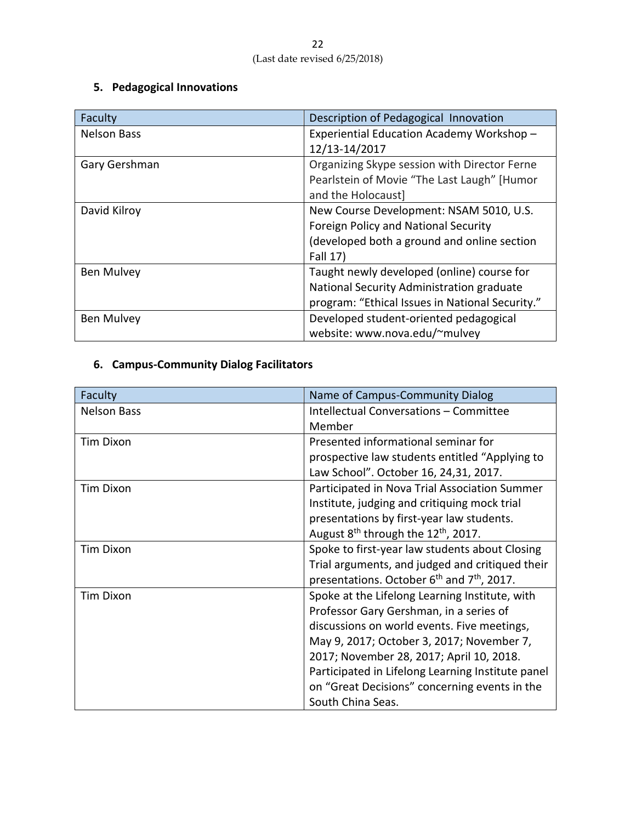# **5. Pedagogical Innovations**

| Faculty            | Description of Pedagogical Innovation           |  |
|--------------------|-------------------------------------------------|--|
| <b>Nelson Bass</b> | Experiential Education Academy Workshop -       |  |
|                    | 12/13-14/2017                                   |  |
| Gary Gershman      | Organizing Skype session with Director Ferne    |  |
|                    | Pearlstein of Movie "The Last Laugh" [Humor     |  |
|                    | and the Holocaust]                              |  |
| David Kilroy       | New Course Development: NSAM 5010, U.S.         |  |
|                    | Foreign Policy and National Security            |  |
|                    | (developed both a ground and online section     |  |
|                    | Fall 17)                                        |  |
| <b>Ben Mulvey</b>  | Taught newly developed (online) course for      |  |
|                    | National Security Administration graduate       |  |
|                    | program: "Ethical Issues in National Security." |  |
| <b>Ben Mulvey</b>  | Developed student-oriented pedagogical          |  |
|                    | website: www.nova.edu/~mulvey                   |  |

# **6. Campus-Community Dialog Facilitators**

| Faculty            | Name of Campus-Community Dialog                                    |  |  |
|--------------------|--------------------------------------------------------------------|--|--|
| <b>Nelson Bass</b> | Intellectual Conversations - Committee                             |  |  |
|                    | Member                                                             |  |  |
| <b>Tim Dixon</b>   | Presented informational seminar for                                |  |  |
|                    | prospective law students entitled "Applying to                     |  |  |
|                    | Law School". October 16, 24,31, 2017.                              |  |  |
| <b>Tim Dixon</b>   | Participated in Nova Trial Association Summer                      |  |  |
|                    | Institute, judging and critiquing mock trial                       |  |  |
|                    | presentations by first-year law students.                          |  |  |
|                    | August 8 <sup>th</sup> through the 12 <sup>th</sup> , 2017.        |  |  |
| <b>Tim Dixon</b>   | Spoke to first-year law students about Closing                     |  |  |
|                    | Trial arguments, and judged and critiqued their                    |  |  |
|                    | presentations. October 6 <sup>th</sup> and 7 <sup>th</sup> , 2017. |  |  |
| <b>Tim Dixon</b>   | Spoke at the Lifelong Learning Institute, with                     |  |  |
|                    | Professor Gary Gershman, in a series of                            |  |  |
|                    | discussions on world events. Five meetings,                        |  |  |
|                    | May 9, 2017; October 3, 2017; November 7,                          |  |  |
|                    | 2017; November 28, 2017; April 10, 2018.                           |  |  |
|                    | Participated in Lifelong Learning Institute panel                  |  |  |
|                    | on "Great Decisions" concerning events in the                      |  |  |
|                    | South China Seas.                                                  |  |  |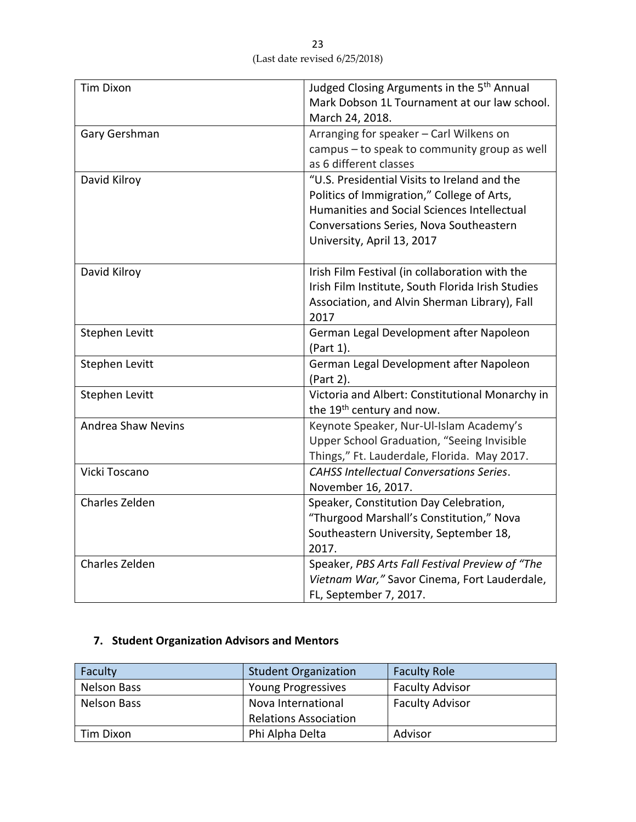| <b>Tim Dixon</b>          | Judged Closing Arguments in the 5 <sup>th</sup> Annual |
|---------------------------|--------------------------------------------------------|
|                           | Mark Dobson 1L Tournament at our law school.           |
|                           | March 24, 2018.                                        |
| Gary Gershman             | Arranging for speaker - Carl Wilkens on                |
|                           | campus - to speak to community group as well           |
|                           | as 6 different classes                                 |
| David Kilroy              | "U.S. Presidential Visits to Ireland and the           |
|                           | Politics of Immigration," College of Arts,             |
|                           | Humanities and Social Sciences Intellectual            |
|                           | Conversations Series, Nova Southeastern                |
|                           | University, April 13, 2017                             |
|                           |                                                        |
| David Kilroy              | Irish Film Festival (in collaboration with the         |
|                           | Irish Film Institute, South Florida Irish Studies      |
|                           | Association, and Alvin Sherman Library), Fall          |
|                           | 2017                                                   |
| Stephen Levitt            | German Legal Development after Napoleon                |
|                           | (Part 1).                                              |
| <b>Stephen Levitt</b>     | German Legal Development after Napoleon                |
|                           | (Part 2).                                              |
| Stephen Levitt            | Victoria and Albert: Constitutional Monarchy in        |
|                           | the 19 <sup>th</sup> century and now.                  |
| <b>Andrea Shaw Nevins</b> | Keynote Speaker, Nur-Ul-Islam Academy's                |
|                           | Upper School Graduation, "Seeing Invisible             |
|                           | Things," Ft. Lauderdale, Florida. May 2017.            |
| Vicki Toscano             | <b>CAHSS Intellectual Conversations Series.</b>        |
|                           | November 16, 2017.                                     |
| Charles Zelden            | Speaker, Constitution Day Celebration,                 |
|                           | "Thurgood Marshall's Constitution," Nova               |
|                           | Southeastern University, September 18,                 |
|                           | 2017.                                                  |
| Charles Zelden            | Speaker, PBS Arts Fall Festival Preview of "The        |
|                           | Vietnam War," Savor Cinema, Fort Lauderdale,           |
|                           | FL, September 7, 2017.                                 |

# **7. Student Organization Advisors and Mentors**

| Faculty            | <b>Student Organization</b>  | <b>Faculty Role</b>    |
|--------------------|------------------------------|------------------------|
| <b>Nelson Bass</b> | <b>Young Progressives</b>    | <b>Faculty Advisor</b> |
| <b>Nelson Bass</b> | Nova International           | <b>Faculty Advisor</b> |
|                    | <b>Relations Association</b> |                        |
| Tim Dixon          | Phi Alpha Delta              | Advisor                |

23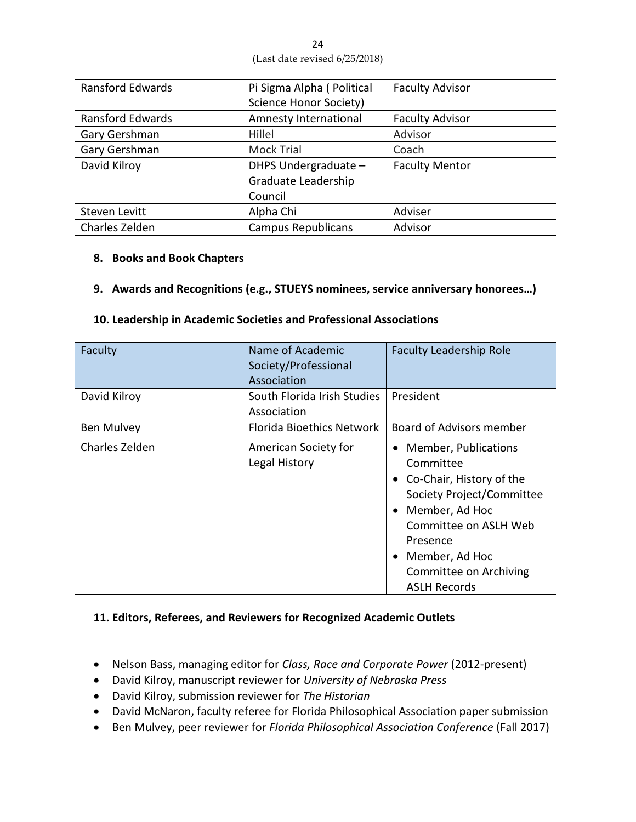| <b>Ransford Edwards</b> | Pi Sigma Alpha (Political<br><b>Faculty Advisor</b> |                       |
|-------------------------|-----------------------------------------------------|-----------------------|
|                         | <b>Science Honor Society)</b>                       |                       |
| <b>Ransford Edwards</b> | Amnesty International<br><b>Faculty Advisor</b>     |                       |
| Gary Gershman           | Hillel                                              | Advisor               |
| Gary Gershman           | <b>Mock Trial</b>                                   | Coach                 |
| David Kilroy            | DHPS Undergraduate -                                | <b>Faculty Mentor</b> |
|                         | Graduate Leadership                                 |                       |
|                         | Council                                             |                       |
| Steven Levitt           | Alpha Chi                                           | Adviser               |
| Charles Zelden          | <b>Campus Republicans</b>                           | Advisor               |

#### **8. Books and Book Chapters**

**9. Awards and Recognitions (e.g., STUEYS nominees, service anniversary honorees…)**

| Faculty        | Name of Academic<br>Society/Professional<br>Association | <b>Faculty Leadership Role</b>                                                                                                                                                                                                                                       |  |
|----------------|---------------------------------------------------------|----------------------------------------------------------------------------------------------------------------------------------------------------------------------------------------------------------------------------------------------------------------------|--|
| David Kilroy   | South Florida Irish Studies<br>Association              | President                                                                                                                                                                                                                                                            |  |
| Ben Mulvey     | Florida Bioethics Network                               | Board of Advisors member                                                                                                                                                                                                                                             |  |
| Charles Zelden | American Society for<br>Legal History                   | <b>Member, Publications</b><br>$\bullet$<br>Committee<br>• Co-Chair, History of the<br>Society Project/Committee<br>Member, Ad Hoc<br>$\bullet$<br>Committee on ASLH Web<br>Presence<br>Member, Ad Hoc<br>$\bullet$<br>Committee on Archiving<br><b>ASLH Records</b> |  |

#### **10. Leadership in Academic Societies and Professional Associations**

## **11. Editors, Referees, and Reviewers for Recognized Academic Outlets**

- Nelson Bass, managing editor for *Class, Race and Corporate Power* (2012-present)
- David Kilroy, manuscript reviewer for *University of Nebraska Press*
- David Kilroy, submission reviewer for *The Historian*
- David McNaron, faculty referee for Florida Philosophical Association paper submission
- Ben Mulvey, peer reviewer for *Florida Philosophical Association Conference* (Fall 2017)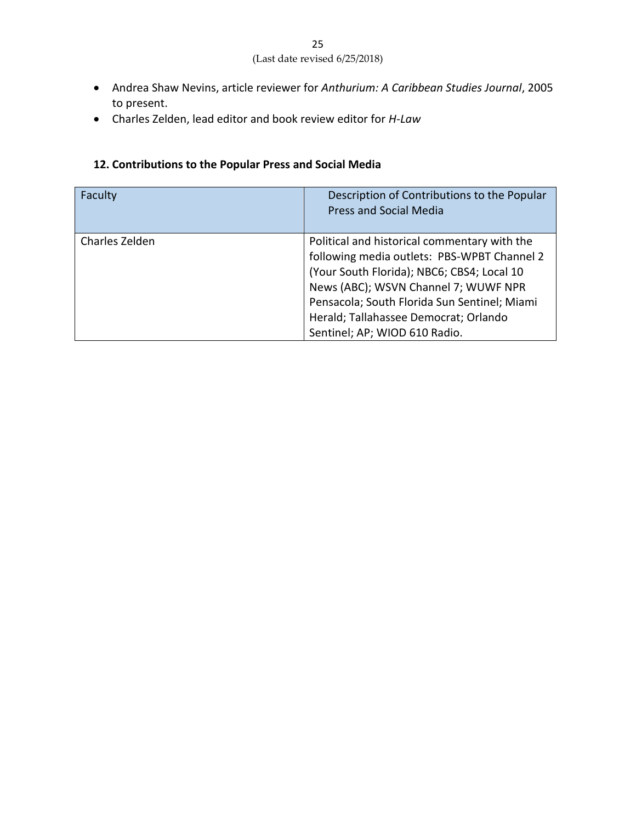- Andrea Shaw Nevins, article reviewer for *Anthurium: A Caribbean Studies Journal*, 2005 to present.
- Charles Zelden, lead editor and book review editor for *H-Law*

## **12. Contributions to the Popular Press and Social Media**

| Faculty        | Description of Contributions to the Popular<br><b>Press and Social Media</b>                                                                                                                                                                                                                                |
|----------------|-------------------------------------------------------------------------------------------------------------------------------------------------------------------------------------------------------------------------------------------------------------------------------------------------------------|
| Charles Zelden | Political and historical commentary with the<br>following media outlets: PBS-WPBT Channel 2<br>(Your South Florida); NBC6; CBS4; Local 10<br>News (ABC); WSVN Channel 7; WUWF NPR<br>Pensacola; South Florida Sun Sentinel; Miami<br>Herald; Tallahassee Democrat; Orlando<br>Sentinel; AP; WIOD 610 Radio. |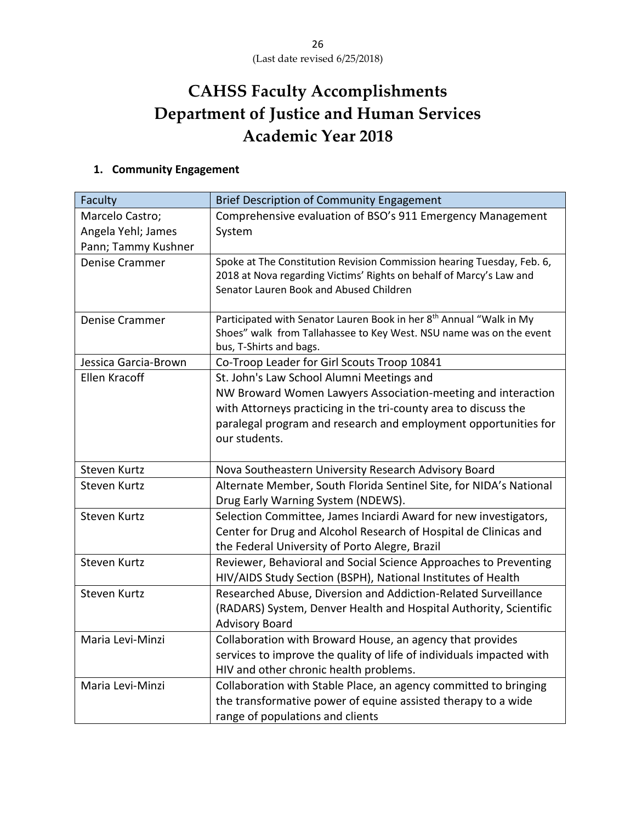# **CAHSS Faculty Accomplishments Department of Justice and Human Services Academic Year 2018**

# **1. Community Engagement**

| Faculty               | <b>Brief Description of Community Engagement</b>                                                                                                                                         |  |  |
|-----------------------|------------------------------------------------------------------------------------------------------------------------------------------------------------------------------------------|--|--|
| Marcelo Castro;       | Comprehensive evaluation of BSO's 911 Emergency Management                                                                                                                               |  |  |
| Angela Yehl; James    | System                                                                                                                                                                                   |  |  |
| Pann; Tammy Kushner   |                                                                                                                                                                                          |  |  |
| <b>Denise Crammer</b> | Spoke at The Constitution Revision Commission hearing Tuesday, Feb. 6,<br>2018 at Nova regarding Victims' Rights on behalf of Marcy's Law and<br>Senator Lauren Book and Abused Children |  |  |
| <b>Denise Crammer</b> | Participated with Senator Lauren Book in her 8 <sup>th</sup> Annual "Walk in My                                                                                                          |  |  |
|                       | Shoes" walk from Tallahassee to Key West. NSU name was on the event<br>bus, T-Shirts and bags.                                                                                           |  |  |
| Jessica Garcia-Brown  | Co-Troop Leader for Girl Scouts Troop 10841                                                                                                                                              |  |  |
| <b>Ellen Kracoff</b>  | St. John's Law School Alumni Meetings and                                                                                                                                                |  |  |
|                       | NW Broward Women Lawyers Association-meeting and interaction                                                                                                                             |  |  |
|                       | with Attorneys practicing in the tri-county area to discuss the                                                                                                                          |  |  |
|                       | paralegal program and research and employment opportunities for                                                                                                                          |  |  |
|                       | our students.                                                                                                                                                                            |  |  |
|                       |                                                                                                                                                                                          |  |  |
| Steven Kurtz          | Nova Southeastern University Research Advisory Board                                                                                                                                     |  |  |
| <b>Steven Kurtz</b>   | Alternate Member, South Florida Sentinel Site, for NIDA's National<br>Drug Early Warning System (NDEWS).                                                                                 |  |  |
| <b>Steven Kurtz</b>   | Selection Committee, James Inciardi Award for new investigators,                                                                                                                         |  |  |
|                       | Center for Drug and Alcohol Research of Hospital de Clinicas and                                                                                                                         |  |  |
|                       | the Federal University of Porto Alegre, Brazil                                                                                                                                           |  |  |
| <b>Steven Kurtz</b>   | Reviewer, Behavioral and Social Science Approaches to Preventing                                                                                                                         |  |  |
|                       | HIV/AIDS Study Section (BSPH), National Institutes of Health                                                                                                                             |  |  |
| Steven Kurtz          | Researched Abuse, Diversion and Addiction-Related Surveillance                                                                                                                           |  |  |
|                       | (RADARS) System, Denver Health and Hospital Authority, Scientific                                                                                                                        |  |  |
|                       | <b>Advisory Board</b>                                                                                                                                                                    |  |  |
| Maria Levi-Minzi      | Collaboration with Broward House, an agency that provides                                                                                                                                |  |  |
|                       | services to improve the quality of life of individuals impacted with                                                                                                                     |  |  |
|                       | HIV and other chronic health problems.                                                                                                                                                   |  |  |
| Maria Levi-Minzi      | Collaboration with Stable Place, an agency committed to bringing                                                                                                                         |  |  |
|                       | the transformative power of equine assisted therapy to a wide                                                                                                                            |  |  |
|                       | range of populations and clients                                                                                                                                                         |  |  |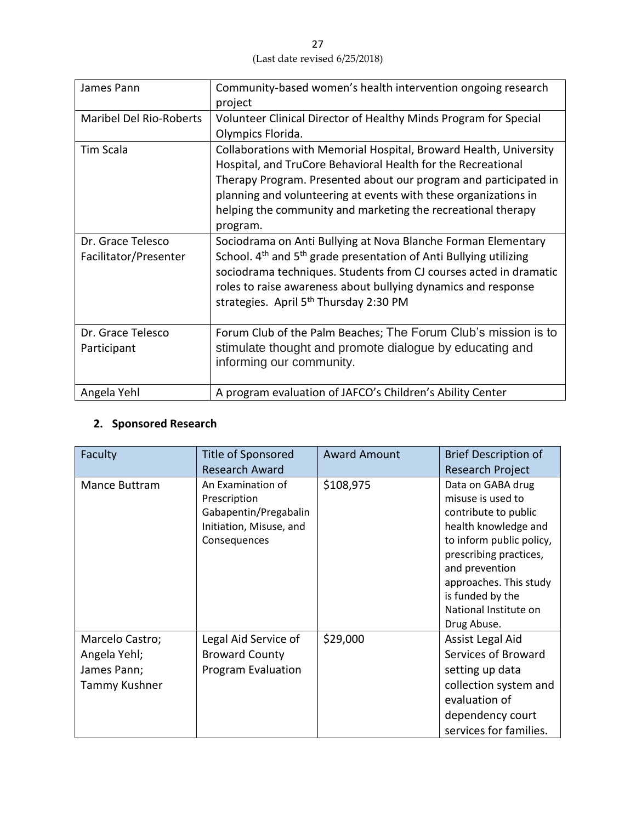27 (Last date revised 6/25/2018)

| James Pann                                 | Community-based women's health intervention ongoing research<br>project                                                                                                                                                                                                                                                                                |
|--------------------------------------------|--------------------------------------------------------------------------------------------------------------------------------------------------------------------------------------------------------------------------------------------------------------------------------------------------------------------------------------------------------|
| <b>Maribel Del Rio-Roberts</b>             | Volunteer Clinical Director of Healthy Minds Program for Special<br>Olympics Florida.                                                                                                                                                                                                                                                                  |
| Tim Scala                                  | Collaborations with Memorial Hospital, Broward Health, University<br>Hospital, and TruCore Behavioral Health for the Recreational<br>Therapy Program. Presented about our program and participated in<br>planning and volunteering at events with these organizations in<br>helping the community and marketing the recreational therapy<br>program.   |
| Dr. Grace Telesco<br>Facilitator/Presenter | Sociodrama on Anti Bullying at Nova Blanche Forman Elementary<br>School. 4 <sup>th</sup> and 5 <sup>th</sup> grade presentation of Anti Bullying utilizing<br>sociodrama techniques. Students from CJ courses acted in dramatic<br>roles to raise awareness about bullying dynamics and response<br>strategies. April 5 <sup>th</sup> Thursday 2:30 PM |
| Dr. Grace Telesco<br>Participant           | Forum Club of the Palm Beaches; The Forum Club's mission is to<br>stimulate thought and promote dialogue by educating and<br>informing our community.                                                                                                                                                                                                  |
| Angela Yehl                                | A program evaluation of JAFCO's Children's Ability Center                                                                                                                                                                                                                                                                                              |

## **2. Sponsored Research**

| Faculty         | Title of Sponsored        | <b>Award Amount</b> | <b>Brief Description of</b> |
|-----------------|---------------------------|---------------------|-----------------------------|
|                 | <b>Research Award</b>     |                     | <b>Research Project</b>     |
| Mance Buttram   | An Examination of         | \$108,975           | Data on GABA drug           |
|                 | Prescription              |                     | misuse is used to           |
|                 | Gabapentin/Pregabalin     |                     | contribute to public        |
|                 | Initiation, Misuse, and   |                     | health knowledge and        |
|                 | Consequences              |                     | to inform public policy,    |
|                 |                           |                     | prescribing practices,      |
|                 |                           |                     | and prevention              |
|                 |                           |                     | approaches. This study      |
|                 |                           |                     | is funded by the            |
|                 |                           |                     | National Institute on       |
|                 |                           |                     | Drug Abuse.                 |
| Marcelo Castro; | Legal Aid Service of      | \$29,000            | Assist Legal Aid            |
| Angela Yehl;    | <b>Broward County</b>     |                     | Services of Broward         |
| James Pann;     | <b>Program Evaluation</b> |                     | setting up data             |
| Tammy Kushner   |                           |                     | collection system and       |
|                 |                           |                     | evaluation of               |
|                 |                           |                     | dependency court            |
|                 |                           |                     | services for families.      |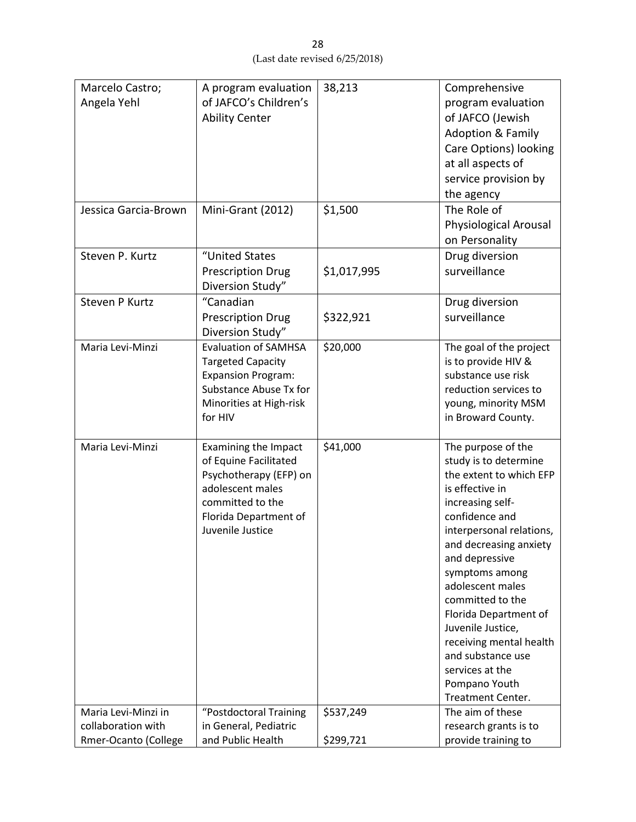| Marcelo Castro;<br>Angela Yehl            | A program evaluation<br>of JAFCO's Children's<br><b>Ability Center</b>                                                                                              | 38,213      | Comprehensive<br>program evaluation<br>of JAFCO (Jewish<br><b>Adoption &amp; Family</b><br><b>Care Options) looking</b><br>at all aspects of<br>service provision by<br>the agency                                                                                                                                                                                                                                       |
|-------------------------------------------|---------------------------------------------------------------------------------------------------------------------------------------------------------------------|-------------|--------------------------------------------------------------------------------------------------------------------------------------------------------------------------------------------------------------------------------------------------------------------------------------------------------------------------------------------------------------------------------------------------------------------------|
| Jessica Garcia-Brown                      | Mini-Grant (2012)                                                                                                                                                   | \$1,500     | The Role of<br>Physiological Arousal<br>on Personality                                                                                                                                                                                                                                                                                                                                                                   |
| Steven P. Kurtz                           | "United States<br><b>Prescription Drug</b><br>Diversion Study"                                                                                                      | \$1,017,995 | Drug diversion<br>surveillance                                                                                                                                                                                                                                                                                                                                                                                           |
| Steven P Kurtz                            | "Canadian<br><b>Prescription Drug</b><br>Diversion Study"                                                                                                           | \$322,921   | Drug diversion<br>surveillance                                                                                                                                                                                                                                                                                                                                                                                           |
| Maria Levi-Minzi                          | <b>Evaluation of SAMHSA</b><br><b>Targeted Capacity</b><br><b>Expansion Program:</b><br><b>Substance Abuse Tx for</b><br>Minorities at High-risk<br>for HIV         | \$20,000    | The goal of the project<br>is to provide HIV &<br>substance use risk<br>reduction services to<br>young, minority MSM<br>in Broward County.                                                                                                                                                                                                                                                                               |
| Maria Levi-Minzi                          | <b>Examining the Impact</b><br>of Equine Facilitated<br>Psychotherapy (EFP) on<br>adolescent males<br>committed to the<br>Florida Department of<br>Juvenile Justice | \$41,000    | The purpose of the<br>study is to determine<br>the extent to which EFP<br>is effective in<br>increasing self-<br>confidence and<br>interpersonal relations,<br>and decreasing anxiety<br>and depressive<br>symptoms among<br>adolescent males<br>committed to the<br>Florida Department of<br>Juvenile Justice,<br>receiving mental health<br>and substance use<br>services at the<br>Pompano Youth<br>Treatment Center. |
| Maria Levi-Minzi in<br>collaboration with | "Postdoctoral Training<br>in General, Pediatric                                                                                                                     | \$537,249   | The aim of these<br>research grants is to                                                                                                                                                                                                                                                                                                                                                                                |
| Rmer-Ocanto (College                      | and Public Health                                                                                                                                                   | \$299,721   | provide training to                                                                                                                                                                                                                                                                                                                                                                                                      |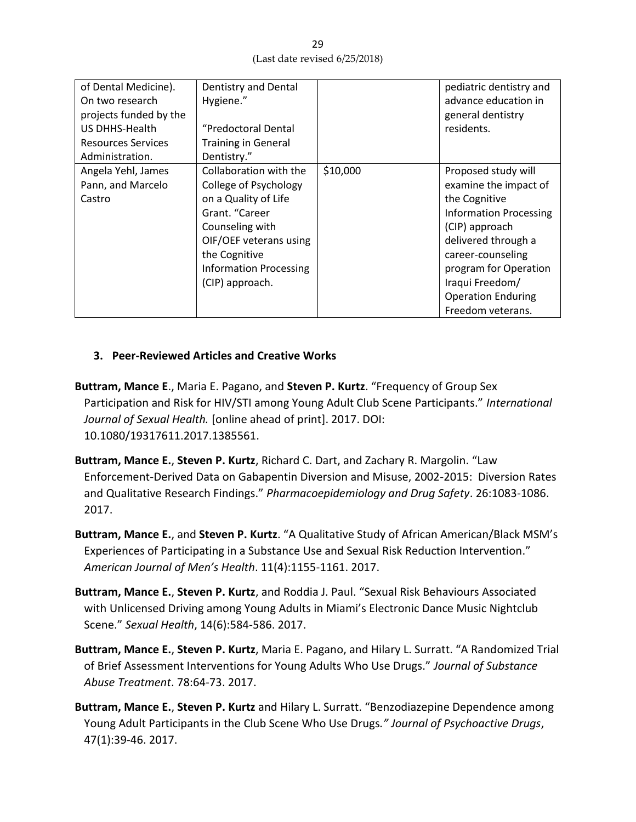| of Dental Medicine).<br>On two research<br>projects funded by the<br>US DHHS-Health<br><b>Resources Services</b><br>Administration. | Dentistry and Dental<br>Hygiene."<br>"Predoctoral Dental<br><b>Training in General</b><br>Dentistry."                                                                                                       |          | pediatric dentistry and<br>advance education in<br>general dentistry<br>residents.                                                                                                                                                                         |
|-------------------------------------------------------------------------------------------------------------------------------------|-------------------------------------------------------------------------------------------------------------------------------------------------------------------------------------------------------------|----------|------------------------------------------------------------------------------------------------------------------------------------------------------------------------------------------------------------------------------------------------------------|
| Angela Yehl, James<br>Pann, and Marcelo<br>Castro                                                                                   | Collaboration with the<br>College of Psychology<br>on a Quality of Life<br>Grant. "Career<br>Counseling with<br>OIF/OEF veterans using<br>the Cognitive<br><b>Information Processing</b><br>(CIP) approach. | \$10,000 | Proposed study will<br>examine the impact of<br>the Cognitive<br><b>Information Processing</b><br>(CIP) approach<br>delivered through a<br>career-counseling<br>program for Operation<br>Iraqui Freedom/<br><b>Operation Enduring</b><br>Freedom veterans. |

#### **3. Peer-Reviewed Articles and Creative Works**

- **Buttram, Mance E**., Maria E. Pagano, and **Steven P. Kurtz**. "Frequency of Group Sex Participation and Risk for HIV/STI among Young Adult Club Scene Participants." *International Journal of Sexual Health.* [online ahead of print]. 2017. DOI: 10.1080/19317611.2017.1385561.
- **Buttram, Mance E.**, **Steven P. Kurtz**, Richard C. Dart, and Zachary R. Margolin. "Law Enforcement-Derived Data on Gabapentin Diversion and Misuse, 2002-2015: Diversion Rates and Qualitative Research Findings." *Pharmacoepidemiology and Drug Safety*. 26:1083-1086. 2017.
- **Buttram, Mance E.**, and **Steven P. Kurtz**. "A Qualitative Study of African American/Black MSM's Experiences of Participating in a Substance Use and Sexual Risk Reduction Intervention." *American Journal of Men's Health*. 11(4):1155-1161. 2017.
- **Buttram, Mance E.**, **Steven P. Kurtz**, and Roddia J. Paul. "Sexual Risk Behaviours Associated with Unlicensed Driving among Young Adults in Miami's Electronic Dance Music Nightclub Scene." *Sexual Health*, 14(6):584-586. 2017.
- **Buttram, Mance E.**, **Steven P. Kurtz**, Maria E. Pagano, and Hilary L. Surratt. "A Randomized Trial of Brief Assessment Interventions for Young Adults Who Use Drugs." *Journal of Substance Abuse Treatment*. 78:64-73. 2017.
- **Buttram, Mance E.**, **Steven P. Kurtz** and Hilary L. Surratt. "Benzodiazepine Dependence among Young Adult Participants in the Club Scene Who Use Drugs*." Journal of Psychoactive Drugs*, 47(1):39-46. 2017.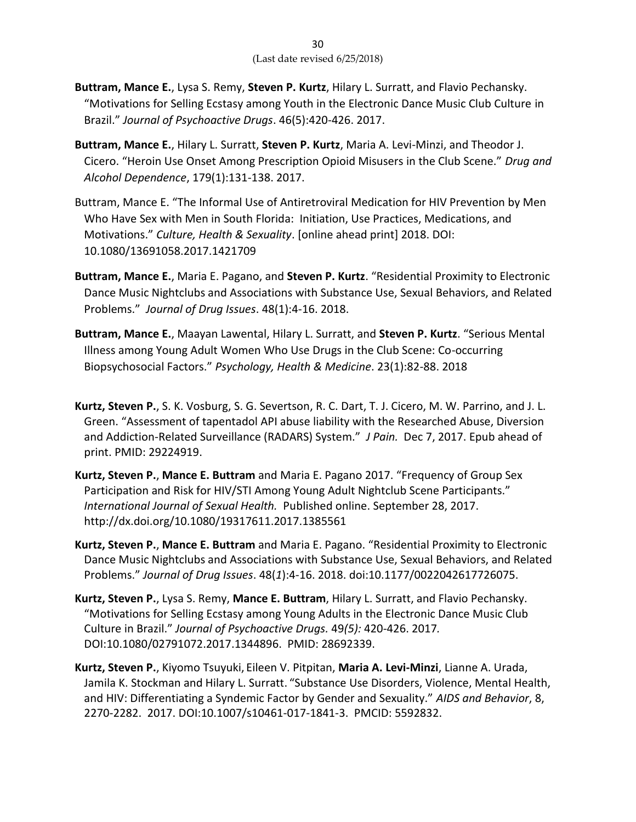- **Buttram, Mance E.**, Lysa S. Remy, **Steven P. Kurtz**, Hilary L. Surratt, and Flavio Pechansky. "Motivations for Selling Ecstasy among Youth in the Electronic Dance Music Club Culture in Brazil." *Journal of Psychoactive Drugs*. 46(5):420-426. 2017.
- **Buttram, Mance E.**, Hilary L. Surratt, **Steven P. Kurtz**, Maria A. Levi-Minzi, and Theodor J. Cicero. "Heroin Use Onset Among Prescription Opioid Misusers in the Club Scene." *Drug and Alcohol Dependence*, 179(1):131-138. 2017.
- Buttram, Mance E. "The Informal Use of Antiretroviral Medication for HIV Prevention by Men Who Have Sex with Men in South Florida: Initiation, Use Practices, Medications, and Motivations." *Culture, Health & Sexuality*. [online ahead print] 2018. DOI: 10.1080/13691058.2017.1421709
- **Buttram, Mance E.**, Maria E. Pagano, and **Steven P. Kurtz**. "Residential Proximity to Electronic Dance Music Nightclubs and Associations with Substance Use, Sexual Behaviors, and Related Problems." *Journal of Drug Issues*. 48(1):4-16. 2018.
- **Buttram, Mance E.**, Maayan Lawental, Hilary L. Surratt, and **Steven P. Kurtz**. "Serious Mental Illness among Young Adult Women Who Use Drugs in the Club Scene: Co-occurring Biopsychosocial Factors." *Psychology, Health & Medicine*. 23(1):82-88. 2018
- **Kurtz, Steven P.**, S. K. Vosburg, S. G. Severtson, R. C. Dart, T. J. Cicero, M. W. Parrino, and J. L. Green. "Assessment of tapentadol API abuse liability with the Researched Abuse, Diversion and Addiction-Related Surveillance (RADARS) System." *J Pain.* Dec 7, 2017. Epub ahead of print. PMID: 29224919.
- **Kurtz, Steven P.**, **Mance E. Buttram** and Maria E. Pagano 2017. "Frequency of Group Sex Participation and Risk for HIV/STI Among Young Adult Nightclub Scene Participants." *International Journal of Sexual Health.* Published online. September 28, 2017. http://dx.doi.org/10.1080/19317611.2017.1385561
- **Kurtz, Steven P.**, **Mance E. Buttram** and Maria E. Pagano. "Residential Proximity to Electronic Dance Music Nightclubs and Associations with Substance Use, Sexual Behaviors, and Related Problems." *Journal of Drug Issues*. 48(*1*):4-16. 2018. doi:10.1177/0022042617726075.
- **Kurtz, Steven P.**, Lysa S. Remy, **Mance E. Buttram**, Hilary L. Surratt, and Flavio Pechansky. "Motivations for Selling Ecstasy among Young Adults in the Electronic Dance Music Club Culture in Brazil." *Journal of Psychoactive Drugs.* 49*(5):* 420-426. 2017*.*  DOI:10.1080/02791072.2017.1344896. PMID: 28692339.
- **Kurtz, Steven P.**, Kiyomo Tsuyuki, Eileen V. Pitpitan, **Maria A. Levi-Minzi**, Lianne A. Urada, Jamila K. Stockman and Hilary L. Surratt. "Substance Use Disorders, Violence, Mental Health, and HIV: Differentiating a Syndemic Factor by Gender and Sexuality." *AIDS and Behavior*, 8, 2270-2282. 2017. DOI:10.1007/s10461-017-1841-3. PMCID: 5592832.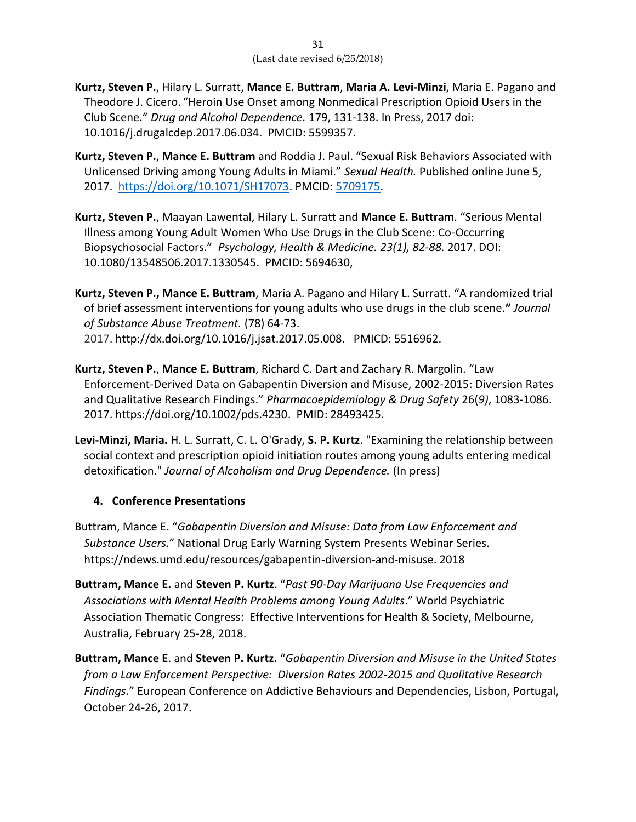- **Kurtz, Steven P.**, Hilary L. Surratt, **Mance E. Buttram**, **Maria A. Levi-Minzi**, Maria E. Pagano and Theodore J. Cicero. "Heroin Use Onset among Nonmedical Prescription Opioid Users in the Club Scene." *Drug and Alcohol Dependence.* 179, 131-138. In Press, 2017 doi: 10.1016/j.drugalcdep.2017.06.034. PMCID: 5599357.
- **Kurtz, Steven P.**, **Mance E. Buttram** and Roddia J. Paul. "Sexual Risk Behaviors Associated with Unlicensed Driving among Young Adults in Miami." *Sexual Health.* Published online June 5, 2017. [https://doi.org/10.1071/SH17073.](https://doi.org/10.1071/SH17073) PMCID: [5709175.](https://www.ncbi.nlm.nih.gov/pmc/articles/PMC5709175/)
- **Kurtz, Steven P.**, Maayan Lawental, Hilary L. Surratt and **Mance E. Buttram**. "Serious Mental Illness among Young Adult Women Who Use Drugs in the Club Scene: Co-Occurring Biopsychosocial Factors." *Psychology, Health & Medicine. 23(1), 82-88.* 2017. DOI: 10.1080/13548506.2017.1330545. PMCID: 5694630,
- **Kurtz, Steven P., Mance E. Buttram**, Maria A. Pagano and Hilary L. Surratt. "A randomized trial of brief assessment interventions for young adults who use drugs in the club scene.**"** *Journal of Substance Abuse Treatment.* (78) 64-73. 2017. http://dx.doi.org/10.1016/j.jsat.2017.05.008. PMICD: 5516962.
- **Kurtz, Steven P.**, **Mance E. Buttram**, Richard C. Dart and Zachary R. Margolin. "Law Enforcement-Derived Data on Gabapentin Diversion and Misuse, 2002-2015: Diversion Rates and Qualitative Research Findings." *Pharmacoepidemiology & Drug Safety* 26(*9)*, 1083-1086. 2017. https://doi.org/10.1002/pds.4230. PMID: 28493425.
- **Levi-Minzi, Maria.** H. L. Surratt, C. L. O'Grady, **S. P. Kurtz**. "Examining the relationship between social context and prescription opioid initiation routes among young adults entering medical detoxification." *Journal of Alcoholism and Drug Dependence.* (In press)

## **4. Conference Presentations**

- Buttram, Mance E. "*Gabapentin Diversion and Misuse: Data from Law Enforcement and Substance Users.*" National Drug Early Warning System Presents Webinar Series. https://ndews.umd.edu/resources/gabapentin-diversion-and-misuse. 2018
- **Buttram, Mance E.** and **Steven P. Kurtz**. "*Past 90-Day Marijuana Use Frequencies and Associations with Mental Health Problems among Young Adults*." World Psychiatric Association Thematic Congress: Effective Interventions for Health & Society, Melbourne, Australia, February 25-28, 2018.
- **Buttram, Mance E**. and **Steven P. Kurtz.** "*Gabapentin Diversion and Misuse in the United States from a Law Enforcement Perspective: Diversion Rates 2002-2015 and Qualitative Research Findings*." European Conference on Addictive Behaviours and Dependencies, Lisbon, Portugal, October 24-26, 2017.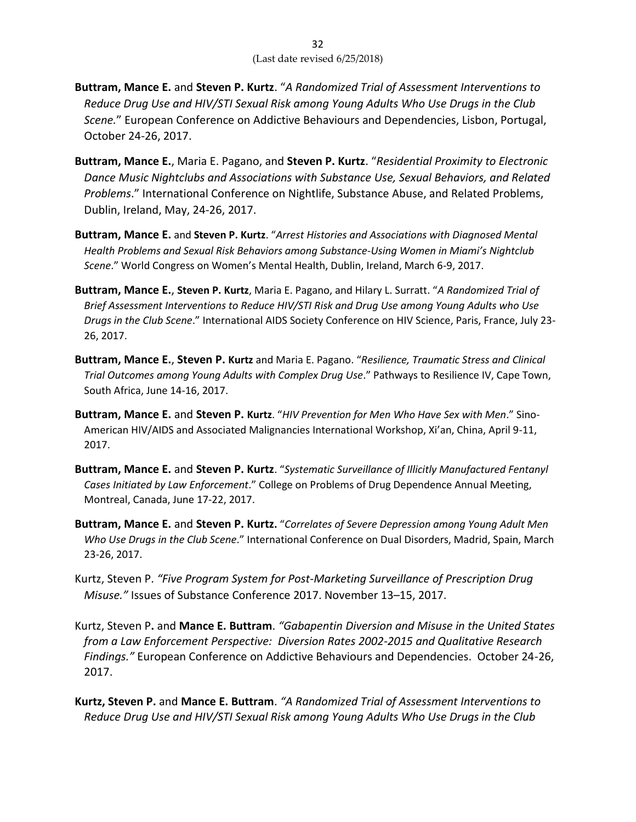- **Buttram, Mance E.** and **Steven P. Kurtz**. "*A Randomized Trial of Assessment Interventions to Reduce Drug Use and HIV/STI Sexual Risk among Young Adults Who Use Drugs in the Club Scene.*" European Conference on Addictive Behaviours and Dependencies, Lisbon, Portugal, October 24-26, 2017.
- **Buttram, Mance E.**, Maria E. Pagano, and **Steven P. Kurtz**. "*Residential Proximity to Electronic Dance Music Nightclubs and Associations with Substance Use, Sexual Behaviors, and Related Problems*." International Conference on Nightlife, Substance Abuse, and Related Problems, Dublin, Ireland, May, 24-26, 2017.
- **Buttram, Mance E.** and **Steven P. Kurtz**. "*Arrest Histories and Associations with Diagnosed Mental Health Problems and Sexual Risk Behaviors among Substance-Using Women in Miami's Nightclub Scene*." World Congress on Women's Mental Health, Dublin, Ireland, March 6-9, 2017.
- **Buttram, Mance E.**, **Steven P. Kurtz**, Maria E. Pagano, and Hilary L. Surratt. "*A Randomized Trial of Brief Assessment Interventions to Reduce HIV/STI Risk and Drug Use among Young Adults who Use Drugs in the Club Scene*." International AIDS Society Conference on HIV Science, Paris, France, July 23- 26, 2017.
- **Buttram, Mance E.**, **Steven P. Kurtz** and Maria E. Pagano. "*Resilience, Traumatic Stress and Clinical Trial Outcomes among Young Adults with Complex Drug Use*." Pathways to Resilience IV, Cape Town, South Africa, June 14-16, 2017.
- **Buttram, Mance E.** and **Steven P. Kurtz**. "*HIV Prevention for Men Who Have Sex with Men*." Sino-American HIV/AIDS and Associated Malignancies International Workshop, Xi'an, China, April 9-11, 2017.
- **Buttram, Mance E.** and **Steven P. Kurtz**. "*Systematic Surveillance of Illicitly Manufactured Fentanyl Cases Initiated by Law Enforcement*." College on Problems of Drug Dependence Annual Meeting, Montreal, Canada, June 17-22, 2017.
- **Buttram, Mance E.** and **Steven P. Kurtz.** "*Correlates of Severe Depression among Young Adult Men Who Use Drugs in the Club Scene*." International Conference on Dual Disorders, Madrid, Spain, March 23-26, 2017.
- Kurtz, Steven P. *"Five Program System for Post-Marketing Surveillance of Prescription Drug Misuse."* Issues of Substance Conference 2017. November 13–15, 2017.
- Kurtz, Steven P**.** and **Mance E. Buttram**. *"Gabapentin Diversion and Misuse in the United States from a Law Enforcement Perspective: Diversion Rates 2002-2015 and Qualitative Research Findings."* European Conference on Addictive Behaviours and Dependencies. October 24-26, 2017.
- **Kurtz, Steven P.** and **Mance E. Buttram**. *"A Randomized Trial of Assessment Interventions to Reduce Drug Use and HIV/STI Sexual Risk among Young Adults Who Use Drugs in the Club*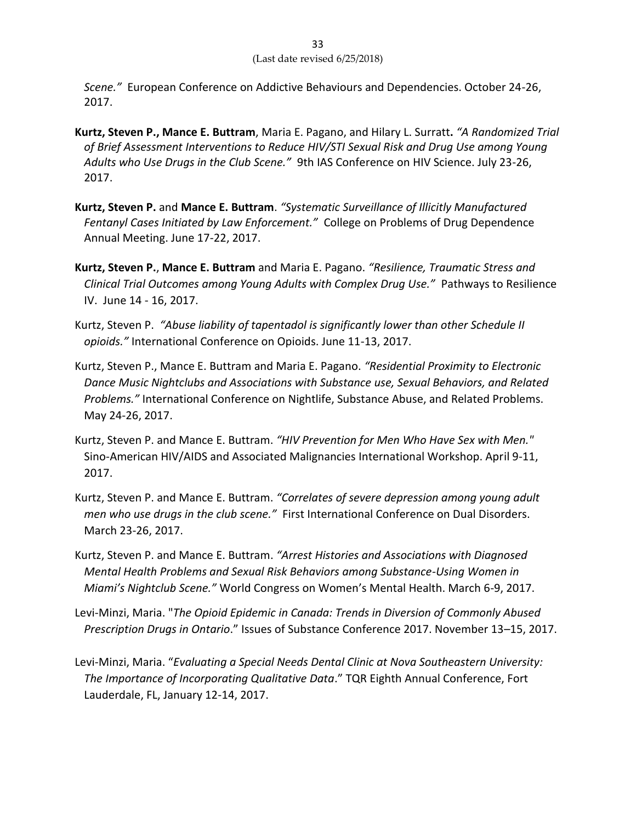*Scene."* European Conference on Addictive Behaviours and Dependencies. October 24-26, 2017.

- **Kurtz, Steven P., Mance E. Buttram**, Maria E. Pagano, and Hilary L. Surratt**.** *"A Randomized Trial of Brief Assessment Interventions to Reduce HIV/STI Sexual Risk and Drug Use among Young Adults who Use Drugs in the Club Scene."*9th IAS Conference on HIV Science. July 23-26, 2017.
- **Kurtz, Steven P.** and **Mance E. Buttram**. *"Systematic Surveillance of Illicitly Manufactured Fentanyl Cases Initiated by Law Enforcement."*College on Problems of Drug Dependence Annual Meeting. June 17-22, 2017.
- **Kurtz, Steven P.**, **Mance E. Buttram** and Maria E. Pagano. *"Resilience, Traumatic Stress and Clinical Trial Outcomes among Young Adults with Complex Drug Use."*Pathways to Resilience IV. June 14 - 16, 2017.
- Kurtz, Steven P. *"Abuse liability of tapentadol is significantly lower than other Schedule II opioids."* International Conference on Opioids. June 11-13, 2017.
- Kurtz, Steven P., Mance E. Buttram and Maria E. Pagano. *"Residential Proximity to Electronic Dance Music Nightclubs and Associations with Substance use, Sexual Behaviors, and Related Problems."* International Conference on Nightlife, Substance Abuse, and Related Problems. May 24-26, 2017.
- Kurtz, Steven P. and Mance E. Buttram. *"HIV Prevention for Men Who Have Sex with Men."* Sino-American HIV/AIDS and Associated Malignancies International Workshop. April 9-11, 2017.
- Kurtz, Steven P. and Mance E. Buttram. *"Correlates of severe depression among young adult men who use drugs in the club scene."*First International Conference on Dual Disorders. March 23-26, 2017.
- Kurtz, Steven P. and Mance E. Buttram. *"Arrest Histories and Associations with Diagnosed Mental Health Problems and Sexual Risk Behaviors among Substance-Using Women in Miami's Nightclub Scene."* World Congress on Women's Mental Health. March 6-9, 2017.
- Levi-Minzi, Maria. "*The Opioid Epidemic in Canada: Trends in Diversion of Commonly Abused Prescription Drugs in Ontario*." Issues of Substance Conference 2017. November 13–15, 2017.
- Levi-Minzi, Maria. "*Evaluating a Special Needs Dental Clinic at Nova Southeastern University: The Importance of Incorporating Qualitative Data*." TQR Eighth Annual Conference, Fort Lauderdale, FL, January 12-14, 2017.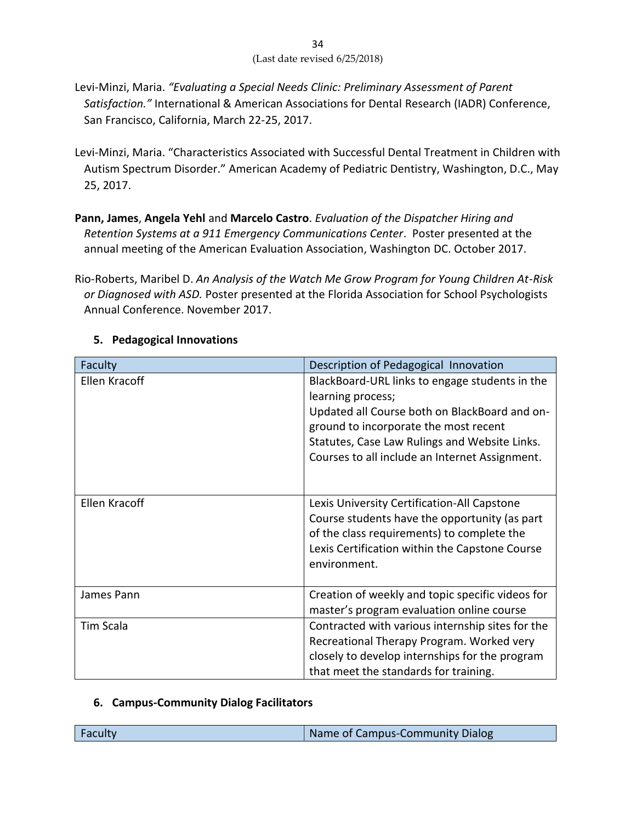- 34 (Last date revised 6/25/2018)
- Levi-Minzi, Maria. *"Evaluating a Special Needs Clinic: Preliminary Assessment of Parent Satisfaction."* International & American Associations for Dental Research (IADR) Conference, San Francisco, California, March 22-25, 2017.
- Levi-Minzi, Maria. "Characteristics Associated with Successful Dental Treatment in Children with Autism Spectrum Disorder." American Academy of Pediatric Dentistry, Washington, D.C., May 25, 2017.
- **Pann, James**, **Angela Yehl** and **Marcelo Castro**. *Evaluation of the Dispatcher Hiring and Retention Systems at a 911 Emergency Communications Center*. Poster presented at the annual meeting of the American Evaluation Association, Washington DC. October 2017.

Rio-Roberts, Maribel D. *An Analysis of the Watch Me Grow Program for Young Children At-Risk or Diagnosed with ASD.* Poster presented at the Florida Association for School Psychologists Annual Conference. November 2017.

| Faculty          | Description of Pedagogical Innovation                                                                                                                                                                                                                            |
|------------------|------------------------------------------------------------------------------------------------------------------------------------------------------------------------------------------------------------------------------------------------------------------|
| Ellen Kracoff    | BlackBoard-URL links to engage students in the<br>learning process;<br>Updated all Course both on BlackBoard and on-<br>ground to incorporate the most recent<br>Statutes, Case Law Rulings and Website Links.<br>Courses to all include an Internet Assignment. |
| Ellen Kracoff    | Lexis University Certification-All Capstone<br>Course students have the opportunity (as part<br>of the class requirements) to complete the<br>Lexis Certification within the Capstone Course<br>environment.                                                     |
| James Pann       | Creation of weekly and topic specific videos for<br>master's program evaluation online course                                                                                                                                                                    |
| <b>Tim Scala</b> | Contracted with various internship sites for the<br>Recreational Therapy Program. Worked very<br>closely to develop internships for the program<br>that meet the standards for training.                                                                         |

## **5. Pedagogical Innovations**

## **6. Campus-Community Dialog Facilitators**

| Name of Campus-Community Dialog<br>Faculty |
|--------------------------------------------|
|--------------------------------------------|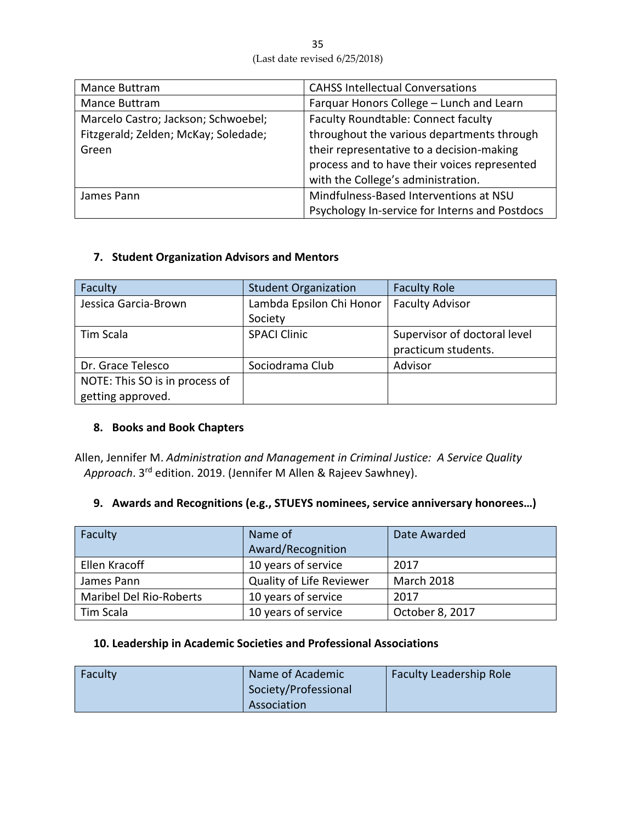| Mance Buttram                        | <b>CAHSS Intellectual Conversations</b>        |
|--------------------------------------|------------------------------------------------|
| Mance Buttram                        | Farquar Honors College - Lunch and Learn       |
| Marcelo Castro; Jackson; Schwoebel;  | Faculty Roundtable: Connect faculty            |
| Fitzgerald; Zelden; McKay; Soledade; | throughout the various departments through     |
| Green                                | their representative to a decision-making      |
|                                      | process and to have their voices represented   |
|                                      | with the College's administration.             |
| James Pann                           | Mindfulness-Based Interventions at NSU         |
|                                      | Psychology In-service for Interns and Postdocs |

## **7. Student Organization Advisors and Mentors**

| Faculty                        | <b>Student Organization</b> | <b>Faculty Role</b>          |
|--------------------------------|-----------------------------|------------------------------|
| Jessica Garcia-Brown           | Lambda Epsilon Chi Honor    | <b>Faculty Advisor</b>       |
|                                | Society                     |                              |
| Tim Scala                      | <b>SPACI Clinic</b>         | Supervisor of doctoral level |
|                                |                             | practicum students.          |
| Dr. Grace Telesco              | Sociodrama Club             | Advisor                      |
| NOTE: This SO is in process of |                             |                              |
| getting approved.              |                             |                              |

#### **8. Books and Book Chapters**

Allen, Jennifer M. *Administration and Management in Criminal Justice: A Service Quality Approach*. 3 rd edition. 2019. (Jennifer M Allen & Rajeev Sawhney).

## **9. Awards and Recognitions (e.g., STUEYS nominees, service anniversary honorees…)**

| Faculty                        | Name of<br>Award/Recognition    | Date Awarded      |
|--------------------------------|---------------------------------|-------------------|
| Ellen Kracoff                  | 10 years of service             | 2017              |
| James Pann                     | <b>Quality of Life Reviewer</b> | <b>March 2018</b> |
| <b>Maribel Del Rio-Roberts</b> | 10 years of service             | 2017              |
| Tim Scala                      | 10 years of service             | October 8, 2017   |

## **10. Leadership in Academic Societies and Professional Associations**

| Faculty | Name of Academic<br>Society/Professional | <b>Faculty Leadership Role</b> |
|---------|------------------------------------------|--------------------------------|
|         | Association                              |                                |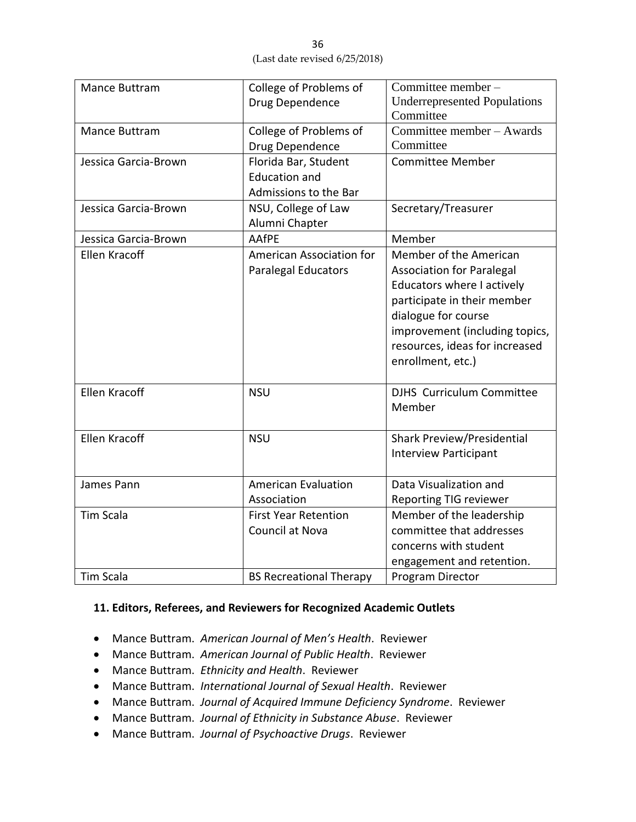| Mance Buttram        | College of Problems of<br>Drug Dependence | Committee member-<br><b>Underrepresented Populations</b> |
|----------------------|-------------------------------------------|----------------------------------------------------------|
|                      |                                           | Committee                                                |
| Mance Buttram        | College of Problems of                    | Committee member - Awards                                |
|                      | Drug Dependence                           | Committee                                                |
| Jessica Garcia-Brown | Florida Bar, Student                      | <b>Committee Member</b>                                  |
|                      | <b>Education and</b>                      |                                                          |
|                      | Admissions to the Bar                     |                                                          |
| Jessica Garcia-Brown | NSU, College of Law                       | Secretary/Treasurer                                      |
|                      | Alumni Chapter                            |                                                          |
| Jessica Garcia-Brown | AAfPE                                     | Member                                                   |
| <b>Ellen Kracoff</b> | American Association for                  | Member of the American                                   |
|                      | <b>Paralegal Educators</b>                | <b>Association for Paralegal</b>                         |
|                      |                                           | Educators where I actively                               |
|                      |                                           | participate in their member                              |
|                      |                                           | dialogue for course                                      |
|                      |                                           | improvement (including topics,                           |
|                      |                                           | resources, ideas for increased                           |
|                      |                                           | enrollment, etc.)                                        |
|                      |                                           |                                                          |
| <b>Ellen Kracoff</b> | <b>NSU</b>                                | <b>DJHS</b> Curriculum Committee<br>Member               |
|                      |                                           |                                                          |
| <b>Ellen Kracoff</b> | <b>NSU</b>                                | Shark Preview/Presidential                               |
|                      |                                           | <b>Interview Participant</b>                             |
|                      |                                           |                                                          |
| James Pann           | <b>American Evaluation</b>                | Data Visualization and                                   |
|                      | Association                               | <b>Reporting TIG reviewer</b>                            |
| <b>Tim Scala</b>     | <b>First Year Retention</b>               | Member of the leadership                                 |
|                      | Council at Nova                           | committee that addresses                                 |
|                      |                                           | concerns with student                                    |
|                      |                                           | engagement and retention.                                |
| <b>Tim Scala</b>     | <b>BS Recreational Therapy</b>            | Program Director                                         |

#### **11. Editors, Referees, and Reviewers for Recognized Academic Outlets**

- Mance Buttram. *American Journal of Men's Health*. Reviewer
- Mance Buttram. *American Journal of Public Health*. Reviewer
- Mance Buttram. *Ethnicity and Health*. Reviewer
- Mance Buttram. *International Journal of Sexual Health*. Reviewer
- Mance Buttram. *Journal of Acquired Immune Deficiency Syndrome*. Reviewer
- Mance Buttram. *Journal of Ethnicity in Substance Abuse*. Reviewer
- Mance Buttram. *Journal of Psychoactive Drugs*. Reviewer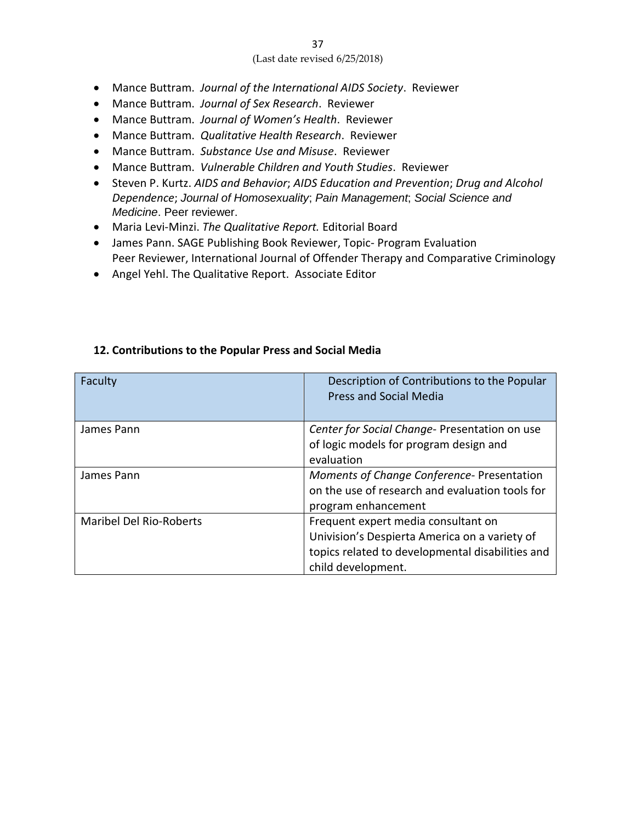- Mance Buttram. *Journal of the International AIDS Society*. Reviewer
- Mance Buttram. *Journal of Sex Research*. Reviewer
- Mance Buttram. *Journal of Women's Health*. Reviewer
- Mance Buttram. *Qualitative Health Research*. Reviewer
- Mance Buttram. *Substance Use and Misuse*. Reviewer
- Mance Buttram. *Vulnerable Children and Youth Studies*. Reviewer
- Steven P. Kurtz. *AIDS and Behavior*; *AIDS Education and Prevention*; *Drug and Alcohol Dependence*; *Journal of Homosexuality*; *Pain Management*; *Social Science and Medicine*. Peer reviewer.
- Maria Levi-Minzi. *The Qualitative Report.* Editorial Board
- James Pann. SAGE Publishing Book Reviewer, Topic- Program Evaluation Peer Reviewer, International Journal of Offender Therapy and Comparative Criminology
- Angel Yehl. The Qualitative Report. Associate Editor

| Faculty                        | Description of Contributions to the Popular<br><b>Press and Social Media</b>                                        |
|--------------------------------|---------------------------------------------------------------------------------------------------------------------|
| James Pann                     | Center for Social Change- Presentation on use                                                                       |
|                                | of logic models for program design and<br>evaluation                                                                |
| James Pann                     | Moments of Change Conference-Presentation<br>on the use of research and evaluation tools for<br>program enhancement |
| <b>Maribel Del Rio-Roberts</b> | Frequent expert media consultant on                                                                                 |
|                                | Univision's Despierta America on a variety of                                                                       |
|                                | topics related to developmental disabilities and                                                                    |
|                                | child development.                                                                                                  |

#### **12. Contributions to the Popular Press and Social Media**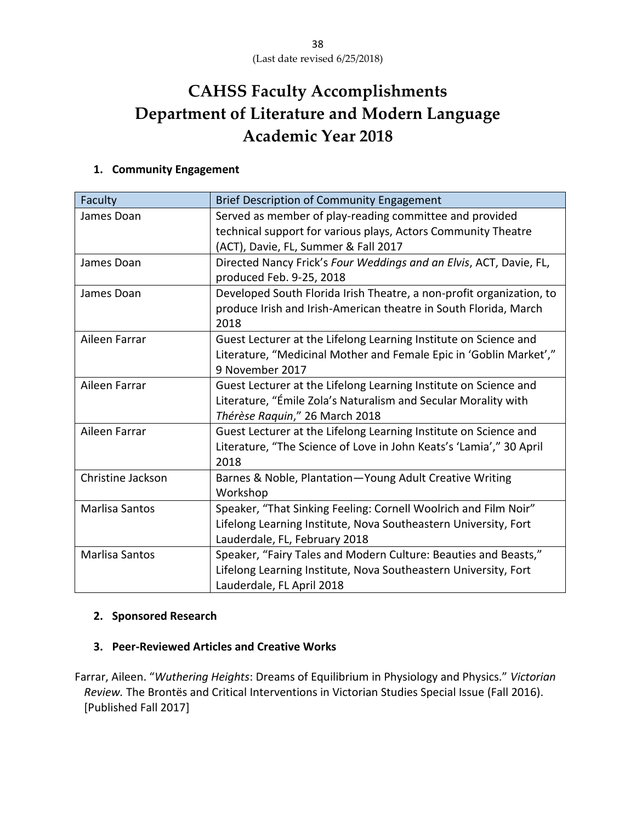# **CAHSS Faculty Accomplishments Department of Literature and Modern Language Academic Year 2018**

## **1. Community Engagement**

| Faculty           | <b>Brief Description of Community Engagement</b>                     |
|-------------------|----------------------------------------------------------------------|
| James Doan        | Served as member of play-reading committee and provided              |
|                   | technical support for various plays, Actors Community Theatre        |
|                   | (ACT), Davie, FL, Summer & Fall 2017                                 |
| James Doan        | Directed Nancy Frick's Four Weddings and an Elvis, ACT, Davie, FL,   |
|                   | produced Feb. 9-25, 2018                                             |
| James Doan        | Developed South Florida Irish Theatre, a non-profit organization, to |
|                   | produce Irish and Irish-American theatre in South Florida, March     |
|                   | 2018                                                                 |
| Aileen Farrar     | Guest Lecturer at the Lifelong Learning Institute on Science and     |
|                   | Literature, "Medicinal Mother and Female Epic in 'Goblin Market',"   |
|                   | 9 November 2017                                                      |
| Aileen Farrar     | Guest Lecturer at the Lifelong Learning Institute on Science and     |
|                   | Literature, "Émile Zola's Naturalism and Secular Morality with       |
|                   | Thérèse Raquin," 26 March 2018                                       |
| Aileen Farrar     | Guest Lecturer at the Lifelong Learning Institute on Science and     |
|                   | Literature, "The Science of Love in John Keats's 'Lamia'," 30 April  |
|                   | 2018                                                                 |
| Christine Jackson | Barnes & Noble, Plantation-Young Adult Creative Writing              |
|                   | Workshop                                                             |
| Marlisa Santos    | Speaker, "That Sinking Feeling: Cornell Woolrich and Film Noir"      |
|                   | Lifelong Learning Institute, Nova Southeastern University, Fort      |
|                   | Lauderdale, FL, February 2018                                        |
| Marlisa Santos    | Speaker, "Fairy Tales and Modern Culture: Beauties and Beasts,"      |
|                   | Lifelong Learning Institute, Nova Southeastern University, Fort      |
|                   | Lauderdale, FL April 2018                                            |

#### **2. Sponsored Research**

## **3. Peer-Reviewed Articles and Creative Works**

Farrar, Aileen. "*Wuthering Heights*: Dreams of Equilibrium in Physiology and Physics." *Victorian Review.* The Brontës and Critical Interventions in Victorian Studies Special Issue (Fall 2016). [Published Fall 2017]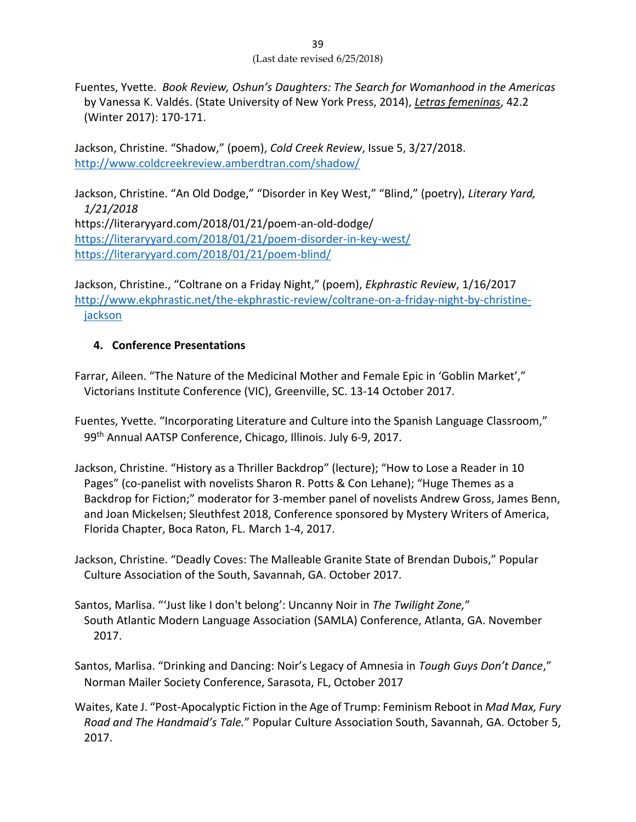Fuentes, Yvette. *Book Review, Oshun's Daughters: The Search for Womanhood in the Americas*  by Vanessa K. Valdés. (State University of New York Press, 2014), *Letras femeninas*, 42.2 (Winter 2017): 170-171.

Jackson, Christine. "Shadow," (poem), *Cold Creek Review*, Issue 5, 3/27/2018. <http://www.coldcreekreview.amberdtran.com/shadow/>

Jackson, Christine. "An Old Dodge," "Disorder in Key West," "Blind," (poetry), *Literary Yard, 1/21/2018* https://literaryyard.com/2018/01/21/poem-an-old-dodge/ <https://literaryyard.com/2018/01/21/poem-disorder-in-key-west/> <https://literaryyard.com/2018/01/21/poem-blind/>

Jackson, Christine., "Coltrane on a Friday Night," (poem), *Ekphrastic Review*, 1/16/2017 [http://www.ekphrastic.net/the-ekphrastic-review/coltrane-on-a-friday-night-by-christine](http://www.ekphrastic.net/the-ekphrastic-review/coltrane-on-a-friday-night-by-christine-jackson)[jackson](http://www.ekphrastic.net/the-ekphrastic-review/coltrane-on-a-friday-night-by-christine-jackson)

## **4. Conference Presentations**

- Farrar, Aileen. "The Nature of the Medicinal Mother and Female Epic in 'Goblin Market'," Victorians Institute Conference (VIC), Greenville, SC. 13-14 October 2017.
- Fuentes, Yvette. "Incorporating Literature and Culture into the Spanish Language Classroom," 99<sup>th</sup> Annual AATSP Conference, Chicago, Illinois. July 6-9, 2017.
- Jackson, Christine. "History as a Thriller Backdrop" (lecture); "How to Lose a Reader in 10 Pages" (co-panelist with novelists Sharon R. Potts & Con Lehane); "Huge Themes as a Backdrop for Fiction;" moderator for 3-member panel of novelists Andrew Gross, James Benn, and Joan Mickelsen; Sleuthfest 2018, Conference sponsored by Mystery Writers of America, Florida Chapter, Boca Raton, FL. March 1-4, 2017.
- Jackson, Christine. "Deadly Coves: The Malleable Granite State of Brendan Dubois," Popular Culture Association of the South, Savannah, GA. October 2017.
- Santos, Marlisa. "'Just like I don't belong': Uncanny Noir in *The Twilight Zone,*" South Atlantic Modern Language Association (SAMLA) Conference, Atlanta, GA. November 2017.
- Santos, Marlisa. "Drinking and Dancing: Noir's Legacy of Amnesia in *Tough Guys Don't Dance*," Norman Mailer Society Conference, Sarasota, FL, October 2017
- Waites, Kate J. "Post-Apocalyptic Fiction in the Age of Trump: Feminism Reboot in *Mad Max, Fury Road and The Handmaid's Tale.*" Popular Culture Association South, Savannah, GA. October 5, 2017.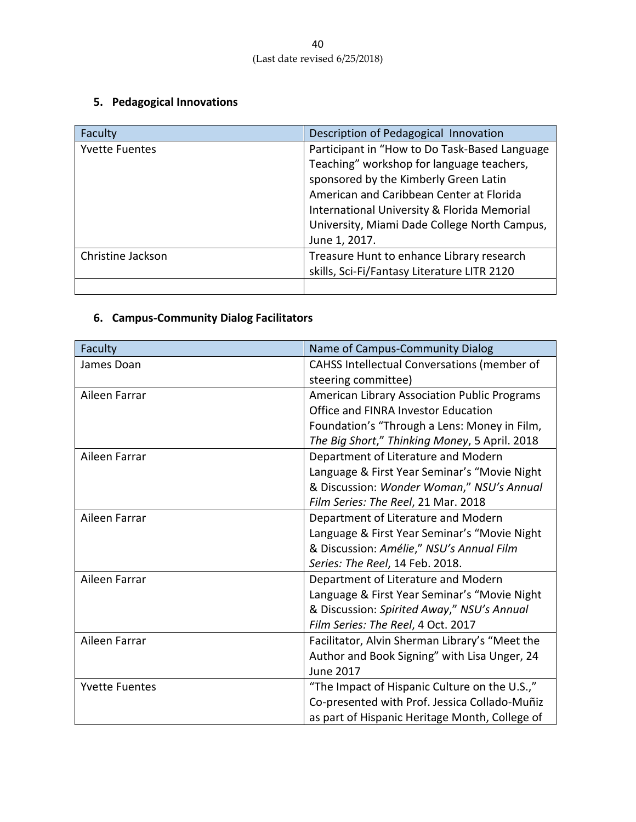# **5. Pedagogical Innovations**

| Faculty               | Description of Pedagogical Innovation         |
|-----------------------|-----------------------------------------------|
| <b>Yvette Fuentes</b> | Participant in "How to Do Task-Based Language |
|                       | Teaching" workshop for language teachers,     |
|                       | sponsored by the Kimberly Green Latin         |
|                       | American and Caribbean Center at Florida      |
|                       | International University & Florida Memorial   |
|                       | University, Miami Dade College North Campus,  |
|                       | June 1, 2017.                                 |
| Christine Jackson     | Treasure Hunt to enhance Library research     |
|                       | skills, Sci-Fi/Fantasy Literature LITR 2120   |
|                       |                                               |

# **6. Campus-Community Dialog Facilitators**

| Faculty               | Name of Campus-Community Dialog                |
|-----------------------|------------------------------------------------|
| James Doan            | CAHSS Intellectual Conversations (member of    |
|                       | steering committee)                            |
| Aileen Farrar         | American Library Association Public Programs   |
|                       | Office and FINRA Investor Education            |
|                       | Foundation's "Through a Lens: Money in Film,   |
|                       | The Big Short," Thinking Money, 5 April. 2018  |
| Aileen Farrar         | Department of Literature and Modern            |
|                       | Language & First Year Seminar's "Movie Night   |
|                       | & Discussion: Wonder Woman," NSU's Annual      |
|                       | Film Series: The Reel, 21 Mar. 2018            |
| Aileen Farrar         | Department of Literature and Modern            |
|                       | Language & First Year Seminar's "Movie Night   |
|                       | & Discussion: Amélie," NSU's Annual Film       |
|                       | Series: The Reel, 14 Feb. 2018.                |
| Aileen Farrar         | Department of Literature and Modern            |
|                       | Language & First Year Seminar's "Movie Night   |
|                       | & Discussion: Spirited Away," NSU's Annual     |
|                       | Film Series: The Reel, 4 Oct. 2017             |
| Aileen Farrar         | Facilitator, Alvin Sherman Library's "Meet the |
|                       | Author and Book Signing" with Lisa Unger, 24   |
|                       | <b>June 2017</b>                               |
| <b>Yvette Fuentes</b> | "The Impact of Hispanic Culture on the U.S.,"  |
|                       | Co-presented with Prof. Jessica Collado-Muñiz  |
|                       | as part of Hispanic Heritage Month, College of |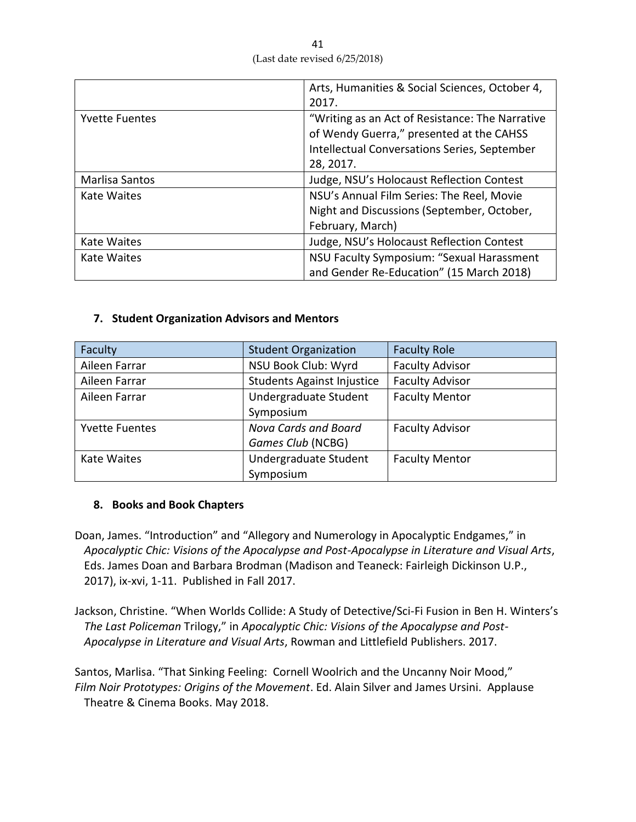|                       | Arts, Humanities & Social Sciences, October 4,      |  |
|-----------------------|-----------------------------------------------------|--|
|                       | 2017.                                               |  |
| <b>Yvette Fuentes</b> | "Writing as an Act of Resistance: The Narrative     |  |
|                       | of Wendy Guerra," presented at the CAHSS            |  |
|                       | <b>Intellectual Conversations Series, September</b> |  |
|                       | 28, 2017.                                           |  |
| Marlisa Santos        | Judge, NSU's Holocaust Reflection Contest           |  |
| Kate Waites           | NSU's Annual Film Series: The Reel, Movie           |  |
|                       | Night and Discussions (September, October,          |  |
|                       | February, March)                                    |  |
| Kate Waites           | Judge, NSU's Holocaust Reflection Contest           |  |
| Kate Waites           | NSU Faculty Symposium: "Sexual Harassment           |  |
|                       | and Gender Re-Education" (15 March 2018)            |  |

## **7. Student Organization Advisors and Mentors**

| Faculty               | <b>Student Organization</b>                    | <b>Faculty Role</b>    |
|-----------------------|------------------------------------------------|------------------------|
| Aileen Farrar         | NSU Book Club: Wyrd                            | <b>Faculty Advisor</b> |
| Aileen Farrar         | <b>Students Against Injustice</b>              | <b>Faculty Advisor</b> |
| Aileen Farrar         | Undergraduate Student<br><b>Faculty Mentor</b> |                        |
|                       | Symposium                                      |                        |
| <b>Yvette Fuentes</b> | Nova Cards and Board                           | <b>Faculty Advisor</b> |
|                       | Games Club (NCBG)                              |                        |
| Kate Waites           | Undergraduate Student                          | <b>Faculty Mentor</b>  |
|                       | Symposium                                      |                        |

## **8. Books and Book Chapters**

- Doan, James. "Introduction" and "Allegory and Numerology in Apocalyptic Endgames," in *Apocalyptic Chic: Visions of the Apocalypse and Post-Apocalypse in Literature and Visual Arts*, Eds. James Doan and Barbara Brodman (Madison and Teaneck: Fairleigh Dickinson U.P., 2017), ix-xvi, 1-11. Published in Fall 2017.
- Jackson, Christine. "When Worlds Collide: A Study of Detective/Sci-Fi Fusion in Ben H. Winters's *The Last Policeman* Trilogy," in *Apocalyptic Chic: Visions of the Apocalypse and Post-Apocalypse in Literature and Visual Arts*, Rowman and Littlefield Publishers. 2017.

Santos, Marlisa. "That Sinking Feeling: Cornell Woolrich and the Uncanny Noir Mood," *Film Noir Prototypes: Origins of the Movement*. Ed. Alain Silver and James Ursini. Applause Theatre & Cinema Books. May 2018.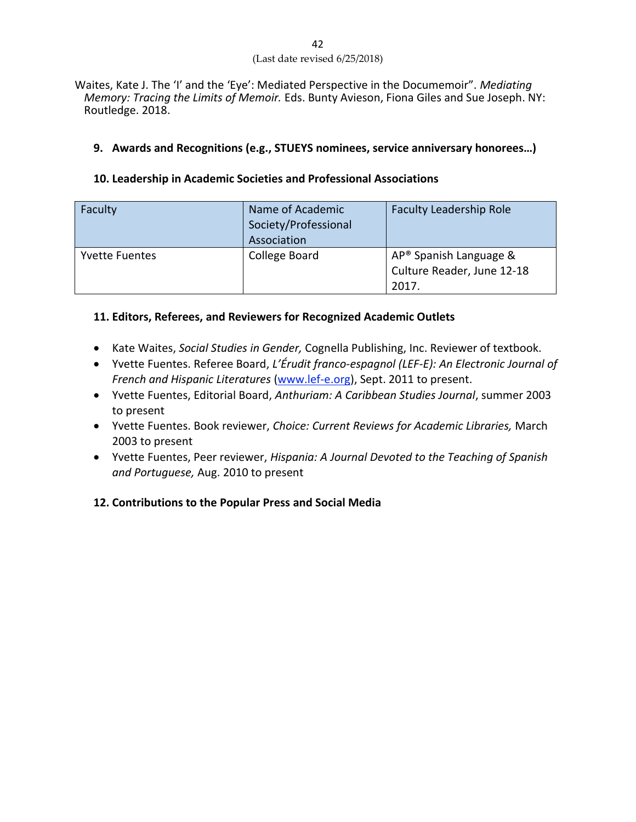Waites, Kate J. The 'I' and the 'Eye': Mediated Perspective in the Documemoir". *Mediating Memory: Tracing the Limits of Memoir.* Eds. Bunty Avieson, Fiona Giles and Sue Joseph. NY: Routledge. 2018.

### **9. Awards and Recognitions (e.g., STUEYS nominees, service anniversary honorees…)**

### **10. Leadership in Academic Societies and Professional Associations**

| Faculty               | Name of Academic<br>Society/Professional<br>Association | <b>Faculty Leadership Role</b>                                            |
|-----------------------|---------------------------------------------------------|---------------------------------------------------------------------------|
| <b>Yvette Fuentes</b> | College Board                                           | AP <sup>®</sup> Spanish Language &<br>Culture Reader, June 12-18<br>2017. |

## **11. Editors, Referees, and Reviewers for Recognized Academic Outlets**

- Kate Waites, *Social Studies in Gender,* Cognella Publishing, Inc. Reviewer of textbook.
- Yvette Fuentes. Referee Board, *L'Érudit franco-espagnol (LEF-E): An Electronic Journal of French and Hispanic Literatures* [\(www.lef-e.org\)](https://mail.ncs.nova.edu/owa/redir.aspx?C=27c500fe639740549ef5d4e77c42ac24&URL=http%3a%2f%2fwww.lef-e.org%2f), Sept. 2011 to present.
- Yvette Fuentes, Editorial Board, *Anthuriam: A Caribbean Studies Journal*, summer 2003 to present
- Yvette Fuentes. Book reviewer, *Choice: Current Reviews for Academic Libraries,* March 2003 to present
- Yvette Fuentes, Peer reviewer, *Hispania: A Journal Devoted to the Teaching of Spanish and Portuguese,* Aug. 2010 to present

## **12. Contributions to the Popular Press and Social Media**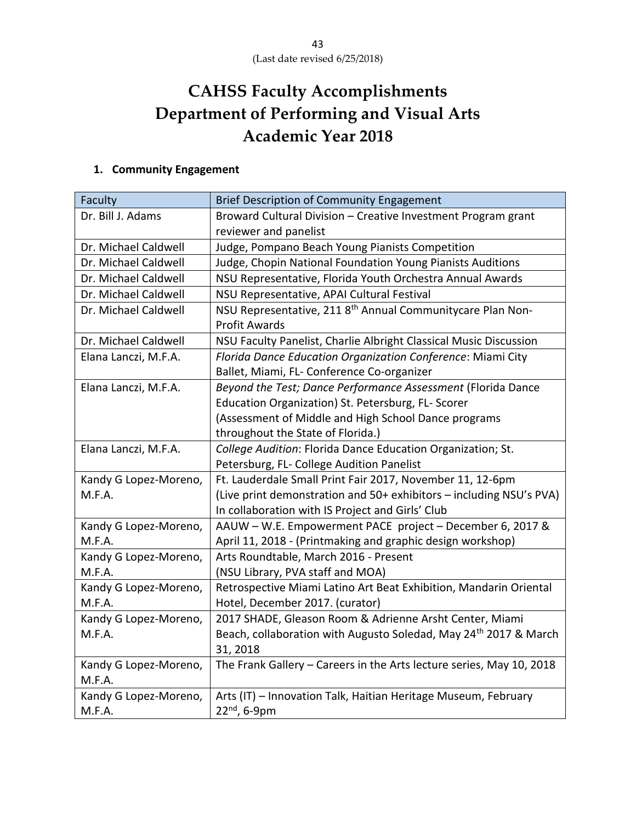# **CAHSS Faculty Accomplishments Department of Performing and Visual Arts Academic Year 2018**

# **1. Community Engagement**

| Faculty               | <b>Brief Description of Community Engagement</b>                             |
|-----------------------|------------------------------------------------------------------------------|
| Dr. Bill J. Adams     | Broward Cultural Division - Creative Investment Program grant                |
|                       | reviewer and panelist                                                        |
| Dr. Michael Caldwell  | Judge, Pompano Beach Young Pianists Competition                              |
| Dr. Michael Caldwell  | Judge, Chopin National Foundation Young Pianists Auditions                   |
| Dr. Michael Caldwell  | NSU Representative, Florida Youth Orchestra Annual Awards                    |
| Dr. Michael Caldwell  | NSU Representative, APAI Cultural Festival                                   |
| Dr. Michael Caldwell  | NSU Representative, 211 8 <sup>th</sup> Annual Communitycare Plan Non-       |
|                       | <b>Profit Awards</b>                                                         |
| Dr. Michael Caldwell  | NSU Faculty Panelist, Charlie Albright Classical Music Discussion            |
| Elana Lanczi, M.F.A.  | Florida Dance Education Organization Conference: Miami City                  |
|                       | Ballet, Miami, FL- Conference Co-organizer                                   |
| Elana Lanczi, M.F.A.  | Beyond the Test; Dance Performance Assessment (Florida Dance                 |
|                       | Education Organization) St. Petersburg, FL- Scorer                           |
|                       | (Assessment of Middle and High School Dance programs                         |
|                       | throughout the State of Florida.)                                            |
| Elana Lanczi, M.F.A.  | College Audition: Florida Dance Education Organization; St.                  |
|                       | Petersburg, FL- College Audition Panelist                                    |
| Kandy G Lopez-Moreno, | Ft. Lauderdale Small Print Fair 2017, November 11, 12-6pm                    |
| M.F.A.                | (Live print demonstration and 50+ exhibitors - including NSU's PVA)          |
|                       | In collaboration with IS Project and Girls' Club                             |
| Kandy G Lopez-Moreno, | AAUW - W.E. Empowerment PACE project - December 6, 2017 &                    |
| M.F.A.                | April 11, 2018 - (Printmaking and graphic design workshop)                   |
| Kandy G Lopez-Moreno, | Arts Roundtable, March 2016 - Present                                        |
| M.F.A.                | (NSU Library, PVA staff and MOA)                                             |
| Kandy G Lopez-Moreno, | Retrospective Miami Latino Art Beat Exhibition, Mandarin Oriental            |
| M.F.A.                | Hotel, December 2017. (curator)                                              |
| Kandy G Lopez-Moreno, | 2017 SHADE, Gleason Room & Adrienne Arsht Center, Miami                      |
| M.F.A.                | Beach, collaboration with Augusto Soledad, May 24 <sup>th</sup> 2017 & March |
|                       | 31, 2018                                                                     |
| Kandy G Lopez-Moreno, | The Frank Gallery - Careers in the Arts lecture series, May 10, 2018         |
| M.F.A.                |                                                                              |
| Kandy G Lopez-Moreno, | Arts (IT) - Innovation Talk, Haitian Heritage Museum, February               |
| M.F.A.                | 22 <sup>nd</sup> , 6-9pm                                                     |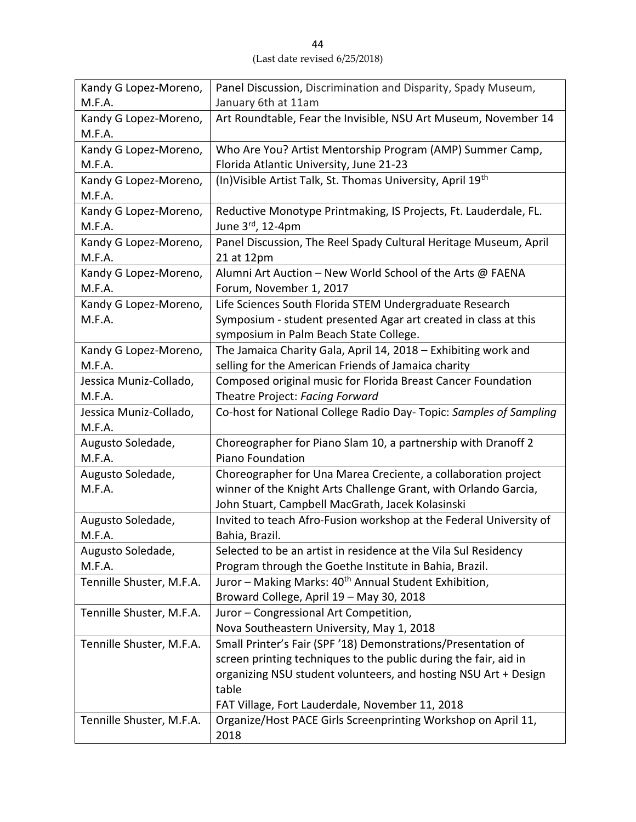| Kandy G Lopez-Moreno,    | Panel Discussion, Discrimination and Disparity, Spady Museum,      |  |
|--------------------------|--------------------------------------------------------------------|--|
| M.F.A.                   | January 6th at 11am                                                |  |
| Kandy G Lopez-Moreno,    | Art Roundtable, Fear the Invisible, NSU Art Museum, November 14    |  |
| M.F.A.                   |                                                                    |  |
| Kandy G Lopez-Moreno,    | Who Are You? Artist Mentorship Program (AMP) Summer Camp,          |  |
| M.F.A.                   | Florida Atlantic University, June 21-23                            |  |
| Kandy G Lopez-Moreno,    | (In) Visible Artist Talk, St. Thomas University, April 19th        |  |
| M.F.A.                   |                                                                    |  |
| Kandy G Lopez-Moreno,    | Reductive Monotype Printmaking, IS Projects, Ft. Lauderdale, FL.   |  |
| M.F.A.                   | June 3rd, 12-4pm                                                   |  |
| Kandy G Lopez-Moreno,    | Panel Discussion, The Reel Spady Cultural Heritage Museum, April   |  |
| M.F.A.                   | 21 at 12pm                                                         |  |
| Kandy G Lopez-Moreno,    | Alumni Art Auction - New World School of the Arts @ FAENA          |  |
| M.F.A.                   | Forum, November 1, 2017                                            |  |
| Kandy G Lopez-Moreno,    | Life Sciences South Florida STEM Undergraduate Research            |  |
| M.F.A.                   | Symposium - student presented Agar art created in class at this    |  |
|                          | symposium in Palm Beach State College.                             |  |
| Kandy G Lopez-Moreno,    | The Jamaica Charity Gala, April 14, 2018 - Exhibiting work and     |  |
| M.F.A.                   | selling for the American Friends of Jamaica charity                |  |
| Jessica Muniz-Collado,   | Composed original music for Florida Breast Cancer Foundation       |  |
| M.F.A.                   | Theatre Project: Facing Forward                                    |  |
| Jessica Muniz-Collado,   | Co-host for National College Radio Day- Topic: Samples of Sampling |  |
| M.F.A.                   |                                                                    |  |
| Augusto Soledade,        | Choreographer for Piano Slam 10, a partnership with Dranoff 2      |  |
| M.F.A.                   | Piano Foundation                                                   |  |
| Augusto Soledade,        | Choreographer for Una Marea Creciente, a collaboration project     |  |
| M.F.A.                   | winner of the Knight Arts Challenge Grant, with Orlando Garcia,    |  |
|                          | John Stuart, Campbell MacGrath, Jacek Kolasinski                   |  |
| Augusto Soledade,        | Invited to teach Afro-Fusion workshop at the Federal University of |  |
| M.F.A.                   | Bahia, Brazil.                                                     |  |
| Augusto Soledade,        | Selected to be an artist in residence at the Vila Sul Residency    |  |
| M.F.A.                   | Program through the Goethe Institute in Bahia, Brazil.             |  |
| Tennille Shuster, M.F.A. | Juror - Making Marks: 40 <sup>th</sup> Annual Student Exhibition,  |  |
|                          | Broward College, April 19 - May 30, 2018                           |  |
| Tennille Shuster, M.F.A. | Juror - Congressional Art Competition,                             |  |
|                          | Nova Southeastern University, May 1, 2018                          |  |
| Tennille Shuster, M.F.A. | Small Printer's Fair (SPF '18) Demonstrations/Presentation of      |  |
|                          | screen printing techniques to the public during the fair, aid in   |  |
|                          | organizing NSU student volunteers, and hosting NSU Art + Design    |  |
|                          | table                                                              |  |
|                          | FAT Village, Fort Lauderdale, November 11, 2018                    |  |
| Tennille Shuster, M.F.A. | Organize/Host PACE Girls Screenprinting Workshop on April 11,      |  |
|                          | 2018                                                               |  |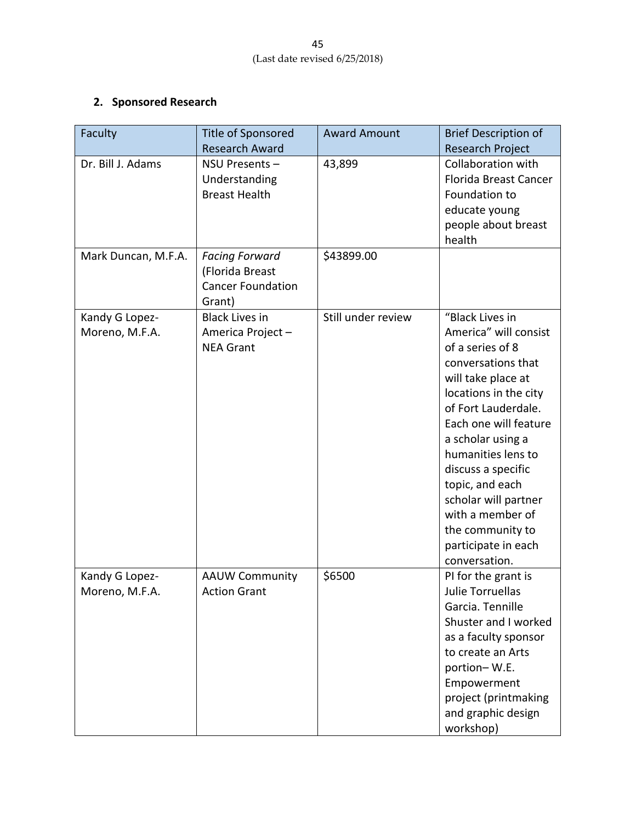# **2. Sponsored Research**

| Faculty                          | Title of Sponsored<br><b>Research Award</b>                                    | <b>Award Amount</b> | <b>Brief Description of</b><br><b>Research Project</b>                                                                                                                                                                                                                                                                                                                        |
|----------------------------------|--------------------------------------------------------------------------------|---------------------|-------------------------------------------------------------------------------------------------------------------------------------------------------------------------------------------------------------------------------------------------------------------------------------------------------------------------------------------------------------------------------|
| Dr. Bill J. Adams                | NSU Presents-<br>Understanding<br><b>Breast Health</b>                         | 43,899              | Collaboration with<br><b>Florida Breast Cancer</b><br>Foundation to<br>educate young<br>people about breast<br>health                                                                                                                                                                                                                                                         |
| Mark Duncan, M.F.A.              | <b>Facing Forward</b><br>(Florida Breast<br><b>Cancer Foundation</b><br>Grant) | \$43899.00          |                                                                                                                                                                                                                                                                                                                                                                               |
| Kandy G Lopez-<br>Moreno, M.F.A. | <b>Black Lives in</b><br>America Project-<br><b>NEA Grant</b>                  | Still under review  | "Black Lives in<br>America" will consist<br>of a series of 8<br>conversations that<br>will take place at<br>locations in the city<br>of Fort Lauderdale.<br>Each one will feature<br>a scholar using a<br>humanities lens to<br>discuss a specific<br>topic, and each<br>scholar will partner<br>with a member of<br>the community to<br>participate in each<br>conversation. |
| Kandy G Lopez-<br>Moreno, M.F.A. | <b>AAUW Community</b><br><b>Action Grant</b>                                   | \$6500              | PI for the grant is<br>Julie Torruellas<br>Garcia. Tennille<br>Shuster and I worked<br>as a faculty sponsor<br>to create an Arts<br>portion-W.E.<br>Empowerment<br>project (printmaking<br>and graphic design<br>workshop)                                                                                                                                                    |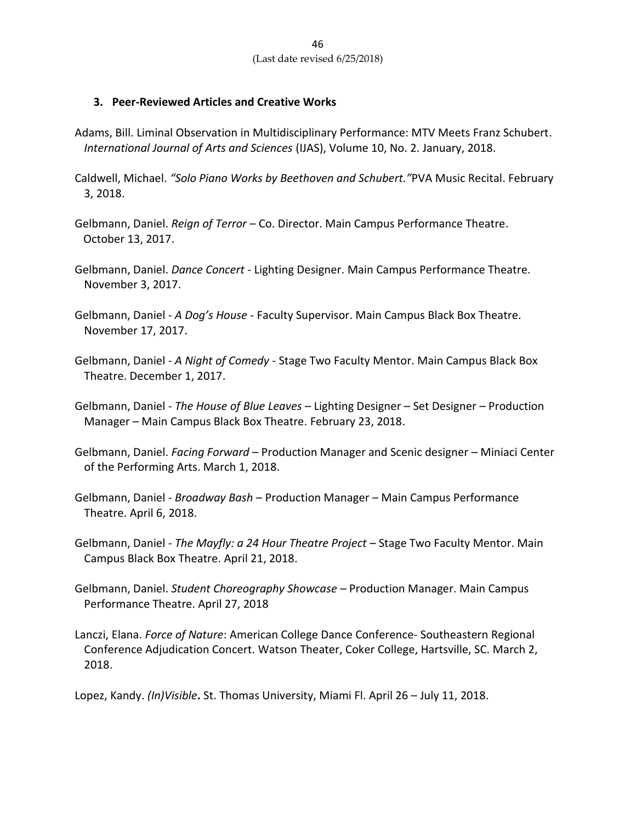#### **3. Peer-Reviewed Articles and Creative Works**

- Adams, Bill. Liminal Observation in Multidisciplinary Performance: MTV Meets Franz Schubert. *International Journal of Arts and Sciences* (IJAS), Volume 10, No. 2. January, 2018.
- Caldwell, Michael. *"Solo Piano Works by Beethoven and Schubert."*PVA Music Recital. February 3, 2018.
- Gelbmann, Daniel. *Reign of Terror* Co. Director. Main Campus Performance Theatre. October 13, 2017.
- Gelbmann, Daniel. *Dance Concert* Lighting Designer. Main Campus Performance Theatre. November 3, 2017.
- Gelbmann, Daniel *A Dog's House* Faculty Supervisor. Main Campus Black Box Theatre. November 17, 2017.
- Gelbmann, Daniel *A Night of Comedy* Stage Two Faculty Mentor. Main Campus Black Box Theatre. December 1, 2017.
- Gelbmann, Daniel *The House of Blue Leaves* Lighting Designer Set Designer Production Manager – Main Campus Black Box Theatre. February 23, 2018.
- Gelbmann, Daniel. *Facing Forward* Production Manager and Scenic designer Miniaci Center of the Performing Arts. March 1, 2018.
- Gelbmann, Daniel *Broadway Bash* Production Manager Main Campus Performance Theatre. April 6, 2018.
- Gelbmann, Daniel *The Mayfly: a 24 Hour Theatre Project* Stage Two Faculty Mentor. Main Campus Black Box Theatre. April 21, 2018.
- Gelbmann, Daniel. *Student Choreography Showcase* Production Manager. Main Campus Performance Theatre. April 27, 2018
- Lanczi, Elana. *Force of Nature*: American College Dance Conference- Southeastern Regional Conference Adjudication Concert. Watson Theater, Coker College, Hartsville, SC. March 2, 2018.

Lopez, Kandy. *(In)Visible***.** St. Thomas University, Miami Fl. April 26 – July 11, 2018.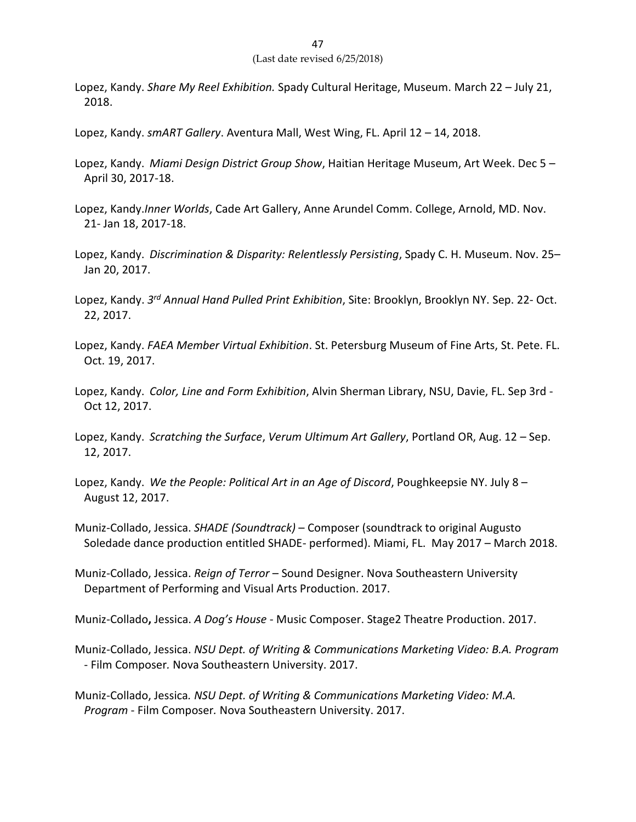- Lopez, Kandy. *Share My Reel Exhibition.* Spady Cultural Heritage, Museum. March 22 July 21, 2018.
- Lopez, Kandy. *smART Gallery*. Aventura Mall, West Wing, FL. April 12 14, 2018.
- Lopez, Kandy. *Miami Design District Group Show*, Haitian Heritage Museum, Art Week. Dec 5 April 30, 2017-18.
- Lopez, Kandy.*Inner Worlds*, Cade Art Gallery, Anne Arundel Comm. College, Arnold, MD. Nov. 21- Jan 18, 2017-18.
- Lopez, Kandy. *Discrimination & Disparity: Relentlessly Persisting*, Spady C. H. Museum. Nov. 25– Jan 20, 2017.
- Lopez, Kandy. *3 rd Annual Hand Pulled Print Exhibition*, Site: Brooklyn, Brooklyn NY. Sep. 22- Oct. 22, 2017.
- Lopez, Kandy. *FAEA Member Virtual Exhibition*. St. Petersburg Museum of Fine Arts, St. Pete. FL. Oct. 19, 2017.
- Lopez, Kandy. *Color, Line and Form Exhibition*, Alvin Sherman Library, NSU, Davie, FL. Sep 3rd Oct 12, 2017.
- Lopez, Kandy. *Scratching the Surface*, *Verum Ultimum Art Gallery*, Portland OR, Aug. 12 Sep. 12, 2017.
- Lopez, Kandy. *We the People: Political Art in an Age of Discord*, Poughkeepsie NY. July 8 August 12, 2017.
- Muniz-Collado, Jessica. *SHADE (Soundtrack)*  Composer (soundtrack to original Augusto Soledade dance production entitled SHADE- performed). Miami, FL. May 2017 – March 2018.
- Muniz-Collado, Jessica. *Reign of Terror*  Sound Designer. Nova Southeastern University Department of Performing and Visual Arts Production. 2017.
- Muniz-Collado**,** Jessica. *A Dog's House*  Music Composer. Stage2 Theatre Production. 2017.
- Muniz-Collado, Jessica. *NSU Dept. of Writing & Communications Marketing Video: B.A. Program* - Film Composer*.* Nova Southeastern University. 2017.

Muniz-Collado, Jessica*. NSU Dept. of Writing & Communications Marketing Video: M.A. Program* - Film Composer*.* Nova Southeastern University. 2017.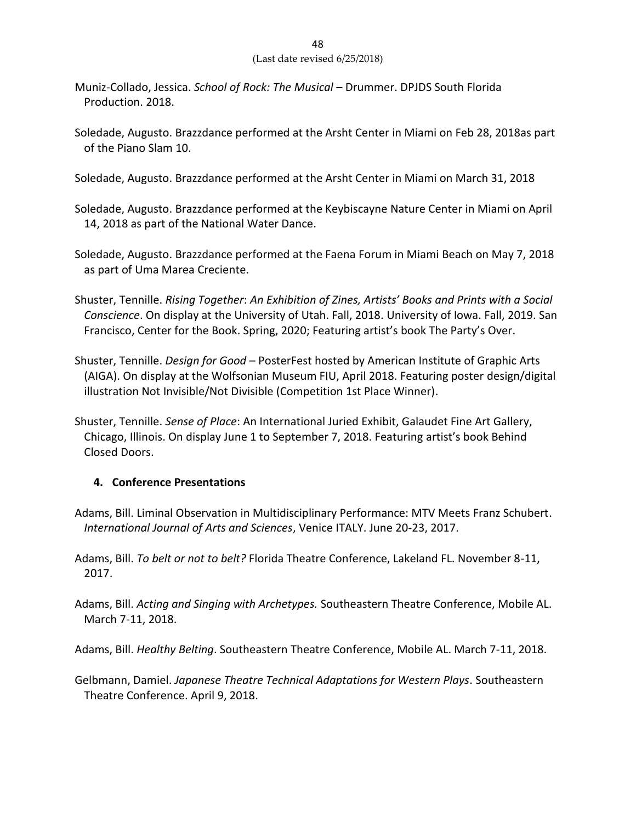- Muniz-Collado, Jessica. *School of Rock: The Musical* Drummer. DPJDS South Florida Production. 2018.
- Soledade, Augusto. Brazzdance performed at the Arsht Center in Miami on Feb 28, 2018as part of the Piano Slam 10.
- Soledade, Augusto. Brazzdance performed at the Arsht Center in Miami on March 31, 2018

Soledade, Augusto. Brazzdance performed at the Keybiscayne Nature Center in Miami on April 14, 2018 as part of the National Water Dance.

- Soledade, Augusto. Brazzdance performed at the Faena Forum in Miami Beach on May 7, 2018 as part of Uma Marea Creciente.
- Shuster, Tennille. *Rising Together*: *An Exhibition of Zines, Artists' Books and Prints with a Social Conscience*. On display at the University of Utah. Fall, 2018. University of Iowa. Fall, 2019. San Francisco, Center for the Book. Spring, 2020; Featuring artist's book The Party's Over.
- Shuster, Tennille. *Design for Good* PosterFest hosted by American Institute of Graphic Arts (AIGA). On display at the Wolfsonian Museum FIU, April 2018. Featuring poster design/digital illustration Not Invisible/Not Divisible (Competition 1st Place Winner).
- Shuster, Tennille. *Sense of Place*: An International Juried Exhibit, Galaudet Fine Art Gallery, Chicago, Illinois. On display June 1 to September 7, 2018. Featuring artist's book Behind Closed Doors.

## **4. Conference Presentations**

- Adams, Bill. Liminal Observation in Multidisciplinary Performance: MTV Meets Franz Schubert. *International Journal of Arts and Sciences*, Venice ITALY. June 20-23, 2017.
- Adams, Bill. *To belt or not to belt?* Florida Theatre Conference, Lakeland FL. November 8-11, 2017.
- Adams, Bill. *Acting and Singing with Archetypes.* Southeastern Theatre Conference, Mobile AL. March 7-11, 2018.

Adams, Bill. *Healthy Belting*. Southeastern Theatre Conference, Mobile AL. March 7-11, 2018.

Gelbmann, Damiel. *Japanese Theatre Technical Adaptations for Western Plays*. Southeastern Theatre Conference. April 9, 2018.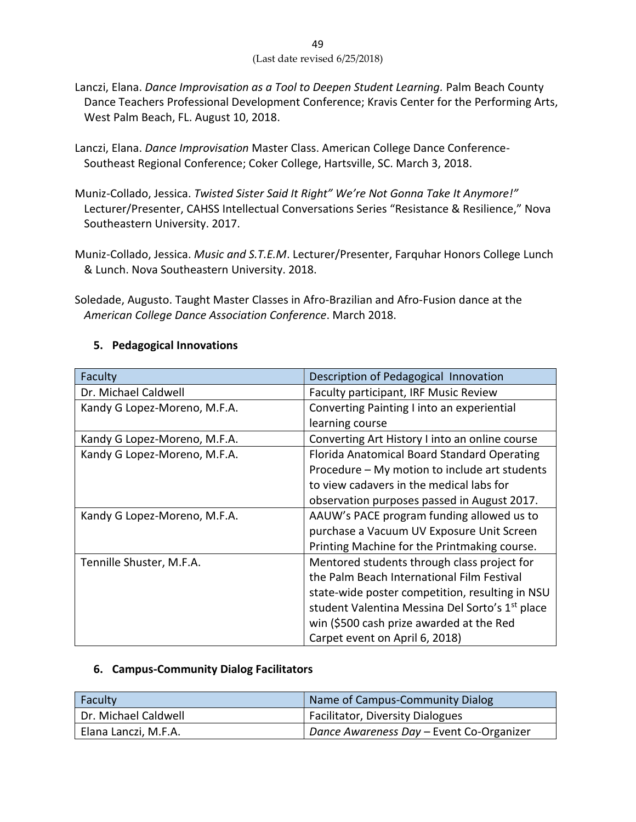- 49 (Last date revised 6/25/2018)
- Lanczi, Elana. *Dance Improvisation as a Tool to Deepen Student Learning.* Palm Beach County Dance Teachers Professional Development Conference; Kravis Center for the Performing Arts, West Palm Beach, FL. August 10, 2018.
- Lanczi, Elana. *Dance Improvisation* Master Class. American College Dance Conference-Southeast Regional Conference; Coker College, Hartsville, SC. March 3, 2018.
- Muniz-Collado, Jessica. *Twisted Sister Said It Right" We're Not Gonna Take It Anymore!"* Lecturer/Presenter, CAHSS Intellectual Conversations Series "Resistance & Resilience," Nova Southeastern University. 2017.
- Muniz-Collado, Jessica. *Music and S.T.E.M*. Lecturer/Presenter, Farquhar Honors College Lunch & Lunch. Nova Southeastern University. 2018.
- Soledade, Augusto. Taught Master Classes in Afro-Brazilian and Afro-Fusion dance at the *American College Dance Association Conference*. March 2018.

## **5. Pedagogical Innovations**

| Faculty                      | Description of Pedagogical Innovation                       |  |
|------------------------------|-------------------------------------------------------------|--|
| Dr. Michael Caldwell         | Faculty participant, IRF Music Review                       |  |
| Kandy G Lopez-Moreno, M.F.A. | Converting Painting I into an experiential                  |  |
|                              | learning course                                             |  |
| Kandy G Lopez-Moreno, M.F.A. | Converting Art History I into an online course              |  |
| Kandy G Lopez-Moreno, M.F.A. | Florida Anatomical Board Standard Operating                 |  |
|                              | Procedure – My motion to include art students               |  |
|                              | to view cadavers in the medical labs for                    |  |
|                              | observation purposes passed in August 2017.                 |  |
| Kandy G Lopez-Moreno, M.F.A. | AAUW's PACE program funding allowed us to                   |  |
|                              | purchase a Vacuum UV Exposure Unit Screen                   |  |
|                              | Printing Machine for the Printmaking course.                |  |
| Tennille Shuster, M.F.A.     | Mentored students through class project for                 |  |
|                              | the Palm Beach International Film Festival                  |  |
|                              | state-wide poster competition, resulting in NSU             |  |
|                              | student Valentina Messina Del Sorto's 1 <sup>st</sup> place |  |
|                              | win (\$500 cash prize awarded at the Red                    |  |
|                              | Carpet event on April 6, 2018)                              |  |

#### **6. Campus-Community Dialog Facilitators**

| Faculty              | Name of Campus-Community Dialog               |
|----------------------|-----------------------------------------------|
| Dr. Michael Caldwell | <sup>1</sup> Facilitator, Diversity Dialogues |
| Elana Lanczi, M.F.A. | Dance Awareness Day - Event Co-Organizer      |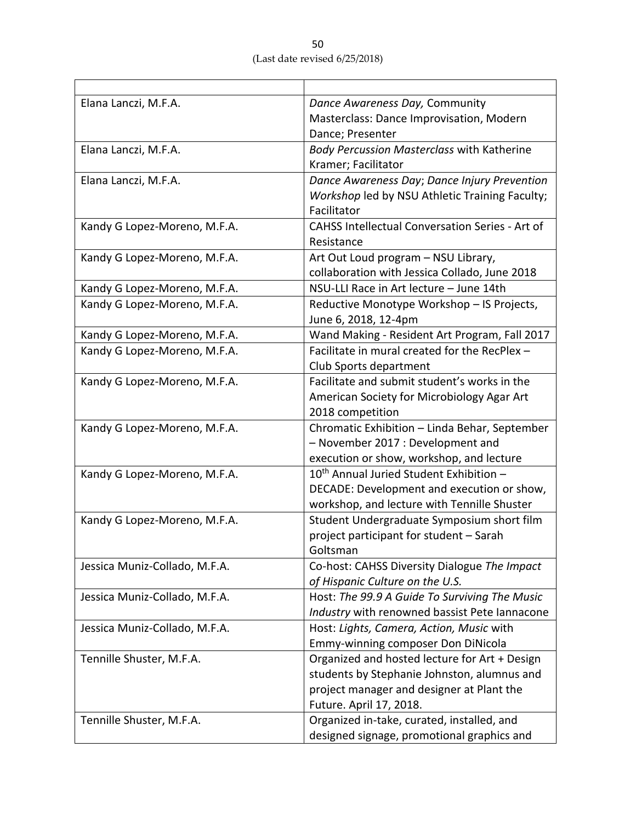| Elana Lanczi, M.F.A.          | Dance Awareness Day, Community                         |  |
|-------------------------------|--------------------------------------------------------|--|
|                               | Masterclass: Dance Improvisation, Modern               |  |
|                               | Dance; Presenter                                       |  |
| Elana Lanczi, M.F.A.          | <b>Body Percussion Masterclass with Katherine</b>      |  |
|                               | Kramer; Facilitator                                    |  |
| Elana Lanczi, M.F.A.          | Dance Awareness Day; Dance Injury Prevention           |  |
|                               | Workshop led by NSU Athletic Training Faculty;         |  |
|                               | Facilitator                                            |  |
| Kandy G Lopez-Moreno, M.F.A.  | <b>CAHSS Intellectual Conversation Series - Art of</b> |  |
|                               | Resistance                                             |  |
| Kandy G Lopez-Moreno, M.F.A.  | Art Out Loud program - NSU Library,                    |  |
|                               | collaboration with Jessica Collado, June 2018          |  |
| Kandy G Lopez-Moreno, M.F.A.  | NSU-LLI Race in Art lecture - June 14th                |  |
| Kandy G Lopez-Moreno, M.F.A.  | Reductive Monotype Workshop - IS Projects,             |  |
|                               | June 6, 2018, 12-4pm                                   |  |
| Kandy G Lopez-Moreno, M.F.A.  | Wand Making - Resident Art Program, Fall 2017          |  |
| Kandy G Lopez-Moreno, M.F.A.  | Facilitate in mural created for the RecPlex -          |  |
|                               | Club Sports department                                 |  |
| Kandy G Lopez-Moreno, M.F.A.  | Facilitate and submit student's works in the           |  |
|                               | American Society for Microbiology Agar Art             |  |
|                               | 2018 competition                                       |  |
| Kandy G Lopez-Moreno, M.F.A.  | Chromatic Exhibition - Linda Behar, September          |  |
|                               | - November 2017 : Development and                      |  |
|                               | execution or show, workshop, and lecture               |  |
| Kandy G Lopez-Moreno, M.F.A.  | 10 <sup>th</sup> Annual Juried Student Exhibition -    |  |
|                               | DECADE: Development and execution or show,             |  |
|                               | workshop, and lecture with Tennille Shuster            |  |
| Kandy G Lopez-Moreno, M.F.A.  | Student Undergraduate Symposium short film             |  |
|                               | project participant for student - Sarah                |  |
|                               | Goltsman                                               |  |
| Jessica Muniz-Collado, M.F.A. | Co-host: CAHSS Diversity Dialogue The Impact           |  |
|                               | of Hispanic Culture on the U.S.                        |  |
| Jessica Muniz-Collado, M.F.A. | Host: The 99.9 A Guide To Surviving The Music          |  |
|                               | Industry with renowned bassist Pete Iannacone          |  |
| Jessica Muniz-Collado, M.F.A. | Host: Lights, Camera, Action, Music with               |  |
|                               | Emmy-winning composer Don DiNicola                     |  |
| Tennille Shuster, M.F.A.      | Organized and hosted lecture for Art + Design          |  |
|                               | students by Stephanie Johnston, alumnus and            |  |
|                               | project manager and designer at Plant the              |  |
|                               | Future. April 17, 2018.                                |  |
| Tennille Shuster, M.F.A.      | Organized in-take, curated, installed, and             |  |
|                               | designed signage, promotional graphics and             |  |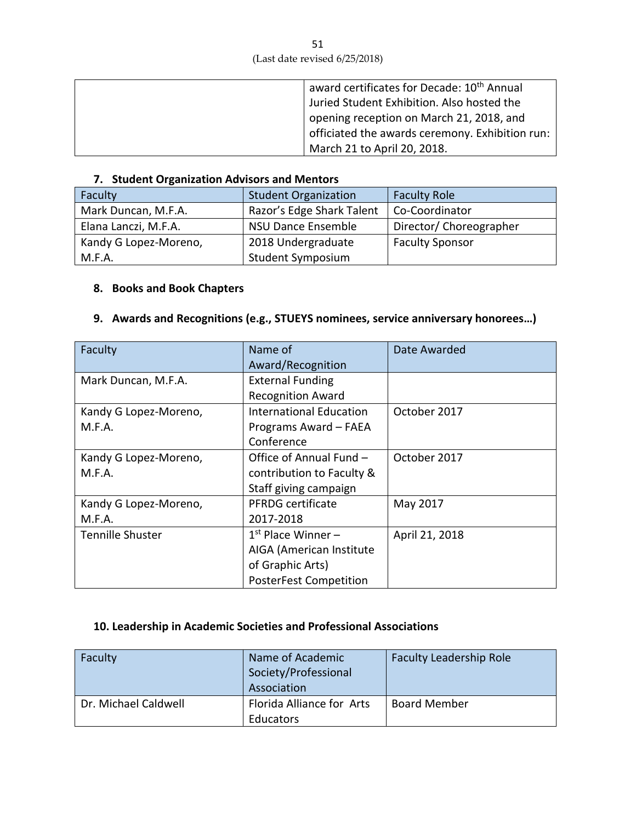| award certificates for Decade: 10 <sup>th</sup> Annual |
|--------------------------------------------------------|
|                                                        |
| Juried Student Exhibition. Also hosted the             |
| opening reception on March 21, 2018, and               |
| officiated the awards ceremony. Exhibition run:        |
| March 21 to April 20, 2018.                            |

## **7. Student Organization Advisors and Mentors**

| Faculty               | <b>Student Organization</b> | <b>Faculty Role</b>     |
|-----------------------|-----------------------------|-------------------------|
| Mark Duncan, M.F.A.   | Razor's Edge Shark Talent   | Co-Coordinator          |
| Elana Lanczi, M.F.A.  | NSU Dance Ensemble          | Director/ Choreographer |
| Kandy G Lopez-Moreno, | 2018 Undergraduate          | <b>Faculty Sponsor</b>  |
| M.F.A.                | <b>Student Symposium</b>    |                         |

## **8. Books and Book Chapters**

## **9. Awards and Recognitions (e.g., STUEYS nominees, service anniversary honorees…)**

| Faculty                 | Name of                        | Date Awarded   |
|-------------------------|--------------------------------|----------------|
|                         | Award/Recognition              |                |
| Mark Duncan, M.F.A.     | <b>External Funding</b>        |                |
|                         | <b>Recognition Award</b>       |                |
| Kandy G Lopez-Moreno,   | <b>International Education</b> | October 2017   |
| M.F.A.                  | Programs Award - FAEA          |                |
|                         | Conference                     |                |
| Kandy G Lopez-Moreno,   | Office of Annual Fund -        | October 2017   |
| M.F.A.                  | contribution to Faculty &      |                |
|                         | Staff giving campaign          |                |
| Kandy G Lopez-Moreno,   | <b>PFRDG</b> certificate       | May 2017       |
| M.F.A.                  | 2017-2018                      |                |
| <b>Tennille Shuster</b> | $1st$ Place Winner –           | April 21, 2018 |
|                         | AIGA (American Institute       |                |
|                         | of Graphic Arts)               |                |
|                         | <b>PosterFest Competition</b>  |                |

## **10. Leadership in Academic Societies and Professional Associations**

| Faculty              | Name of Academic<br>Society/Professional<br>Association | <b>Faculty Leadership Role</b> |
|----------------------|---------------------------------------------------------|--------------------------------|
| Dr. Michael Caldwell | Florida Alliance for Arts<br>Educators                  | <b>Board Member</b>            |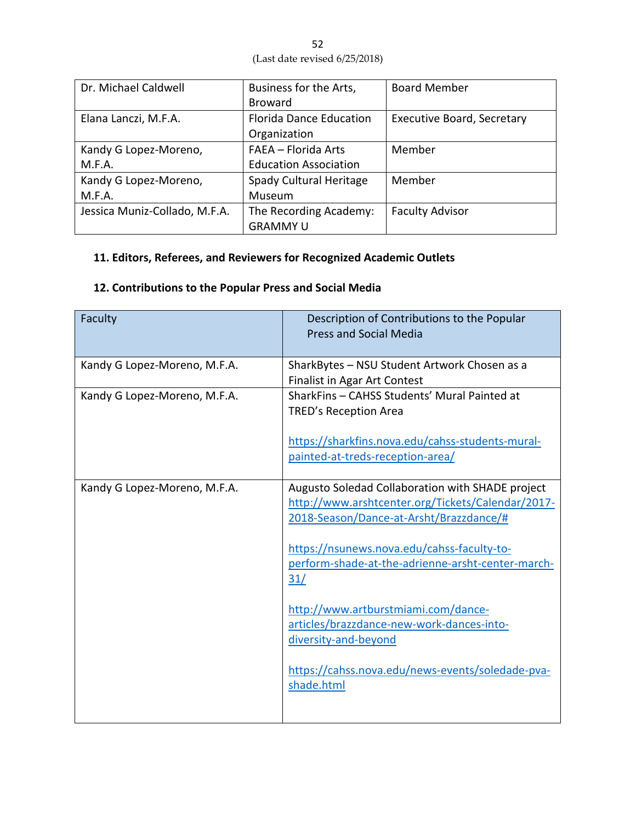| .52                           |  |
|-------------------------------|--|
| (Last date revised 6/25/2018) |  |

| Dr. Michael Caldwell          | Business for the Arts,         | <b>Board Member</b>               |
|-------------------------------|--------------------------------|-----------------------------------|
|                               | <b>Broward</b>                 |                                   |
| Elana Lanczi, M.F.A.          | <b>Florida Dance Education</b> | <b>Executive Board, Secretary</b> |
|                               | Organization                   |                                   |
| Kandy G Lopez-Moreno,         | FAEA - Florida Arts            | Member                            |
| M.F.A.                        | <b>Education Association</b>   |                                   |
| Kandy G Lopez-Moreno,         | Spady Cultural Heritage        | Member                            |
| M.F.A.                        | Museum                         |                                   |
| Jessica Muniz-Collado, M.F.A. | The Recording Academy:         | <b>Faculty Advisor</b>            |
|                               | <b>GRAMMY U</b>                |                                   |

# **11. Editors, Referees, and Reviewers for Recognized Academic Outlets**

# **12. Contributions to the Popular Press and Social Media**

| Faculty                      | Description of Contributions to the Popular<br><b>Press and Social Media</b>                                                                                                                                                                                                                                                                                                                                                             |
|------------------------------|------------------------------------------------------------------------------------------------------------------------------------------------------------------------------------------------------------------------------------------------------------------------------------------------------------------------------------------------------------------------------------------------------------------------------------------|
| Kandy G Lopez-Moreno, M.F.A. | SharkBytes - NSU Student Artwork Chosen as a<br><b>Finalist in Agar Art Contest</b>                                                                                                                                                                                                                                                                                                                                                      |
| Kandy G Lopez-Moreno, M.F.A. | SharkFins - CAHSS Students' Mural Painted at<br><b>TRED's Reception Area</b><br>https://sharkfins.nova.edu/cahss-students-mural-<br>painted-at-treds-reception-area/                                                                                                                                                                                                                                                                     |
| Kandy G Lopez-Moreno, M.F.A. | Augusto Soledad Collaboration with SHADE project<br>http://www.arshtcenter.org/Tickets/Calendar/2017-<br>2018-Season/Dance-at-Arsht/Brazzdance/#<br>https://nsunews.nova.edu/cahss-faculty-to-<br>perform-shade-at-the-adrienne-arsht-center-march-<br>31/<br>http://www.artburstmiami.com/dance-<br>articles/brazzdance-new-work-dances-into-<br>diversity-and-beyond<br>https://cahss.nova.edu/news-events/soledade-pva-<br>shade.html |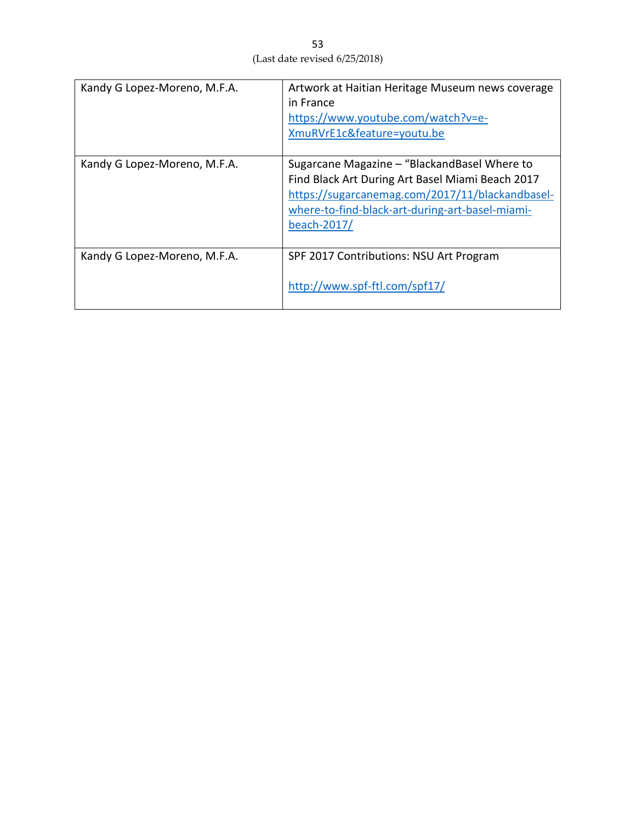| Kandy G Lopez-Moreno, M.F.A. | Artwork at Haitian Heritage Museum news coverage<br>in France<br>https://www.youtube.com/watch?v=e-<br>XmuRVrE1c&feature=youtu.be                                                                                     |
|------------------------------|-----------------------------------------------------------------------------------------------------------------------------------------------------------------------------------------------------------------------|
| Kandy G Lopez-Moreno, M.F.A. | Sugarcane Magazine - "BlackandBasel Where to<br>Find Black Art During Art Basel Miami Beach 2017<br>https://sugarcanemag.com/2017/11/blackandbasel-<br>where-to-find-black-art-during-art-basel-miami-<br>beach-2017/ |
| Kandy G Lopez-Moreno, M.F.A. | SPF 2017 Contributions: NSU Art Program<br>http://www.spf-ftl.com/spf17/                                                                                                                                              |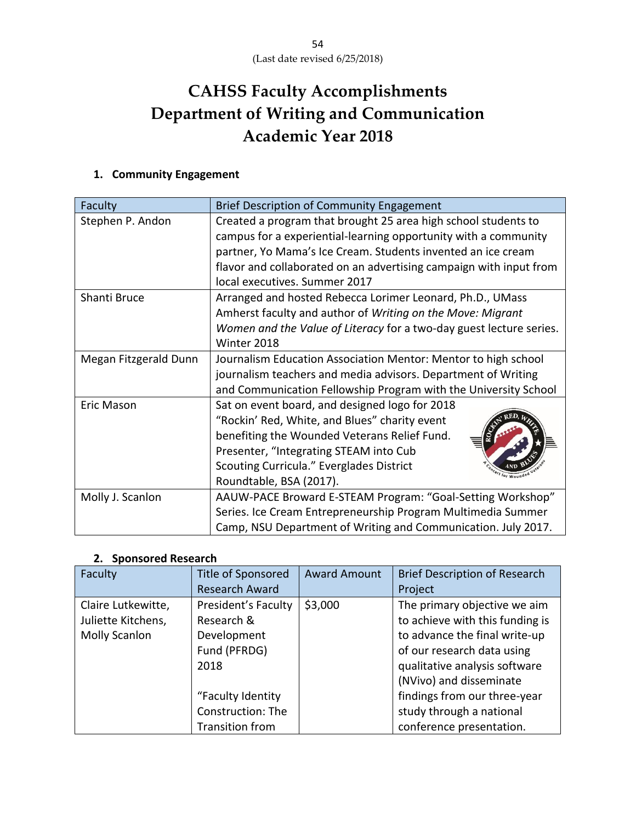# **CAHSS Faculty Accomplishments Department of Writing and Communication Academic Year 2018**

## **1. Community Engagement**

| Faculty               | <b>Brief Description of Community Engagement</b>                    |  |  |
|-----------------------|---------------------------------------------------------------------|--|--|
| Stephen P. Andon      | Created a program that brought 25 area high school students to      |  |  |
|                       | campus for a experiential-learning opportunity with a community     |  |  |
|                       | partner, Yo Mama's Ice Cream. Students invented an ice cream        |  |  |
|                       | flavor and collaborated on an advertising campaign with input from  |  |  |
|                       | local executives. Summer 2017                                       |  |  |
| Shanti Bruce          | Arranged and hosted Rebecca Lorimer Leonard, Ph.D., UMass           |  |  |
|                       | Amherst faculty and author of Writing on the Move: Migrant          |  |  |
|                       | Women and the Value of Literacy for a two-day guest lecture series. |  |  |
|                       | Winter 2018                                                         |  |  |
| Megan Fitzgerald Dunn | Journalism Education Association Mentor: Mentor to high school      |  |  |
|                       | journalism teachers and media advisors. Department of Writing       |  |  |
|                       | and Communication Fellowship Program with the University School     |  |  |
| <b>Eric Mason</b>     | Sat on event board, and designed logo for 2018                      |  |  |
|                       | "Rockin' Red, White, and Blues" charity event                       |  |  |
|                       | benefiting the Wounded Veterans Relief Fund.                        |  |  |
|                       | Presenter, "Integrating STEAM into Cub                              |  |  |
|                       | Scouting Curricula." Everglades District                            |  |  |
|                       | Roundtable, BSA (2017).                                             |  |  |
| Molly J. Scanlon      | AAUW-PACE Broward E-STEAM Program: "Goal-Setting Workshop"          |  |  |
|                       | Series. Ice Cream Entrepreneurship Program Multimedia Summer        |  |  |
|                       | Camp, NSU Department of Writing and Communication. July 2017.       |  |  |

#### **2. Sponsored Research**

| Faculty            | <b>Title of Sponsored</b> | <b>Award Amount</b> | <b>Brief Description of Research</b> |
|--------------------|---------------------------|---------------------|--------------------------------------|
|                    | <b>Research Award</b>     |                     | Project                              |
| Claire Lutkewitte, | President's Faculty       | \$3,000             | The primary objective we aim         |
| Juliette Kitchens, | Research &                |                     | to achieve with this funding is      |
| Molly Scanlon      | Development               |                     | to advance the final write-up        |
|                    | Fund (PFRDG)              |                     | of our research data using           |
|                    | 2018                      |                     | qualitative analysis software        |
|                    |                           |                     | (NVivo) and disseminate              |
|                    | "Faculty Identity         |                     | findings from our three-year         |
|                    | Construction: The         |                     | study through a national             |
|                    | <b>Transition from</b>    |                     | conference presentation.             |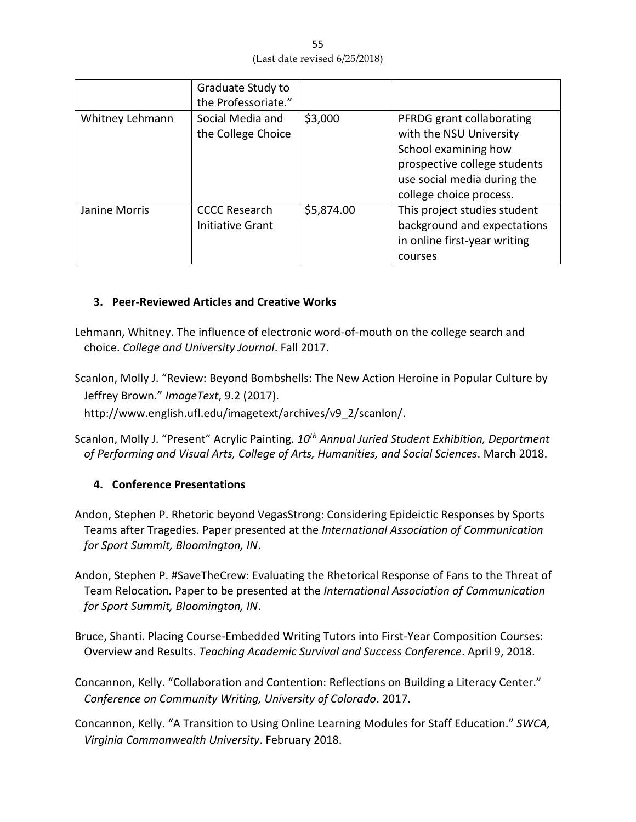55 (Last date revised 6/25/2018)

|                 | Graduate Study to<br>the Professoriate."        |            |                                                                                                                                                                        |
|-----------------|-------------------------------------------------|------------|------------------------------------------------------------------------------------------------------------------------------------------------------------------------|
| Whitney Lehmann | Social Media and<br>the College Choice          | \$3,000    | PFRDG grant collaborating<br>with the NSU University<br>School examining how<br>prospective college students<br>use social media during the<br>college choice process. |
| Janine Morris   | <b>CCCC Research</b><br><b>Initiative Grant</b> | \$5,874.00 | This project studies student<br>background and expectations<br>in online first-year writing<br>courses                                                                 |

## **3. Peer-Reviewed Articles and Creative Works**

Lehmann, Whitney. The influence of electronic word-of-mouth on the college search and choice. *College and University Journal*. Fall 2017.

Scanlon, Molly J. "Review: Beyond Bombshells: The New Action Heroine in Popular Culture by Jeffrey Brown." *ImageText*, 9.2 (2017).

http://www.english.ufl.edu/imagetext/archives/v9\_2/scanlon/.

Scanlon, Molly J. "Present" Acrylic Painting. *10th Annual Juried Student Exhibition, Department of Performing and Visual Arts, College of Arts, Humanities, and Social Sciences*. March 2018.

## **4. Conference Presentations**

- Andon, Stephen P. Rhetoric beyond VegasStrong: Considering Epideictic Responses by Sports Teams after Tragedies. Paper presented at the *International Association of Communication for Sport Summit, Bloomington, IN*.
- Andon, Stephen P. #SaveTheCrew: Evaluating the Rhetorical Response of Fans to the Threat of Team Relocation*.* Paper to be presented at the *International Association of Communication for Sport Summit, Bloomington, IN*.
- Bruce, Shanti. Placing Course-Embedded Writing Tutors into First-Year Composition Courses: Overview and Results*. Teaching Academic Survival and Success Conference*. April 9, 2018.
- Concannon, Kelly. "Collaboration and Contention: Reflections on Building a Literacy Center." *Conference on Community Writing, University of Colorado*. 2017.
- Concannon, Kelly. "A Transition to Using Online Learning Modules for Staff Education." *SWCA, Virginia Commonwealth University*. February 2018.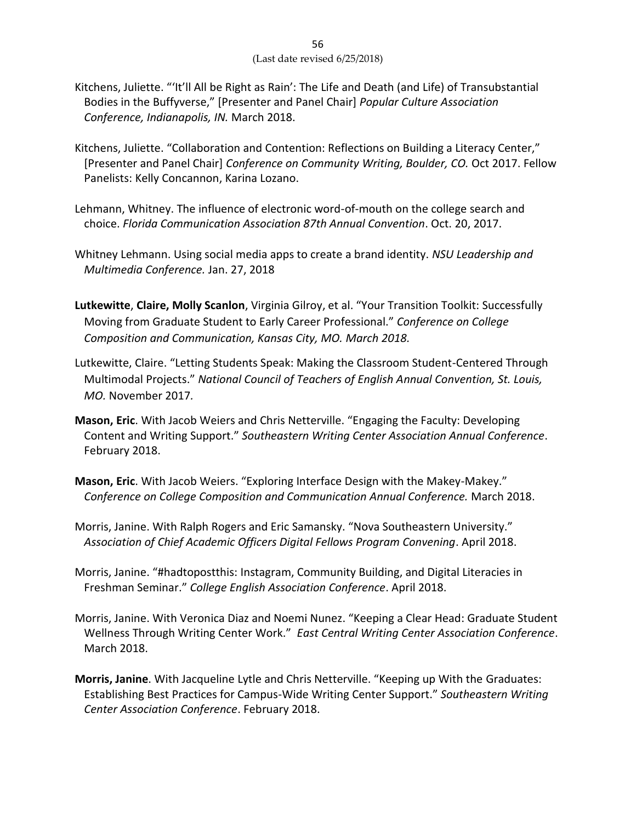- Kitchens, Juliette. "'It'll All be Right as Rain': The Life and Death (and Life) of Transubstantial Bodies in the Buffyverse," [Presenter and Panel Chair] *Popular Culture Association Conference, Indianapolis, IN.* March 2018.
- Kitchens, Juliette. "Collaboration and Contention: Reflections on Building a Literacy Center," [Presenter and Panel Chair] *Conference on Community Writing, Boulder, CO.* Oct 2017. Fellow Panelists: Kelly Concannon, Karina Lozano.
- Lehmann, Whitney. The influence of electronic word-of-mouth on the college search and choice. *Florida Communication Association 87th Annual Convention*. Oct. 20, 2017.
- Whitney Lehmann. Using social media apps to create a brand identity. *NSU Leadership and Multimedia Conference.* Jan. 27, 2018
- **Lutkewitte**, **Claire, Molly Scanlon**, Virginia Gilroy, et al. "Your Transition Toolkit: Successfully Moving from Graduate Student to Early Career Professional." *Conference on College Composition and Communication, Kansas City, MO. March 2018.*
- Lutkewitte, Claire. "Letting Students Speak: Making the Classroom Student-Centered Through Multimodal Projects." *National Council of Teachers of English Annual Convention, St. Louis, MO.* November 2017*.*
- **Mason, Eric**. With Jacob Weiers and Chris Netterville. "Engaging the Faculty: Developing Content and Writing Support." *Southeastern Writing Center Association Annual Conference*. February 2018.
- **Mason, Eric**. With Jacob Weiers. "Exploring Interface Design with the Makey-Makey." *Conference on College Composition and Communication Annual Conference.* March 2018.
- Morris, Janine. With Ralph Rogers and Eric Samansky. "Nova Southeastern University." *Association of Chief Academic Officers Digital Fellows Program Convening*. April 2018.
- Morris, Janine. "#hadtopostthis: Instagram, Community Building, and Digital Literacies in Freshman Seminar." *College English Association Conference*. April 2018.
- Morris, Janine. With Veronica Diaz and Noemi Nunez. "Keeping a Clear Head: Graduate Student Wellness Through Writing Center Work." *East Central Writing Center Association Conference*. March 2018.
- **Morris, Janine**. With Jacqueline Lytle and Chris Netterville. "Keeping up With the Graduates: Establishing Best Practices for Campus-Wide Writing Center Support." *Southeastern Writing Center Association Conference*. February 2018.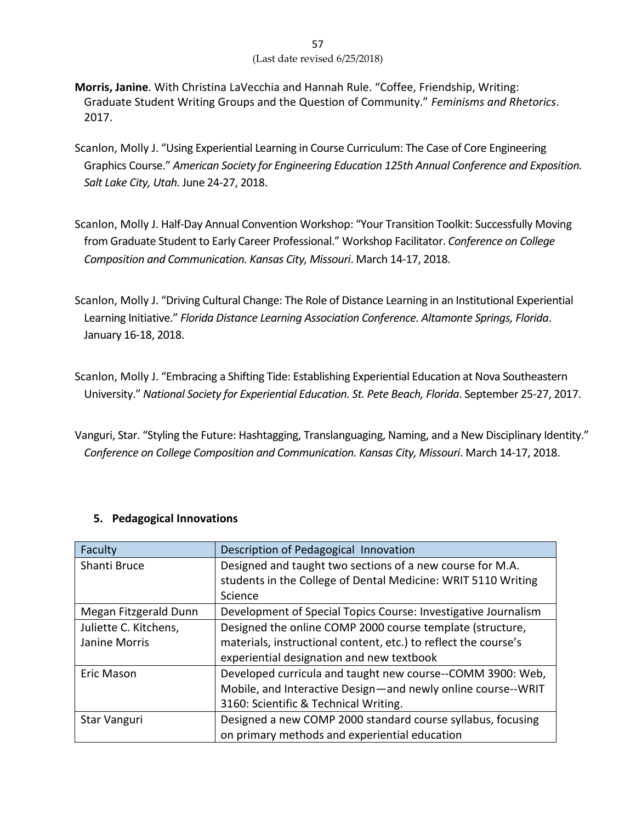- **Morris, Janine**. With Christina LaVecchia and Hannah Rule. "Coffee, Friendship, Writing: Graduate Student Writing Groups and the Question of Community." *Feminisms and Rhetorics*. 2017.
- Scanlon, Molly J. "Using Experiential Learning in Course Curriculum: The Case of Core Engineering Graphics Course." *American Society for Engineering Education 125th Annual Conference and Exposition. Salt Lake City, Utah.* June 24-27, 2018.
- Scanlon, Molly J. Half-Day Annual Convention Workshop: "Your Transition Toolkit: Successfully Moving from Graduate Student to Early Career Professional." Workshop Facilitator. *Conference on College Composition and Communication. Kansas City, Missouri*. March 14-17, 2018.
- Scanlon, Molly J. "Driving Cultural Change: The Role of Distance Learning in an Institutional Experiential Learning Initiative." *Florida Distance Learning Association Conference. Altamonte Springs, Florida*. January 16-18, 2018.
- Scanlon, Molly J. "Embracing a Shifting Tide: Establishing Experiential Education at Nova Southeastern University." *National Society for Experiential Education. St. Pete Beach, Florida*. September 25-27, 2017.
- Vanguri, Star. "Styling the Future: Hashtagging, Translanguaging, Naming, and a New Disciplinary Identity." *Conference on College Composition and Communication. Kansas City, Missouri*. March 14-17, 2018.

| Faculty               | Description of Pedagogical Innovation                           |  |
|-----------------------|-----------------------------------------------------------------|--|
| Shanti Bruce          | Designed and taught two sections of a new course for M.A.       |  |
|                       | students in the College of Dental Medicine: WRIT 5110 Writing   |  |
|                       | Science                                                         |  |
| Megan Fitzgerald Dunn | Development of Special Topics Course: Investigative Journalism  |  |
| Juliette C. Kitchens, | Designed the online COMP 2000 course template (structure,       |  |
| Janine Morris         | materials, instructional content, etc.) to reflect the course's |  |
|                       | experiential designation and new textbook                       |  |
| Eric Mason            | Developed curricula and taught new course--COMM 3900: Web,      |  |
|                       | Mobile, and Interactive Design-and newly online course--WRIT    |  |
|                       | 3160: Scientific & Technical Writing.                           |  |
| Star Vanguri          | Designed a new COMP 2000 standard course syllabus, focusing     |  |
|                       | on primary methods and experiential education                   |  |

## **5. Pedagogical Innovations**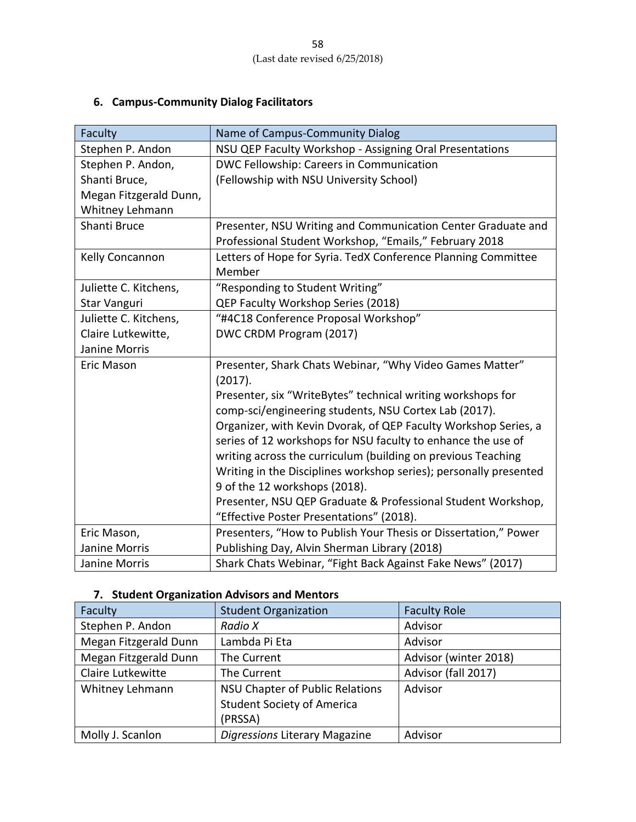# **6. Campus-Community Dialog Facilitators**

| Faculty                | Name of Campus-Community Dialog                                   |  |
|------------------------|-------------------------------------------------------------------|--|
| Stephen P. Andon       | NSU QEP Faculty Workshop - Assigning Oral Presentations           |  |
| Stephen P. Andon,      | DWC Fellowship: Careers in Communication                          |  |
| Shanti Bruce,          | (Fellowship with NSU University School)                           |  |
| Megan Fitzgerald Dunn, |                                                                   |  |
| Whitney Lehmann        |                                                                   |  |
| Shanti Bruce           | Presenter, NSU Writing and Communication Center Graduate and      |  |
|                        | Professional Student Workshop, "Emails," February 2018            |  |
| Kelly Concannon        | Letters of Hope for Syria. TedX Conference Planning Committee     |  |
|                        | Member                                                            |  |
| Juliette C. Kitchens,  | "Responding to Student Writing"                                   |  |
| Star Vanguri           | QEP Faculty Workshop Series (2018)                                |  |
| Juliette C. Kitchens,  | "#4C18 Conference Proposal Workshop"                              |  |
| Claire Lutkewitte,     | DWC CRDM Program (2017)                                           |  |
| Janine Morris          |                                                                   |  |
| <b>Eric Mason</b>      | Presenter, Shark Chats Webinar, "Why Video Games Matter"          |  |
|                        | (2017).                                                           |  |
|                        | Presenter, six "WriteBytes" technical writing workshops for       |  |
|                        | comp-sci/engineering students, NSU Cortex Lab (2017).             |  |
|                        | Organizer, with Kevin Dvorak, of QEP Faculty Workshop Series, a   |  |
|                        | series of 12 workshops for NSU faculty to enhance the use of      |  |
|                        | writing across the curriculum (building on previous Teaching      |  |
|                        | Writing in the Disciplines workshop series); personally presented |  |
|                        | 9 of the 12 workshops (2018).                                     |  |
|                        | Presenter, NSU QEP Graduate & Professional Student Workshop,      |  |
|                        | "Effective Poster Presentations" (2018).                          |  |
| Eric Mason,            | Presenters, "How to Publish Your Thesis or Dissertation," Power   |  |
| <b>Janine Morris</b>   | Publishing Day, Alvin Sherman Library (2018)                      |  |
| Janine Morris          | Shark Chats Webinar, "Fight Back Against Fake News" (2017)        |  |

## **7. Student Organization Advisors and Mentors**

| Faculty               | <b>Student Organization</b>            | <b>Faculty Role</b>   |
|-----------------------|----------------------------------------|-----------------------|
| Stephen P. Andon      | Radio X                                | Advisor               |
| Megan Fitzgerald Dunn | Lambda Pi Eta                          | Advisor               |
| Megan Fitzgerald Dunn | The Current                            | Advisor (winter 2018) |
| Claire Lutkewitte     | The Current                            | Advisor (fall 2017)   |
| Whitney Lehmann       | <b>NSU Chapter of Public Relations</b> | Advisor               |
|                       | <b>Student Society of America</b>      |                       |
|                       | (PRSSA)                                |                       |
| Molly J. Scanlon      | Digressions Literary Magazine          | Advisor               |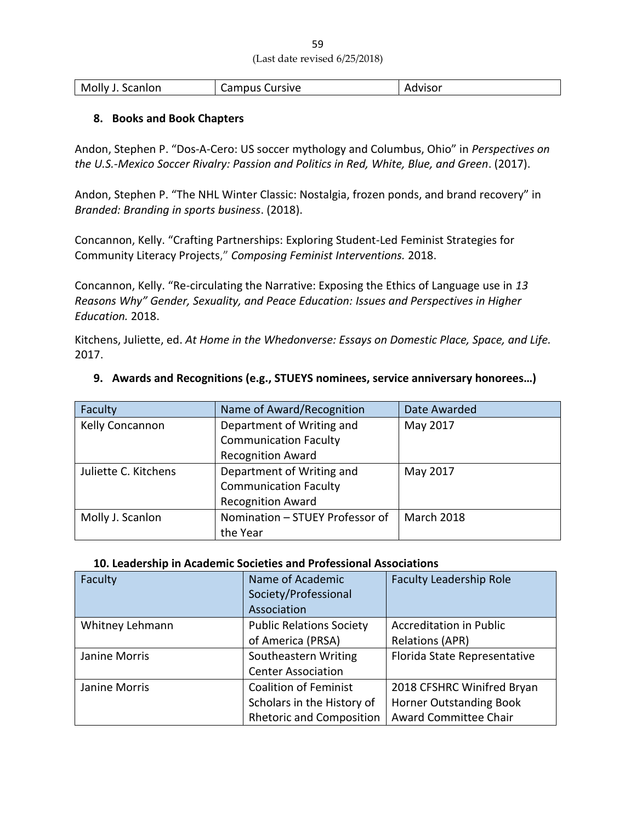| 59                            |  |
|-------------------------------|--|
| (Last date revised 6/25/2018) |  |

| Molly<br>Scanlon | Cursive<br>$\cdots$<br>cdilibus : | visor<br>w |
|------------------|-----------------------------------|------------|
|                  |                                   |            |

#### **8. Books and Book Chapters**

Andon, Stephen P. "Dos-A-Cero: US soccer mythology and Columbus, Ohio" in *Perspectives on the U.S.-Mexico Soccer Rivalry: Passion and Politics in Red, White, Blue, and Green*. (2017).

Andon, Stephen P. "The NHL Winter Classic: Nostalgia, frozen ponds, and brand recovery" in *Branded: Branding in sports business*. (2018).

Concannon, Kelly. "Crafting Partnerships: Exploring Student-Led Feminist Strategies for Community Literacy Projects," *Composing Feminist Interventions.* 2018.

Concannon, Kelly. "Re-circulating the Narrative: Exposing the Ethics of Language use in *13 Reasons Why" Gender, Sexuality, and Peace Education: Issues and Perspectives in Higher Education.* 2018.

Kitchens, Juliette, ed. *At Home in the Whedonverse: Essays on Domestic Place, Space, and Life.* 2017.

| Faculty              | Name of Award/Recognition       | Date Awarded |
|----------------------|---------------------------------|--------------|
| Kelly Concannon      | Department of Writing and       | May 2017     |
|                      | <b>Communication Faculty</b>    |              |
|                      | <b>Recognition Award</b>        |              |
| Juliette C. Kitchens | Department of Writing and       | May 2017     |
|                      | <b>Communication Faculty</b>    |              |
|                      | <b>Recognition Award</b>        |              |
| Molly J. Scanlon     | Nomination - STUEY Professor of | March 2018   |
|                      | the Year                        |              |

#### **9. Awards and Recognitions (e.g., STUEYS nominees, service anniversary honorees…)**

#### **10. Leadership in Academic Societies and Professional Associations**

| Faculty         | Name of Academic<br>Society/Professional<br>Association | <b>Faculty Leadership Role</b> |
|-----------------|---------------------------------------------------------|--------------------------------|
| Whitney Lehmann | <b>Public Relations Society</b>                         | <b>Accreditation in Public</b> |
|                 | of America (PRSA)                                       | <b>Relations (APR)</b>         |
| Janine Morris   | Southeastern Writing                                    | Florida State Representative   |
|                 | <b>Center Association</b>                               |                                |
| Janine Morris   | <b>Coalition of Feminist</b>                            | 2018 CFSHRC Winifred Bryan     |
|                 | Scholars in the History of                              | <b>Horner Outstanding Book</b> |
|                 | <b>Rhetoric and Composition</b>                         | Award Committee Chair          |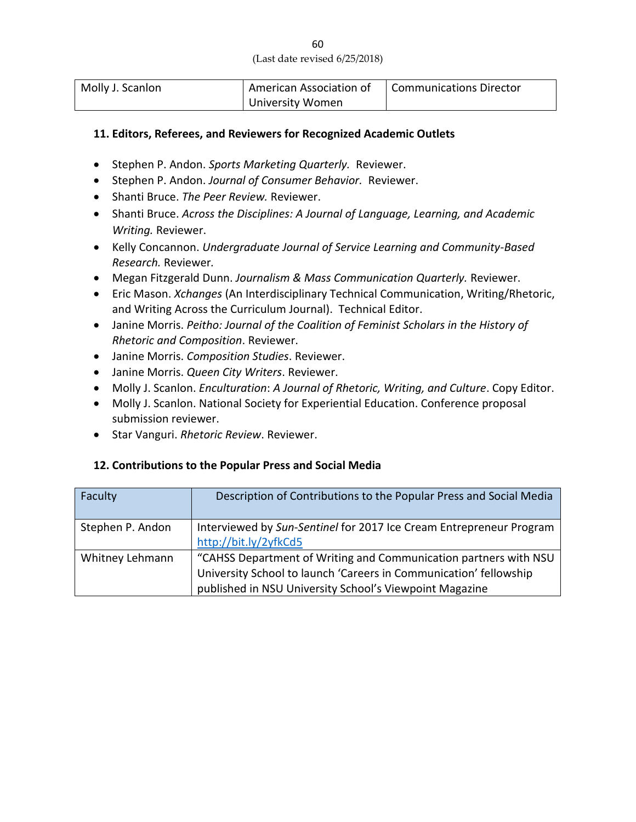| Molly J. Scanlon | American Association of | <b>Communications Director</b> |
|------------------|-------------------------|--------------------------------|
|                  | University Women        |                                |

#### **11. Editors, Referees, and Reviewers for Recognized Academic Outlets**

- Stephen P. Andon. *Sports Marketing Quarterly.* Reviewer.
- Stephen P. Andon. *Journal of Consumer Behavior.* Reviewer.
- Shanti Bruce. *The Peer Review.* Reviewer.
- Shanti Bruce. *Across the Disciplines: A Journal of Language, Learning, and Academic Writing.* Reviewer.
- Kelly Concannon. *Undergraduate Journal of Service Learning and Community-Based Research.* Reviewer*.*
- Megan Fitzgerald Dunn. *Journalism & Mass Communication Quarterly.* Reviewer.
- Eric Mason. *Xchanges* (An Interdisciplinary Technical Communication, Writing/Rhetoric, and Writing Across the Curriculum Journal). Technical Editor.
- Janine Morris. *Peitho: Journal of the Coalition of Feminist Scholars in the History of Rhetoric and Composition*. Reviewer.
- Janine Morris. *Composition Studies*. Reviewer.
- Janine Morris. *Queen City Writers*. Reviewer.
- Molly J. Scanlon. *Enculturation*: *A Journal of Rhetoric, Writing, and Culture*. Copy Editor.
- Molly J. Scanlon. National Society for Experiential Education. Conference proposal submission reviewer.
- Star Vanguri. *Rhetoric Review*. Reviewer.

#### **12. Contributions to the Popular Press and Social Media**

| Faculty          | Description of Contributions to the Popular Press and Social Media  |
|------------------|---------------------------------------------------------------------|
| Stephen P. Andon | Interviewed by Sun-Sentinel for 2017 Ice Cream Entrepreneur Program |
|                  | http://bit.ly/2yfkCd5                                               |
| Whitney Lehmann  | "CAHSS Department of Writing and Communication partners with NSU    |
|                  | University School to launch 'Careers in Communication' fellowship   |
|                  | published in NSU University School's Viewpoint Magazine             |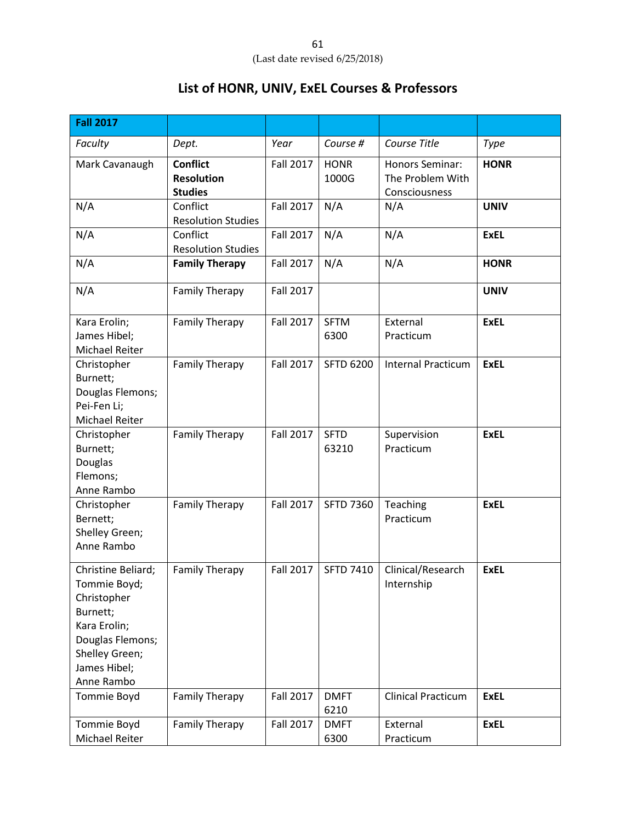# **List of HONR, UNIV, ExEL Courses & Professors**

| <b>Fall 2017</b>                                                                                                                                  |                                                        |                  |                      |                                                      |             |
|---------------------------------------------------------------------------------------------------------------------------------------------------|--------------------------------------------------------|------------------|----------------------|------------------------------------------------------|-------------|
| Faculty                                                                                                                                           | Dept.                                                  | Year             | Course #             | Course Title                                         | <b>Type</b> |
| Mark Cavanaugh                                                                                                                                    | <b>Conflict</b><br><b>Resolution</b><br><b>Studies</b> | Fall 2017        | <b>HONR</b><br>1000G | Honors Seminar:<br>The Problem With<br>Consciousness | <b>HONR</b> |
| N/A                                                                                                                                               | Conflict<br><b>Resolution Studies</b>                  | <b>Fall 2017</b> | N/A                  | N/A                                                  | <b>UNIV</b> |
| N/A                                                                                                                                               | Conflict<br><b>Resolution Studies</b>                  | <b>Fall 2017</b> | N/A                  | N/A                                                  | <b>ExEL</b> |
| N/A                                                                                                                                               | <b>Family Therapy</b>                                  | <b>Fall 2017</b> | N/A                  | N/A                                                  | <b>HONR</b> |
| N/A                                                                                                                                               | <b>Family Therapy</b>                                  | <b>Fall 2017</b> |                      |                                                      | <b>UNIV</b> |
| Kara Erolin;<br>James Hibel;<br>Michael Reiter                                                                                                    | <b>Family Therapy</b>                                  | <b>Fall 2017</b> | <b>SFTM</b><br>6300  | External<br>Practicum                                | <b>ExEL</b> |
| Christopher<br>Burnett;<br>Douglas Flemons;<br>Pei-Fen Li;<br>Michael Reiter                                                                      | <b>Family Therapy</b>                                  | <b>Fall 2017</b> | <b>SFTD 6200</b>     | <b>Internal Practicum</b>                            | <b>ExEL</b> |
| Christopher<br>Burnett;<br>Douglas<br>Flemons;<br>Anne Rambo                                                                                      | <b>Family Therapy</b>                                  | <b>Fall 2017</b> | <b>SFTD</b><br>63210 | Supervision<br>Practicum                             | <b>ExEL</b> |
| Christopher<br>Bernett;<br>Shelley Green;<br>Anne Rambo                                                                                           | <b>Family Therapy</b>                                  | <b>Fall 2017</b> | <b>SFTD 7360</b>     | Teaching<br>Practicum                                | <b>ExEL</b> |
| Christine Beliard;<br>Tommie Boyd;<br>Christopher<br>Burnett;<br>Kara Erolin;<br>Douglas Flemons;<br>Shelley Green;<br>James Hibel;<br>Anne Rambo | <b>Family Therapy</b>                                  | <b>Fall 2017</b> | <b>SFTD 7410</b>     | Clinical/Research<br>Internship                      | <b>ExEL</b> |
| Tommie Boyd                                                                                                                                       | <b>Family Therapy</b>                                  | <b>Fall 2017</b> | <b>DMFT</b><br>6210  | <b>Clinical Practicum</b>                            | <b>ExEL</b> |
| Tommie Boyd<br>Michael Reiter                                                                                                                     | <b>Family Therapy</b>                                  | <b>Fall 2017</b> | <b>DMFT</b><br>6300  | External<br>Practicum                                | <b>ExEL</b> |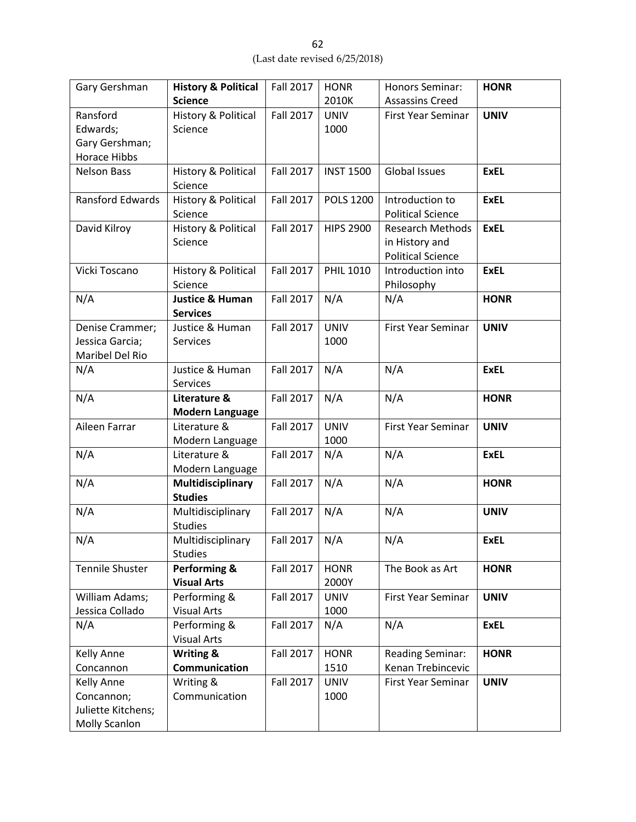| Gary Gershman           | <b>History &amp; Political</b> | <b>Fall 2017</b> | <b>HONR</b>      | Honors Seminar:           | <b>HONR</b> |
|-------------------------|--------------------------------|------------------|------------------|---------------------------|-------------|
|                         | <b>Science</b>                 |                  | 2010K            | <b>Assassins Creed</b>    |             |
| Ransford                | <b>History &amp; Political</b> | <b>Fall 2017</b> | <b>UNIV</b>      | First Year Seminar        | <b>UNIV</b> |
| Edwards;                | Science                        |                  | 1000             |                           |             |
| Gary Gershman;          |                                |                  |                  |                           |             |
| <b>Horace Hibbs</b>     |                                |                  |                  |                           |             |
| <b>Nelson Bass</b>      | History & Political            | <b>Fall 2017</b> | <b>INST 1500</b> | <b>Global Issues</b>      | <b>ExEL</b> |
|                         | Science                        |                  |                  |                           |             |
| <b>Ransford Edwards</b> | History & Political            | <b>Fall 2017</b> | <b>POLS 1200</b> | Introduction to           | <b>ExEL</b> |
|                         | Science                        |                  |                  | <b>Political Science</b>  |             |
| David Kilroy            | History & Political            | <b>Fall 2017</b> | <b>HIPS 2900</b> | <b>Research Methods</b>   | <b>ExEL</b> |
|                         | Science                        |                  |                  | in History and            |             |
|                         |                                |                  |                  | <b>Political Science</b>  |             |
| Vicki Toscano           | History & Political            | <b>Fall 2017</b> | <b>PHIL 1010</b> | Introduction into         | <b>ExEL</b> |
|                         | Science                        |                  |                  | Philosophy                |             |
| N/A                     | <b>Justice &amp; Human</b>     | <b>Fall 2017</b> | N/A              | N/A                       | <b>HONR</b> |
|                         | <b>Services</b>                |                  |                  |                           |             |
| Denise Crammer;         | Justice & Human                | <b>Fall 2017</b> | <b>UNIV</b>      | First Year Seminar        | <b>UNIV</b> |
| Jessica Garcia;         | Services                       |                  | 1000             |                           |             |
| Maribel Del Rio         |                                |                  |                  |                           |             |
| N/A                     | Justice & Human                | Fall 2017        | N/A              | N/A                       | <b>ExEL</b> |
|                         | Services                       |                  |                  |                           |             |
| N/A                     | Literature &                   | <b>Fall 2017</b> | N/A              | N/A                       | <b>HONR</b> |
|                         | <b>Modern Language</b>         |                  |                  |                           |             |
| Aileen Farrar           | Literature &                   | <b>Fall 2017</b> | <b>UNIV</b>      | First Year Seminar        | <b>UNIV</b> |
|                         | Modern Language                |                  | 1000             |                           |             |
| N/A                     | Literature &                   | <b>Fall 2017</b> | N/A              | N/A                       | <b>ExEL</b> |
|                         | Modern Language                |                  |                  |                           |             |
| N/A                     | Multidisciplinary              | <b>Fall 2017</b> | N/A              | N/A                       | <b>HONR</b> |
|                         | <b>Studies</b>                 |                  |                  |                           |             |
| N/A                     | Multidisciplinary              | <b>Fall 2017</b> | N/A              | N/A                       | <b>UNIV</b> |
|                         | <b>Studies</b>                 |                  |                  |                           |             |
| N/A                     | Multidisciplinary              | Fall 2017        | N/A              | N/A                       | <b>ExEL</b> |
|                         | <b>Studies</b>                 |                  |                  |                           |             |
| <b>Tennile Shuster</b>  | Performing &                   | <b>Fall 2017</b> | <b>HONR</b>      | The Book as Art           | <b>HONR</b> |
|                         | <b>Visual Arts</b>             |                  | 2000Y            |                           |             |
| William Adams;          | Performing &                   | <b>Fall 2017</b> | <b>UNIV</b>      | <b>First Year Seminar</b> | <b>UNIV</b> |
| Jessica Collado         | <b>Visual Arts</b>             |                  | 1000             |                           |             |
| N/A                     | Performing &                   | <b>Fall 2017</b> | N/A              | N/A                       | <b>ExEL</b> |
|                         | <b>Visual Arts</b>             |                  |                  |                           |             |
| Kelly Anne              | <b>Writing &amp;</b>           | <b>Fall 2017</b> | <b>HONR</b>      | <b>Reading Seminar:</b>   | <b>HONR</b> |
| Concannon               | Communication                  |                  | 1510             | Kenan Trebincevic         |             |
| Kelly Anne              | Writing &                      | <b>Fall 2017</b> | <b>UNIV</b>      | First Year Seminar        | <b>UNIV</b> |
| Concannon;              | Communication                  |                  | 1000             |                           |             |
| Juliette Kitchens;      |                                |                  |                  |                           |             |
| <b>Molly Scanlon</b>    |                                |                  |                  |                           |             |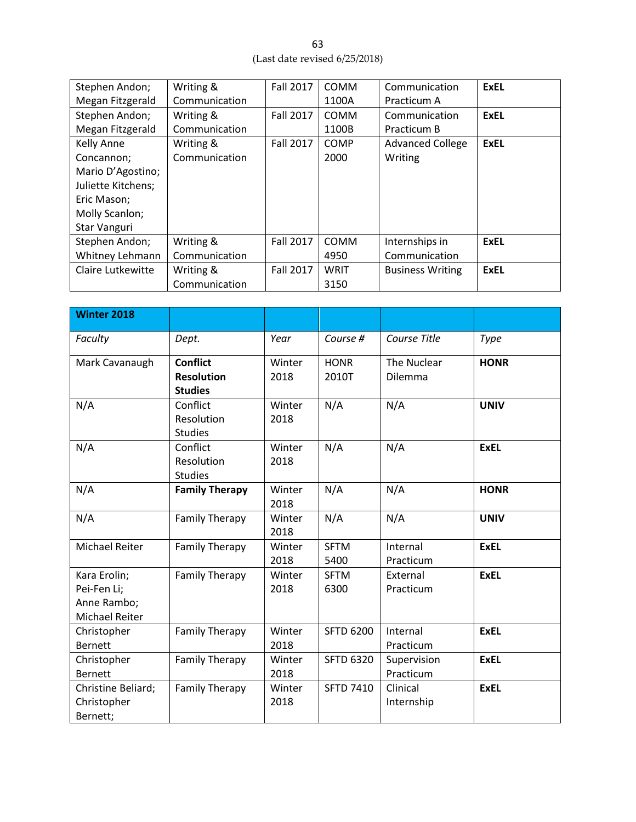| Stephen Andon;     | Writing &     | <b>Fall 2017</b> | <b>COMM</b> | Communication           | <b>ExEL</b> |
|--------------------|---------------|------------------|-------------|-------------------------|-------------|
| Megan Fitzgerald   | Communication |                  | 1100A       | Practicum A             |             |
| Stephen Andon;     | Writing &     | <b>Fall 2017</b> | <b>COMM</b> | Communication           | <b>ExEL</b> |
| Megan Fitzgerald   | Communication |                  | 1100B       | Practicum B             |             |
| Kelly Anne         | Writing &     | Fall 2017        | COMP        | <b>Advanced College</b> | <b>ExEL</b> |
| Concannon;         | Communication |                  | 2000        | Writing                 |             |
| Mario D'Agostino;  |               |                  |             |                         |             |
| Juliette Kitchens; |               |                  |             |                         |             |
| Eric Mason;        |               |                  |             |                         |             |
| Molly Scanlon;     |               |                  |             |                         |             |
| Star Vanguri       |               |                  |             |                         |             |
| Stephen Andon;     | Writing &     | <b>Fall 2017</b> | COMM        | Internships in          | <b>ExEL</b> |
| Whitney Lehmann    | Communication |                  | 4950        | Communication           |             |
| Claire Lutkewitte  | Writing &     | Fall 2017        | <b>WRIT</b> | <b>Business Writing</b> | <b>ExEL</b> |
|                    | Communication |                  | 3150        |                         |             |

| <b>Winter 2018</b> |                                     |                |                     |                       |             |
|--------------------|-------------------------------------|----------------|---------------------|-----------------------|-------------|
| Faculty            | Dept.                               | Year           | Course #            | Course Title          | Type        |
| Mark Cavanaugh     | <b>Conflict</b>                     | Winter         | <b>HONR</b>         | The Nuclear           | <b>HONR</b> |
|                    | <b>Resolution</b><br><b>Studies</b> | 2018           | 2010T               | Dilemma               |             |
| N/A                | Conflict                            | Winter         | N/A                 | N/A                   | <b>UNIV</b> |
|                    | Resolution<br><b>Studies</b>        | 2018           |                     |                       |             |
| N/A                | Conflict                            | Winter         | N/A                 | N/A                   | <b>ExEL</b> |
|                    | Resolution<br><b>Studies</b>        | 2018           |                     |                       |             |
| N/A                | <b>Family Therapy</b>               | Winter         | N/A                 | N/A                   | <b>HONR</b> |
|                    |                                     | 2018           |                     |                       |             |
| N/A                | <b>Family Therapy</b>               | Winter         | N/A                 | N/A                   | <b>UNIV</b> |
|                    |                                     | 2018           |                     |                       |             |
| Michael Reiter     | <b>Family Therapy</b>               | Winter<br>2018 | <b>SFTM</b><br>5400 | Internal<br>Practicum | <b>ExEL</b> |
| Kara Erolin;       | <b>Family Therapy</b>               | Winter         | <b>SFTM</b>         | External              | <b>ExEL</b> |
| Pei-Fen Li;        |                                     | 2018           | 6300                | Practicum             |             |
| Anne Rambo;        |                                     |                |                     |                       |             |
| Michael Reiter     |                                     |                |                     |                       |             |
| Christopher        | <b>Family Therapy</b>               | Winter         | <b>SFTD 6200</b>    | Internal              | <b>ExEL</b> |
| <b>Bernett</b>     |                                     | 2018           |                     | Practicum             |             |
| Christopher        | <b>Family Therapy</b>               | Winter         | <b>SFTD 6320</b>    | Supervision           | <b>ExEL</b> |
| <b>Bernett</b>     |                                     | 2018           |                     | Practicum             |             |
| Christine Beliard; | <b>Family Therapy</b>               | Winter         | <b>SFTD 7410</b>    | Clinical              | <b>ExEL</b> |
| Christopher        |                                     | 2018           |                     | Internship            |             |
| Bernett;           |                                     |                |                     |                       |             |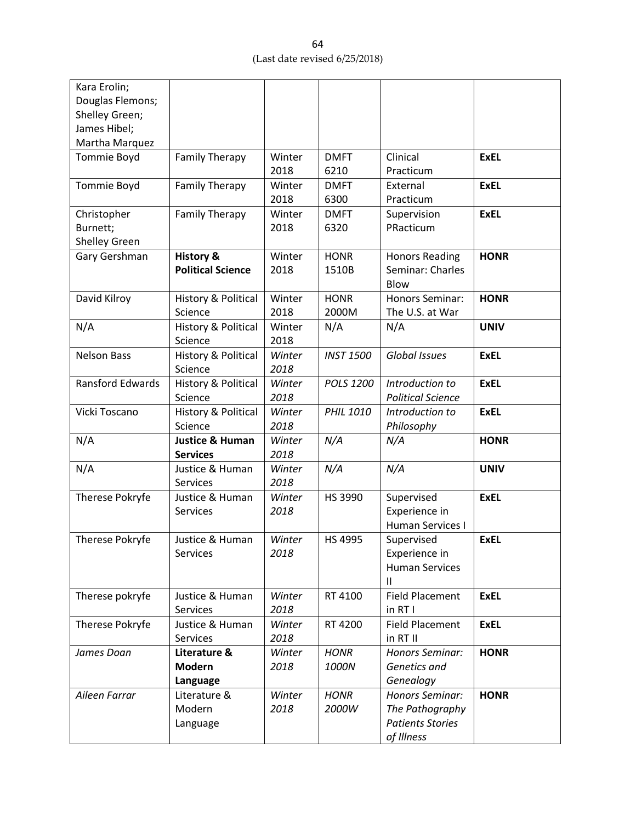| Kara Erolin;            |                                |        |                  |                          |             |
|-------------------------|--------------------------------|--------|------------------|--------------------------|-------------|
| Douglas Flemons;        |                                |        |                  |                          |             |
| Shelley Green;          |                                |        |                  |                          |             |
| James Hibel;            |                                |        |                  |                          |             |
| Martha Marquez          |                                |        |                  |                          |             |
| <b>Tommie Boyd</b>      | <b>Family Therapy</b>          | Winter | <b>DMFT</b>      | Clinical                 | <b>ExEL</b> |
|                         |                                | 2018   | 6210             | Practicum                |             |
| Tommie Boyd             | <b>Family Therapy</b>          | Winter | <b>DMFT</b>      | External                 | <b>ExEL</b> |
|                         |                                | 2018   | 6300             | Practicum                |             |
| Christopher             | <b>Family Therapy</b>          | Winter | <b>DMFT</b>      | Supervision              | <b>ExEL</b> |
| Burnett;                |                                | 2018   | 6320             | PRacticum                |             |
| Shelley Green           |                                |        |                  |                          |             |
| Gary Gershman           | <b>History &amp;</b>           | Winter | <b>HONR</b>      | <b>Honors Reading</b>    | <b>HONR</b> |
|                         | <b>Political Science</b>       | 2018   | 1510B            | Seminar: Charles         |             |
|                         |                                |        |                  | Blow                     |             |
| David Kilroy            | History & Political            | Winter | <b>HONR</b>      | <b>Honors Seminar:</b>   | <b>HONR</b> |
|                         | Science                        | 2018   | 2000M            | The U.S. at War          |             |
| N/A                     | History & Political            | Winter | N/A              | N/A                      | <b>UNIV</b> |
|                         | Science                        | 2018   |                  |                          |             |
| <b>Nelson Bass</b>      | History & Political            | Winter | <b>INST 1500</b> | Global Issues            | <b>ExEL</b> |
|                         | Science                        | 2018   |                  |                          |             |
| <b>Ransford Edwards</b> | History & Political            | Winter | POLS 1200        | Introduction to          | <b>ExEL</b> |
|                         | Science                        | 2018   |                  | <b>Political Science</b> |             |
| Vicki Toscano           | <b>History &amp; Political</b> | Winter | <b>PHIL 1010</b> | Introduction to          | <b>ExEL</b> |
|                         | Science                        | 2018   |                  | Philosophy               |             |
| N/A                     | <b>Justice &amp; Human</b>     | Winter | N/A              | N/A                      | <b>HONR</b> |
|                         | <b>Services</b>                | 2018   |                  |                          |             |
| N/A                     | Justice & Human                | Winter | N/A              | N/A                      | <b>UNIV</b> |
|                         | Services                       | 2018   |                  |                          |             |
| Therese Pokryfe         | Justice & Human                | Winter | HS 3990          | Supervised               | <b>ExEL</b> |
|                         | <b>Services</b>                | 2018   |                  | Experience in            |             |
|                         |                                |        |                  | Human Services I         |             |
| Therese Pokryfe         | Justice & Human                | Winter | <b>HS 4995</b>   | Supervised               | <b>ExEL</b> |
|                         | Services                       | 2018   |                  | Experience in            |             |
|                         |                                |        |                  | <b>Human Services</b>    |             |
|                         |                                |        |                  | Ш                        |             |
| Therese pokryfe         | Justice & Human                | Winter | RT 4100          | <b>Field Placement</b>   | <b>ExEL</b> |
|                         | Services                       | 2018   |                  | in RT I                  |             |
| Therese Pokryfe         | Justice & Human                | Winter | RT 4200          | <b>Field Placement</b>   | <b>ExEL</b> |
|                         | <b>Services</b>                | 2018   |                  | in RT II                 |             |
| James Doan              | Literature &                   | Winter | <b>HONR</b>      | Honors Seminar:          | <b>HONR</b> |
|                         | <b>Modern</b>                  | 2018   | 1000N            | Genetics and             |             |
|                         | Language                       |        |                  | Genealogy                |             |
| Aileen Farrar           | Literature &                   | Winter | <b>HONR</b>      | Honors Seminar:          | <b>HONR</b> |
|                         | Modern                         | 2018   | 2000W            | The Pathography          |             |
|                         | Language                       |        |                  | <b>Patients Stories</b>  |             |
|                         |                                |        |                  | of Illness               |             |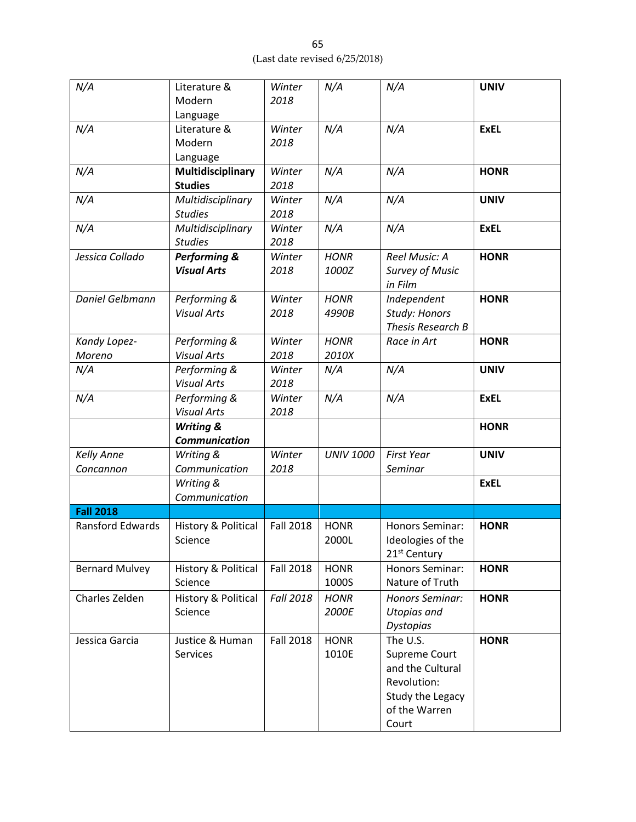| N/A                            | Literature &<br>Modern<br>Language            | Winter<br>2018   | N/A                  | N/A                                                                                                        | <b>UNIV</b> |
|--------------------------------|-----------------------------------------------|------------------|----------------------|------------------------------------------------------------------------------------------------------------|-------------|
| N/A                            | Literature &<br>Modern<br>Language            | Winter<br>2018   | N/A                  | N/A                                                                                                        | <b>ExEL</b> |
| N/A                            | Multidisciplinary<br><b>Studies</b>           | Winter<br>2018   | N/A                  | N/A                                                                                                        | <b>HONR</b> |
| N/A                            | Multidisciplinary<br><b>Studies</b>           | Winter<br>2018   | N/A                  | N/A                                                                                                        | <b>UNIV</b> |
| N/A                            | Multidisciplinary<br><b>Studies</b>           | Winter<br>2018   | N/A                  | N/A                                                                                                        | <b>ExEL</b> |
| Jessica Collado                | <b>Performing &amp;</b><br><b>Visual Arts</b> | Winter<br>2018   | <b>HONR</b><br>1000Z | Reel Music: A<br><b>Survey of Music</b><br>in Film                                                         | <b>HONR</b> |
| Daniel Gelbmann                | Performing &<br><b>Visual Arts</b>            | Winter<br>2018   | <b>HONR</b><br>4990B | Independent<br>Study: Honors<br>Thesis Research B                                                          | <b>HONR</b> |
| Kandy Lopez-<br>Moreno         | Performing &<br><b>Visual Arts</b>            | Winter<br>2018   | <b>HONR</b><br>2010X | Race in Art                                                                                                | <b>HONR</b> |
| N/A                            | Performing &<br><b>Visual Arts</b>            | Winter<br>2018   | N/A                  | N/A                                                                                                        | <b>UNIV</b> |
| N/A                            | Performing &<br><b>Visual Arts</b>            | Winter<br>2018   | N/A                  | N/A                                                                                                        | <b>ExEL</b> |
|                                | <b>Writing &amp;</b><br><b>Communication</b>  |                  |                      |                                                                                                            | <b>HONR</b> |
| <b>Kelly Anne</b><br>Concannon | Writing &<br>Communication                    | Winter<br>2018   | <b>UNIV 1000</b>     | <b>First Year</b><br>Seminar                                                                               | <b>UNIV</b> |
|                                | Writing &<br>Communication                    |                  |                      |                                                                                                            | <b>ExEL</b> |
| <b>Fall 2018</b>               |                                               |                  |                      |                                                                                                            |             |
| Ransford Edwards               | History & Political<br>Science                | <b>Fall 2018</b> | <b>HONR</b><br>2000L | Honors Seminar:<br>Ideologies of the<br>21 <sup>st</sup> Century                                           | <b>HONR</b> |
| <b>Bernard Mulvey</b>          | History & Political<br>Science                | <b>Fall 2018</b> | <b>HONR</b><br>1000S | Honors Seminar:<br>Nature of Truth                                                                         | <b>HONR</b> |
| Charles Zelden                 | History & Political<br>Science                | <b>Fall 2018</b> | <b>HONR</b><br>2000E | Honors Seminar:<br><b>Utopias and</b><br><b>Dystopias</b>                                                  | <b>HONR</b> |
| Jessica Garcia                 | Justice & Human<br>Services                   | <b>Fall 2018</b> | <b>HONR</b><br>1010E | The U.S.<br>Supreme Court<br>and the Cultural<br>Revolution:<br>Study the Legacy<br>of the Warren<br>Court | <b>HONR</b> |

65